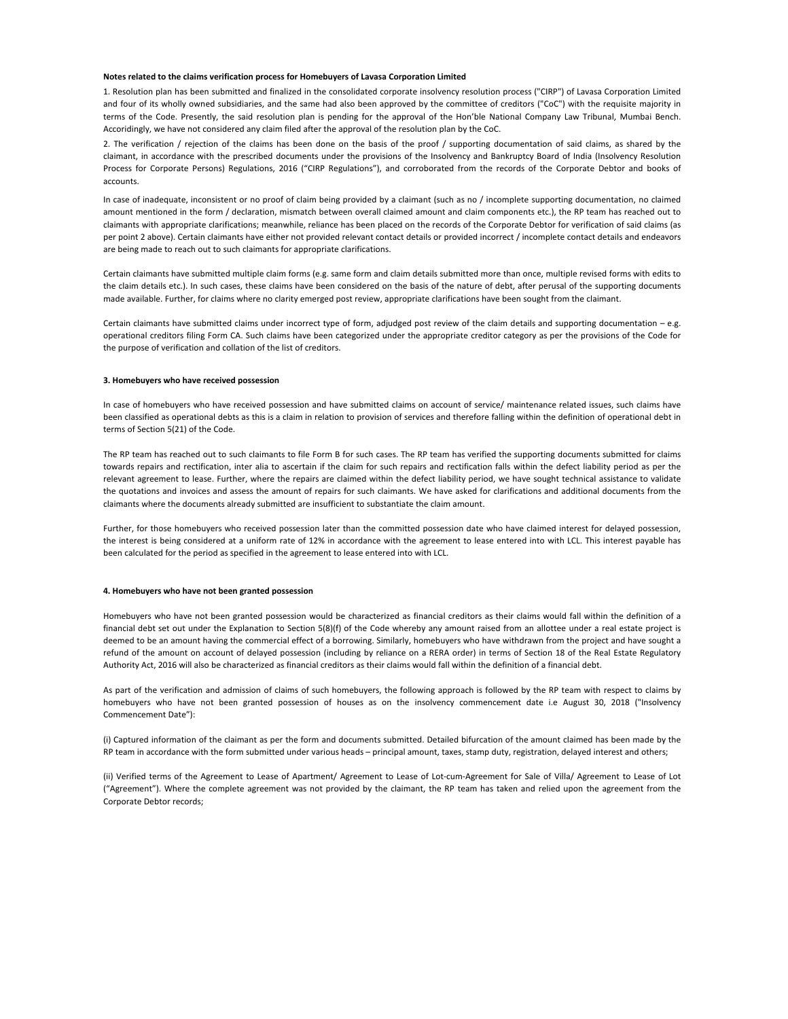### **Notes related to the claims verification process for Homebuyers of Lavasa Corporation Limited**

1. Resolution plan has been submitted and finalized in the consolidated corporate insolvency resolution process ("CIRP") of Lavasa Corporation Limited and four of its wholly owned subsidiaries, and the same had also been approved by the committee of creditors ("CoC") with the requisite majority in terms of the Code. Presently, the said resolution plan is pending for the approval of the Hon'ble National Company Law Tribunal, Mumbai Bench. Accoridingly, we have not considered any claim filed after the approval of the resolution plan by the CoC.

2. The verification / rejection of the claims has been done on the basis of the proof / supporting documentation of said claims, as shared by the claimant, in accordance with the prescribed documents under the provisions of the Insolvency and Bankruptcy Board of India (Insolvency Resolution Process for Corporate Persons) Regulations, 2016 ("CIRP Regulations"), and corroborated from the records of the Corporate Debtor and books of accounts.

In case of inadequate, inconsistent or no proof of claim being provided by a claimant (such as no / incomplete supporting documentation, no claimed amount mentioned in the form / declaration, mismatch between overall claimed amount and claim components etc.), the RP team has reached out to claimants with appropriate clarifications; meanwhile, reliance has been placed on the records of the Corporate Debtor for verification of said claims (as per point 2 above). Certain claimants have either not provided relevant contact details or provided incorrect / incomplete contact details and endeavors are being made to reach out to such claimants for appropriate clarifications.

Certain claimants have submitted multiple claim forms (e.g. same form and claim details submitted more than once, multiple revised forms with edits to the claim details etc.). In such cases, these claims have been considered on the basis of the nature of debt, after perusal of the supporting documents made available. Further, for claims where no clarity emerged post review, appropriate clarifications have been sought from the claimant.

Certain claimants have submitted claims under incorrect type of form, adjudged post review of the claim details and supporting documentation  $-e.g.$ operational creditors filing Form CA. Such claims have been categorized under the appropriate creditor category as per the provisions of the Code for the purpose of verification and collation of the list of creditors.

# **3. Homebuyers who have received possession**

In case of homebuyers who have received possession and have submitted claims on account of service/ maintenance related issues, such claims have been classified as operational debts as this is a claim in relation to provision of services and therefore falling within the definition of operational debt in terms of Section 5(21) of the Code.

The RP team has reached out to such claimants to file Form B for such cases. The RP team has verified the supporting documents submitted for claims towards repairs and rectification, inter alia to ascertain if the claim for such repairs and rectification falls within the defect liability period as per the relevant agreement to lease. Further, where the repairs are claimed within the defect liability period, we have sought technical assistance to validate the quotations and invoices and assess the amount of repairs for such claimants. We have asked for clarifications and additional documents from the claimants where the documents already submitted are insufficient to substantiate the claim amount.

Further, for those homebuyers who received possession later than the committed possession date who have claimed interest for delayed possession, the interest is being considered at a uniform rate of 12% in accordance with the agreement to lease entered into with LCL. This interest payable has been calculated for the period as specified in the agreement to lease entered into with LCL.

#### **4. Homebuyers who have not been granted possession**

Homebuyers who have not been granted possession would be characterized as financial creditors as their claims would fall within the definition of a financial debt set out under the Explanation to Section 5(8)(f) of the Code whereby any amount raised from an allottee under a real estate project is deemed to be an amount having the commercial effect of a borrowing. Similarly, homebuyers who have withdrawn from the project and have sought a refund of the amount on account of delayed possession (including by reliance on a RERA order) in terms of Section 18 of the Real Estate Regulatory Authority Act, 2016 will also be characterized as financial creditors as their claims would fall within the definition of a financial debt.

As part of the verification and admission of claims of such homebuyers, the following approach is followed by the RP team with respect to claims by homebuyers who have not been granted possession of houses as on the insolvency commencement date i.e August 30, 2018 ("Insolvency Commencement Date"):

(i) Captured information of the claimant as per the form and documents submitted. Detailed bifurcation of the amount claimed has been made by the RP team in accordance with the form submitted under various heads – principal amount, taxes, stamp duty, registration, delayed interest and others;

(ii) Verified terms of the Agreement to Lease of Apartment/ Agreement to Lease of Lot-cum-Agreement for Sale of Villa/ Agreement to Lease of Lot ("Agreement"). Where the complete agreement was not provided by the claimant, the RP team has taken and relied upon the agreement from the Corporate Debtor records;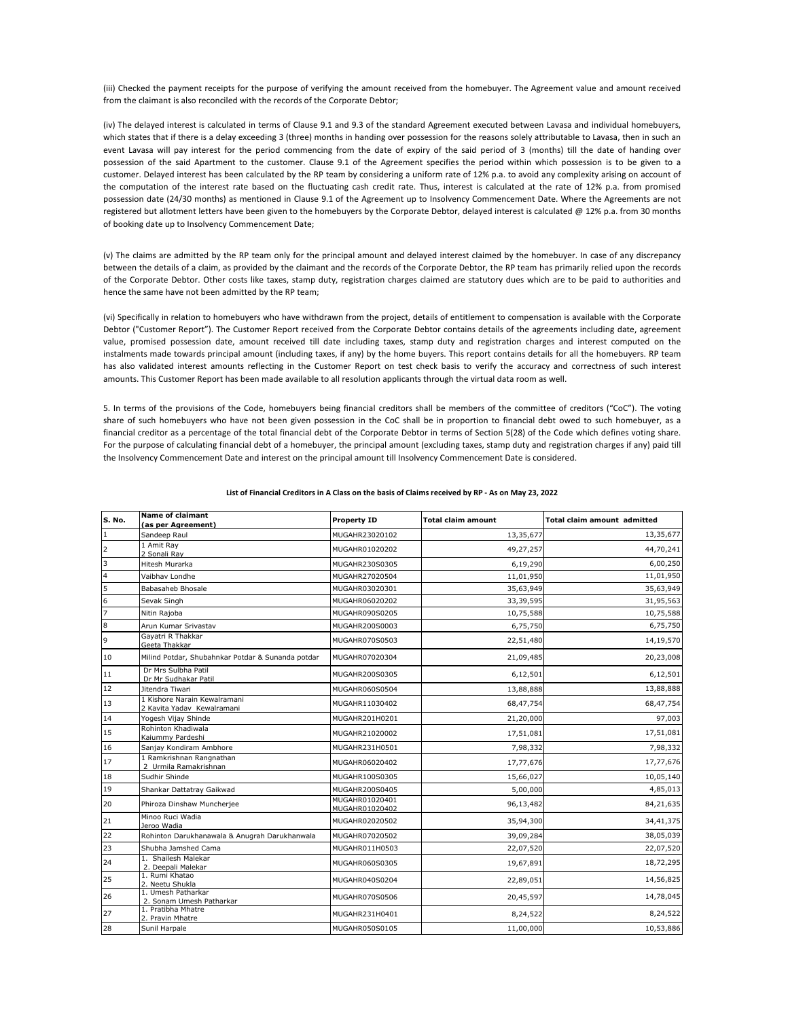(iii) Checked the payment receipts for the purpose of verifying the amount received from the homebuyer. The Agreement value and amount received from the claimant is also reconciled with the records of the Corporate Debtor;

(iv) The delayed interest is calculated in terms of Clause 9.1 and 9.3 of the standard Agreement executed between Lavasa and individual homebuyers, which states that if there is a delay exceeding 3 (three) months in handing over possession for the reasons solely attributable to Lavasa, then in such an event Lavasa will pay interest for the period commencing from the date of expiry of the said period of 3 (months) till the date of handing over possession of the said Apartment to the customer. Clause 9.1 of the Agreement specifies the period within which possession is to be given to a customer. Delayed interest has been calculated by the RP team by considering a uniform rate of 12% p.a. to avoid any complexity arising on account of the computation of the interest rate based on the fluctuating cash credit rate. Thus, interest is calculated at the rate of 12% p.a. from promised possession date (24/30 months) as mentioned in Clause 9.1 of the Agreement up to Insolvency Commencement Date. Where the Agreements are not registered but allotment letters have been given to the homebuyers by the Corporate Debtor, delayed interest is calculated @ 12% p.a. from 30 months of booking date up to Insolvency Commencement Date;

(v) The claims are admitted by the RP team only for the principal amount and delayed interest claimed by the homebuyer. In case of any discrepancy between the details of a claim, as provided by the claimant and the records of the Corporate Debtor, the RP team has primarily relied upon the records of the Corporate Debtor. Other costs like taxes, stamp duty, registration charges claimed are statutory dues which are to be paid to authorities and hence the same have not been admitted by the RP team;

(vi) Specifically in relation to homebuyers who have withdrawn from the project, details of entitlement to compensation is available with the Corporate Debtor ("Customer Report"). The Customer Report received from the Corporate Debtor contains details of the agreements including date, agreement value, promised possession date, amount received till date including taxes, stamp duty and registration charges and interest computed on the instalments made towards principal amount (including taxes, if any) by the home buyers. This report contains details for all the homebuyers. RP team has also validated interest amounts reflecting in the Customer Report on test check basis to verify the accuracy and correctness of such interest amounts. This Customer Report has been made available to all resolution applicants through the virtual data room as well.

5. In terms of the provisions of the Code, homebuyers being financial creditors shall be members of the committee of creditors ("CoC"). The voting share of such homebuyers who have not been given possession in the CoC shall be in proportion to financial debt owed to such homebuyer, as a financial creditor as a percentage of the total financial debt of the Corporate Debtor in terms of Section 5(28) of the Code which defines voting share. For the purpose of calculating financial debt of a homebuyer, the principal amount (excluding taxes, stamp duty and registration charges if any) paid till the Insolvency Commencement Date and interest on the principal amount till Insolvency Commencement Date is considered.

| S. No.                  | <b>Name of claimant</b><br>(as per Agreement)              | <b>Property ID</b>               | <b>Total claim amount</b> | <b>Total claim amount admitted</b> |
|-------------------------|------------------------------------------------------------|----------------------------------|---------------------------|------------------------------------|
| $\mathbf{1}$            | Sandeep Raul                                               | MUGAHR23020102                   | 13,35,677                 | 13,35,677                          |
| $\overline{2}$          | 1 Amit Ray<br>2 Sonali Ray                                 | MUGAHR01020202                   | 49,27,257                 | 44,70,241                          |
| $\overline{\mathbf{3}}$ | Hitesh Murarka                                             | MUGAHR230S0305                   | 6,19,290                  | 6,00,250                           |
| $\overline{\mathbf{4}}$ | Vaibhay Londhe                                             | MUGAHR27020504                   | 11,01,950                 | 11,01,950                          |
| $\overline{5}$          | Babasaheb Bhosale                                          | MUGAHR03020301                   | 35,63,949                 | 35,63,949                          |
| $\mathbf 6$             | Sevak Singh                                                | MUGAHR06020202                   | 33, 39, 595               | 31,95,563                          |
| $\overline{7}$          | Nitin Rajoba                                               | MUGAHR090S0205                   | 10,75,588                 | 10,75,588                          |
| $\bf8$                  | Arun Kumar Srivastav                                       | MUGAHR200S0003                   | 6,75,750                  | 6,75,750                           |
| $\overline{9}$          | Gayatri R Thakkar<br>Geeta Thakkar                         | MUGAHR070S0503                   | 22,51,480                 | 14,19,570                          |
| 10                      | Milind Potdar, Shubahnkar Potdar & Sunanda potdar          | MUGAHR07020304                   | 21,09,485                 | 20,23,008                          |
| 11                      | Dr Mrs Sulbha Patil<br>Dr Mr Sudhakar Patil                | MUGAHR200S0305                   | 6,12,501                  | 6,12,501                           |
| 12                      | Jitendra Tiwari                                            | MUGAHR060S0504                   | 13,88,888                 | 13,88,888                          |
| 13                      | 1 Kishore Narain Kewalramani<br>2 Kavita Yadav Kewalramani | MUGAHR11030402                   | 68,47,754                 | 68,47,754                          |
| 14                      | Yogesh Vijay Shinde                                        | MUGAHR201H0201                   | 21,20,000                 | 97,003                             |
| 15                      | Rohinton Khadiwala<br>Kaiummy Pardeshi                     | MUGAHR21020002                   | 17,51,081                 | 17,51,081                          |
| 16                      | Sanjay Kondiram Ambhore                                    | MUGAHR231H0501                   | 7,98,332                  | 7,98,332                           |
| 17                      | 1 Ramkrishnan Rangnathan<br>2 Urmila Ramakrishnan          | MUGAHR06020402                   | 17,77,676                 | 17,77,676                          |
| 18                      | Sudhir Shinde                                              | MUGAHR100S0305                   | 15,66,027                 | 10,05,140                          |
| 19                      | Shankar Dattatray Gaikwad                                  | MUGAHR200S0405                   | 5,00,000                  | 4,85,013                           |
| 20                      | Phiroza Dinshaw Muncherjee                                 | MUGAHR01020401<br>MUGAHR01020402 | 96,13,482                 | 84,21,635                          |
| 21                      | Minoo Ruci Wadia<br>Jeroo Wadia                            | MUGAHR02020502                   | 35,94,300                 | 34,41,375                          |
| 22                      | Rohinton Darukhanawala & Anugrah Darukhanwala              | MUGAHR07020502                   | 39,09,284                 | 38,05,039                          |
| 23                      | Shubha Jamshed Cama                                        | MUGAHR011H0503                   | 22,07,520                 | 22,07,520                          |
| 24                      | 1. Shailesh Malekar<br>2. Deepali Malekar                  | MUGAHR060S0305                   | 19,67,891                 | 18,72,295                          |
| 25                      | 1. Rumi Khatao<br>2. Neetu Shukla                          | MUGAHR040S0204                   | 22,89,051                 | 14,56,825                          |
| 26                      | 1. Umesh Patharkar<br>2. Sonam Umesh Patharkar             | MUGAHR070S0506                   | 20,45,597                 | 14,78,045                          |
| 27                      | 1. Pratibha Mhatre<br>2. Pravin Mhatre                     | MUGAHR231H0401                   | 8,24,522                  | 8,24,522                           |
| 28                      | Sunil Harpale                                              | MUGAHR050S0105                   | 11,00,000                 | 10,53,886                          |

# **List of Financial Creditors in A Class on the basis of Claims received by RP - As on May 23, 2022**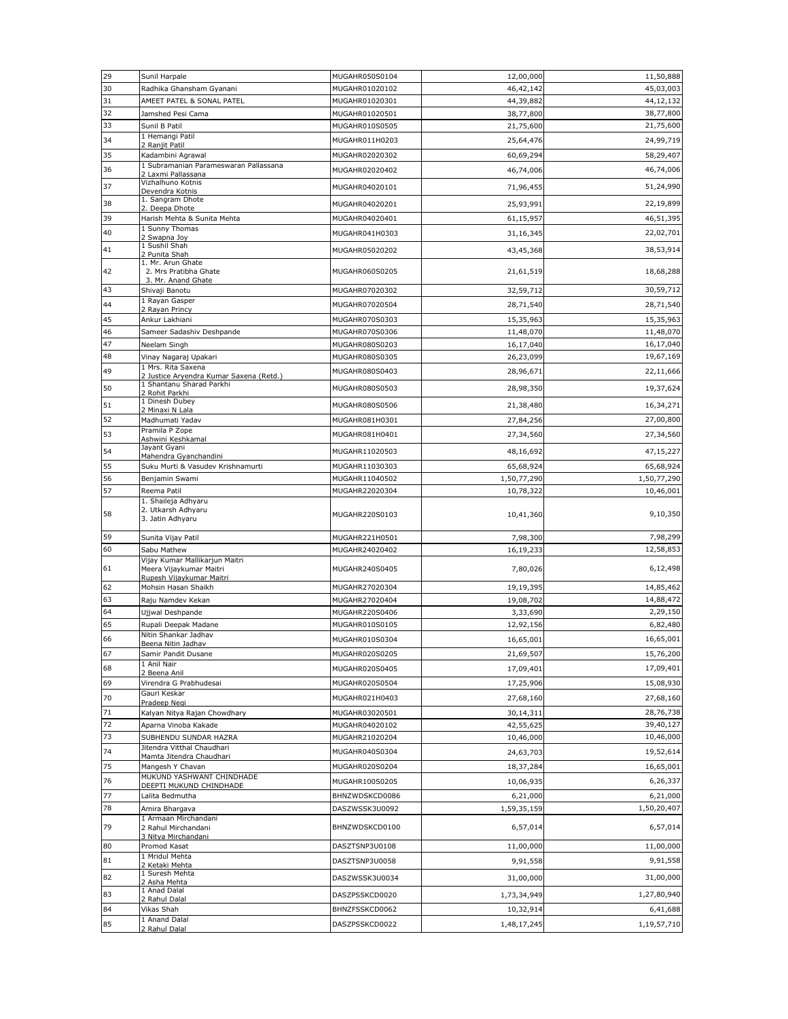| 29       | Sunil Harpale                                                      | MUGAHR050S0104                   | 12,00,000                | 11,50,888               |
|----------|--------------------------------------------------------------------|----------------------------------|--------------------------|-------------------------|
| 30       | Radhika Ghansham Gyanani                                           | MUGAHR01020102                   | 46,42,142                | 45,03,003               |
| 31       | AMEET PATEL & SONAL PATEL                                          | MUGAHR01020301                   | 44,39,882                | 44,12,132               |
| 32       | Jamshed Pesi Cama                                                  | MUGAHR01020501                   | 38,77,800                | 38,77,800               |
| 33       | Sunil B Patil                                                      | MUGAHR010S0505                   | 21,75,600                | 21,75,600               |
| 34       | 1 Hemangi Patil                                                    | MUGAHR011H0203                   | 25,64,476                | 24,99,719               |
| 35       | 2 Ranjit Patil<br>Kadambini Agrawal                                | MUGAHR02020302                   | 60,69,294                | 58,29,407               |
| 36       | 1 Subramanian Parameswaran Pallassana                              | MUGAHR02020402                   | 46,74,006                | 46,74,006               |
|          | 2 Laxmi Pallassana<br>Vizhalhuno Kotnis                            |                                  |                          |                         |
| 37       | Devendra Kotnis<br>1. Sangram Dhote                                | MUGAHR04020101                   | 71,96,455                | 51,24,990               |
| 38       | 2. Deepa Dhote                                                     | MUGAHR04020201                   | 25,93,991                | 22,19,899               |
| 39       | Harish Mehta & Sunita Mehta                                        | MUGAHR04020401                   | 61,15,957                | 46,51,395               |
| 40       | 1 Sunny Thomas<br>2 Swapna Joy                                     | MUGAHR041H0303                   | 31,16,345                | 22,02,701               |
| 41       | 1 Sushil Shah                                                      | MUGAHR05020202                   | 43,45,368                | 38,53,914               |
|          | 2 Punita Shah<br>1. Mr. Arun Ghate                                 |                                  |                          |                         |
| 42       | 2. Mrs Pratibha Ghate                                              | MUGAHR060S0205                   | 21,61,519                | 18,68,288               |
| 43       | 3. Mr. Anand Ghate<br>Shivaji Banotu                               | MUGAHR07020302                   | 32,59,712                | 30,59,712               |
| 44       | 1 Rayan Gasper                                                     |                                  |                          | 28,71,540               |
|          | 2 Rayan Princy                                                     | MUGAHR07020504                   | 28,71,540                |                         |
| 45       | Ankur Lakhiani                                                     | MUGAHR070S0303                   | 15,35,963                | 15,35,963               |
| 46       | Sameer Sadashiv Deshpande                                          | MUGAHR070S0306                   | 11,48,070                | 11,48,070               |
| 47<br>48 | Neelam Singh                                                       | MUGAHR080S0203<br>MUGAHR080S0305 | 16,17,040                | 16,17,040<br>19,67,169  |
|          | Vinay Nagaraj Upakari<br>1 Mrs. Rita Saxena                        |                                  | 26,23,099                |                         |
| 49       | 2 Justice Aryendra Kumar Saxena (Retd.)                            | MUGAHR080S0403                   | 28,96,671                | 22,11,666               |
| 50       | 1 Shantanu Sharad Parkhi<br>2 Rohit Parkhi                         | MUGAHR080S0503                   | 28,98,350                | 19,37,624               |
| 51       | 1 Dinesh Dubey                                                     | MUGAHR080S0506                   | 21,38,480                | 16,34,271               |
| 52       | 2 Minaxi N Lala<br>Madhumati Yadav                                 | MUGAHR081H0301                   | 27,84,256                | 27,00,800               |
| 53       | Pramila P Zope                                                     | MUGAHR081H0401                   |                          | 27,34,560               |
|          | Ashwini Keshkamal<br>Jayant Gyani                                  |                                  | 27,34,560                |                         |
| 54       | Mahendra Gyanchandini                                              | MUGAHR11020503                   | 48,16,692                | 47,15,227               |
| 55       | Suku Murti & Vasudev Krishnamurti                                  | MUGAHR11030303                   | 65,68,924                | 65,68,924               |
| 56       | Benjamin Swami                                                     | MUGAHR11040502                   | 1,50,77,290              | 1,50,77,290             |
| 57       | Reema Patil                                                        | MUGAHR22020304                   | 10,78,322                | 10,46,001               |
| 58       | 1. Shaileja Adhyaru<br>2. Utkarsh Adhyaru<br>3. Jatin Adhyaru      | MUGAHR220S0103                   | 10,41,360                | 9,10,350                |
|          |                                                                    |                                  |                          |                         |
| 59       | Sunita Vijay Patil                                                 | MUGAHR221H0501                   | 7,98,300                 | 7,98,299                |
| 60       | Sabu Mathew                                                        | MUGAHR24020402                   | 16,19,233                | 12,58,853               |
| 61       | Vijay Kumar Mallikarjun Maitri<br>Meera Vijaykumar Maitri          | MUGAHR240S0405                   | 7,80,026                 | 6,12,498                |
| 62       | Rupesh Vijaykumar Maitri<br>Mohsin Hasan Shaikh                    | MUGAHR27020304                   | 19,19,395                | 14,85,462               |
| 63       | Raju Namdev Kekan                                                  | MUGAHR27020404                   | 19,08,702                | 14,88,472               |
| 64       | Ujjwal Deshpande                                                   | MUGAHR220S0406                   | 3,33,690                 | 2,29,150                |
| 65       | Rupali Deepak Madane                                               | MUGAHR010S0105                   | 12,92,156                | 6,82,480                |
| 66       | Nitin Shankar Jadhav                                               | MUGAHR010S0304                   | 16,65,001                | 16,65,001               |
| 67       | Beena Nitin Jadhav<br>Samir Pandit Dusane                          | MUGAHR020S0205                   | 21,69,507                | 15,76,200               |
| 68       | 1 Anil Nair                                                        | MUGAHR020S0405                   | 17,09,401                | 17,09,401               |
| 69       | 2 Beena Anil                                                       |                                  |                          | 15,08,930               |
|          | Virendra G Prabhudesai<br>Gauri Keskar                             | MUGAHR020S0504                   | 17,25,906                |                         |
| 70       | Pradeep Negi                                                       | MUGAHR021H0403                   | 27,68,160                | 27,68,160               |
| 71       | Kalyan Nitya Rajan Chowdhary                                       | MUGAHR03020501                   | 30,14,311                | 28,76,738               |
| 72       | Aparna Vinoba Kakade                                               | MUGAHR04020102                   | 42,55,625                | 39,40,127               |
| 73       | SUBHENDU SUNDAR HAZRA<br>Jitendra Vitthal Chaudhari                | MUGAHR21020204                   | 10,46,000                | 10,46,000               |
| 74       | Mamta Jitendra Chaudhari                                           | MUGAHR040S0304                   | 24,63,703                | 19,52,614               |
| 75       | Mangesh Y Chavan                                                   | MUGAHR020S0204                   | 18,37,284                | 16,65,001               |
| 76       | MUKUND YASHWANT CHINDHADE<br>DEEPTI MUKUND CHINDHADE               | MUGAHR100S0205                   | 10,06,935                | 6,26,337                |
| 77       | Lalita Bedmutha                                                    | BHNZWDSKCD0086                   | 6,21,000                 | 6,21,000                |
| 78       | Amira Bhargava                                                     | DASZWSSK3U0092                   | 1,59,35,159              | 1,50,20,407             |
| 79       | 1 Armaan Mirchandani<br>2 Rahul Mirchandani<br>3 Nitya Mirchandani | BHNZWDSKCD0100                   | 6,57,014                 | 6,57,014                |
| 80       | Promod Kasat                                                       | DASZTSNP3U0108                   | 11,00,000                | 11,00,000               |
| 81       | 1 Mridul Mehta                                                     | DASZTSNP3U0058                   | 9,91,558                 | 9,91,558                |
|          | 2 Ketaki Mehta<br>1 Suresh Mehta                                   |                                  |                          |                         |
| 82       | 2 Asha Mehta<br>1 Anad Dalal                                       | DASZWSSK3U0034                   | 31,00,000                | 31,00,000               |
| 83       | 2 Rahul Dalal                                                      | DASZPSSKCD0020                   | 1,73,34,949              | 1,27,80,940             |
| 84<br>85 | Vikas Shah<br>1 Anand Dalal                                        | BHNZFSSKCD0062<br>DASZPSSKCD0022 | 10,32,914<br>1,48,17,245 | 6,41,688<br>1,19,57,710 |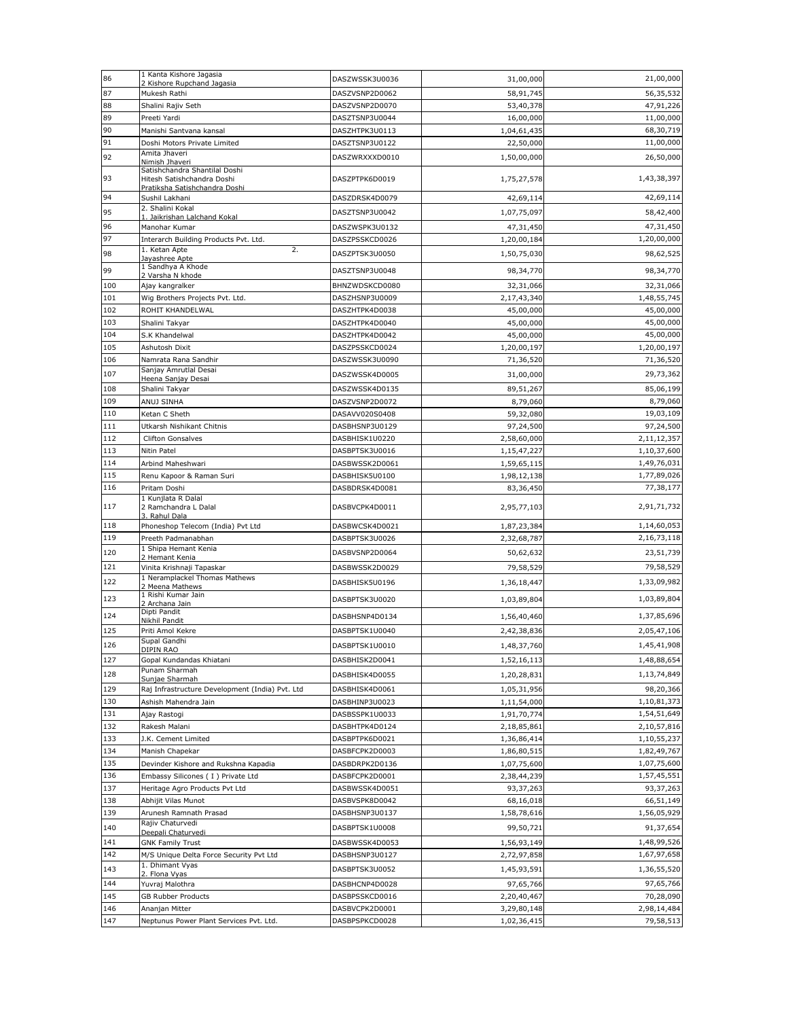| 86         | 1 Kanta Kishore Jagasia<br>2 Kishore Rupchand Jagasia                                        | DASZWSSK3U0036                   | 31,00,000                | 21,00,000              |
|------------|----------------------------------------------------------------------------------------------|----------------------------------|--------------------------|------------------------|
| 87         | Mukesh Rathi                                                                                 | DASZVSNP2D0062                   | 58,91,745                | 56,35,532              |
| 88         | Shalini Rajiv Seth                                                                           | DASZVSNP2D0070                   | 53,40,378                | 47,91,226              |
| 89         | Preeti Yardi                                                                                 | DASZTSNP3U0044                   | 16,00,000                | 11,00,000              |
| 90         | Manishi Santvana kansal                                                                      | DASZHTPK3U0113                   | 1,04,61,435              | 68,30,719              |
| 91         | Doshi Motors Private Limited                                                                 | DASZTSNP3U0122                   | 22,50,000                | 11,00,000              |
| 92         | Amita Jhaveri<br>Nimish Jhaveri                                                              | DASZWRXXXD0010                   | 1,50,00,000              | 26,50,000              |
| 93         | Satishchandra Shantilal Doshi<br>Hitesh Satishchandra Doshi<br>Pratiksha Satishchandra Doshi | DASZPTPK6D0019                   | 1,75,27,578              | 1,43,38,397            |
| 94         | Sushil Lakhani                                                                               | DASZDRSK4D0079                   | 42,69,114                | 42,69,114              |
| 95         | 2. Shalini Kokal                                                                             | DASZTSNP3U0042                   | 1,07,75,097              | 58,42,400              |
| 96         | 1. Jaikrishan Lalchand Kokal<br>Manohar Kumar                                                | DASZWSPK3U0132                   | 47,31,450                | 47,31,450              |
| 97         | Interarch Building Products Pvt. Ltd.                                                        | DASZPSSKCD0026                   | 1,20,00,184              | 1,20,00,000            |
| 98         | 2.<br>1. Ketan Apte                                                                          | DASZPTSK3U0050                   | 1,50,75,030              | 98,62,525              |
|            | Jayashree Apte<br>1 Sandhya A Khode                                                          |                                  |                          |                        |
| 99         | 2 Varsha N khode                                                                             | DASZTSNP3U0048                   | 98,34,770                | 98,34,770              |
| 100        | Ajay kangralker                                                                              | BHNZWDSKCD0080                   | 32,31,066                | 32,31,066              |
| 101        | Wig Brothers Projects Pvt. Ltd.                                                              | DASZHSNP3U0009                   | 2,17,43,340              | 1,48,55,745            |
| 102<br>103 | ROHIT KHANDELWAL                                                                             | DASZHTPK4D0038                   | 45,00,000                | 45,00,000<br>45,00,000 |
| 104        | Shalini Takyar<br>S.K Khandelwal                                                             | DASZHTPK4D0040<br>DASZHTPK4D0042 | 45,00,000<br>45,00,000   | 45,00,000              |
| 105        | Ashutosh Dixit                                                                               | DASZPSSKCD0024                   | 1,20,00,197              | 1,20,00,197            |
| 106        | Namrata Rana Sandhir                                                                         | DASZWSSK3U0090                   | 71,36,520                | 71,36,520              |
| 107        | Sanjay Amrutlal Desai                                                                        | DASZWSSK4D0005                   | 31,00,000                | 29,73,362              |
|            | Heena Sanjay Desai                                                                           | DASZWSSK4D0135                   |                          |                        |
| 108<br>109 | Shalini Takyar                                                                               |                                  | 89,51,267                | 85,06,199<br>8,79,060  |
| 110        | ANUJ SINHA<br>Ketan C Sheth                                                                  | DASZVSNP2D0072<br>DASAVV020S0408 | 8,79,060<br>59,32,080    | 19,03,109              |
| 111        | Utkarsh Nishikant Chitnis                                                                    | DASBHSNP3U0129                   | 97,24,500                | 97,24,500              |
| 112        | <b>Clifton Gonsalves</b>                                                                     | DASBHISK1U0220                   | 2,58,60,000              | 2,11,12,357            |
| 113        | Nitin Patel                                                                                  | DASBPTSK3U0016                   | 1,15,47,227              | 1,10,37,600            |
| 114        | Arbind Maheshwari                                                                            | DASBWSSK2D0061                   | 1,59,65,115              | 1,49,76,031            |
| 115        | Renu Kapoor & Raman Suri                                                                     | DASBHISK5U0100                   | 1,98,12,138              | 1,77,89,026            |
| 116        | Pritam Doshi                                                                                 | DASBDRSK4D0081                   | 83,36,450                | 77,38,177              |
| 117        | 1 Kunjlata R Dalal<br>2 Ramchandra L Dalal                                                   | DASBVCPK4D0011                   | 2,95,77,103              | 2,91,71,732            |
| 118        | 3. Rahul Dala<br>Phoneshop Telecom (India) Pvt Ltd                                           | DASBWCSK4D0021                   | 1,87,23,384              | 1,14,60,053            |
| 119        | Preeth Padmanabhan                                                                           | DASBPTSK3U0026                   | 2,32,68,787              | 2,16,73,118            |
| 120        | 1 Shipa Hemant Kenia                                                                         | DASBVSNP2D0064                   | 50,62,632                | 23,51,739              |
| 121        | 2 Hemant Kenia<br>Vinita Krishnaji Tapaskar                                                  | DASBWSSK2D0029                   | 79,58,529                | 79,58,529              |
| 122        | 1 Neramplackel Thomas Mathews                                                                | DASBHISK5U0196                   | 1,36,18,447              | 1,33,09,982            |
|            | 2 Meena Mathews<br>1 Rishi Kumar Jain                                                        |                                  |                          |                        |
| 123        | 2 Archana Jain<br>Dipti Pandit                                                               | DASBPTSK3U0020                   | 1,03,89,804              | 1,03,89,804            |
| 124        | Nikhil Pandit                                                                                | DASBHSNP4D0134                   | 1,56,40,460              | 1,37,85,696            |
| 125        | Priti Amol Kekre                                                                             | DASBPTSK1U0040                   | 2,42,38,836              | 2,05,47,106            |
| 126        | Supal Gandhi<br>DIPIN RAO                                                                    | DASBPTSK1U0010                   | 1,48,37,760              | 1,45,41,908            |
| 127        | Gopal Kundandas Khiatani                                                                     | DASBHISK2D0041                   | 1,52,16,113              | 1,48,88,654            |
| 128        | Punam Sharmah<br>Sunjae Sharmah                                                              | DASBHISK4D0055                   | 1,20,28,831              | 1,13,74,849            |
| 129        | Raj Infrastructure Development (India) Pvt. Ltd                                              | DASBHISK4D0061                   | 1,05,31,956              | 98,20,366              |
| 130        | Ashish Mahendra Jain                                                                         | DASBHINP3U0023                   | 1,11,54,000              | 1,10,81,373            |
| 131        | Ajay Rastogi                                                                                 | DASBSSPK1U0033                   | 1,91,70,774              | 1,54,51,649            |
| 132        | Rakesh Malani                                                                                | DASBHTPK4D0124                   | 2,18,85,861              | 2,10,57,816            |
| 133        | J.K. Cement Limited                                                                          | DASBPTPK6D0021                   | 1,36,86,414              | 1,10,55,237            |
| 134        | Manish Chapekar                                                                              | DASBFCPK2D0003                   | 1,86,80,515              | 1,82,49,767            |
| 135        | Devinder Kishore and Rukshna Kapadia                                                         | DASBDRPK2D0136                   | 1,07,75,600              | 1,07,75,600            |
| 136<br>137 | Embassy Silicones (I) Private Ltd                                                            | DASBFCPK2D0001                   | 2,38,44,239              | 1,57,45,551            |
| 138        | Heritage Agro Products Pvt Ltd<br>Abhijit Vilas Munot                                        | DASBWSSK4D0051<br>DASBVSPK8D0042 | 93,37,263                | 93,37,263<br>66,51,149 |
| 139        | Arunesh Ramnath Prasad                                                                       | DASBHSNP3U0137                   | 68,16,018<br>1,58,78,616 | 1,56,05,929            |
|            | Rajiv Chaturvedi                                                                             |                                  |                          |                        |
| 140        | Deepali Chaturvedi                                                                           | DASBPTSK1U0008                   | 99,50,721                | 91,37,654              |
| 141        | <b>GNK Family Trust</b>                                                                      | DASBWSSK4D0053                   | 1,56,93,149              | 1,48,99,526            |
| 142        | M/S Unique Delta Force Security Pvt Ltd<br>1. Dhimant Vyas                                   | DASBHSNP3U0127                   | 2,72,97,858              | 1,67,97,658            |
| 143        | 2. Flona Vyas                                                                                | DASBPTSK3U0052                   | 1,45,93,591              | 1,36,55,520            |
| 144        | Yuvraj Malothra                                                                              | DASBHCNP4D0028                   | 97,65,766                | 97,65,766              |
| 145        | GB Rubber Products                                                                           | DASBPSSKCD0016                   | 2,20,40,467              | 70,28,090              |
| 146        | Ananjan Mitter                                                                               | DASBVCPK2D0001                   | 3,29,80,148              | 2,98,14,484            |
| 147        | Neptunus Power Plant Services Pvt. Ltd.                                                      | DASBPSPKCD0028                   | 1,02,36,415              | 79,58,513              |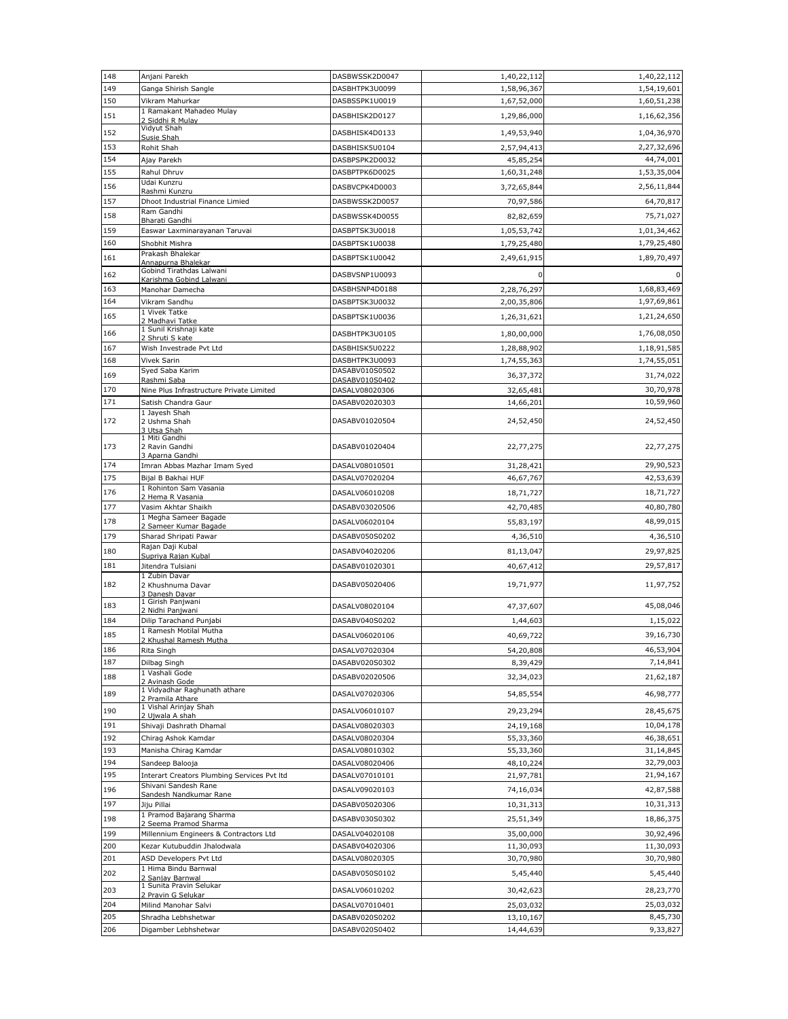| 148        | Anjani Parekh                                     | DASBWSSK2D0047                   | 1,40,22,112                | 1,40,22,112                |
|------------|---------------------------------------------------|----------------------------------|----------------------------|----------------------------|
| 149        | Ganga Shirish Sangle                              | DASBHTPK3U0099                   | 1,58,96,367                | 1,54,19,601                |
| 150        | Vikram Mahurkar                                   | DASBSSPK1U0019                   | 1,67,52,000                | 1,60,51,238                |
| 151        | 1 Ramakant Mahadeo Mulay<br>2 Siddhi R Mulay      | DASBHISK2D0127                   | 1,29,86,000                | 1,16,62,356                |
| 152        | Vidyut Shah<br>Susie Shah                         | DASBHISK4D0133                   | 1,49,53,940                | 1,04,36,970                |
| 153        | Rohit Shah                                        | DASBHISK5U0104                   | 2,57,94,413                | 2,27,32,696                |
| 154        | Ajay Parekh                                       | DASBPSPK2D0032                   | 45,85,254                  | 44,74,001                  |
| 155        | Rahul Dhruv                                       | DASBPTPK6D0025                   | 1,60,31,248                | 1,53,35,004                |
| 156        | Udai Kunzru                                       | DASBVCPK4D0003                   | 3,72,65,844                | 2,56,11,844                |
| 157        | Rashmi Kunzru<br>Dhoot Industrial Finance Limied  | DASBWSSK2D0057                   | 70,97,586                  | 64,70,817                  |
| 158        | Ram Gandhi                                        | DASBWSSK4D0055                   | 82,82,659                  | 75,71,027                  |
| 159        | Bharati Gandhi<br>Easwar Laxminarayanan Taruvai   | DASBPTSK3U0018                   | 1,05,53,742                | 1,01,34,462                |
| 160        | Shobhit Mishra                                    | DASBPTSK1U0038                   | 1,79,25,480                | 1,79,25,480                |
| 161        | Prakash Bhalekar                                  | DASBPTSK1U0042                   | 2,49,61,915                | 1,89,70,497                |
| 162        | Annapurna Bhalekar<br>Gobind Tirathdas Lalwani    | DASBVSNP1U0093                   | 0                          | 0                          |
|            | Karishma Gobind Lalwani                           |                                  |                            |                            |
| 163<br>164 | Manohar Damecha<br>Vikram Sandhu                  | DASBHSNP4D0188<br>DASBPTSK3U0032 | 2,28,76,297<br>2,00,35,806 | 1,68,83,469<br>1,97,69,861 |
|            | 1 Vivek Tatke                                     |                                  |                            |                            |
| 165        | 2 Madhavi Tatke<br>1 Sunil Krishnaji kate         | DASBPTSK1U0036                   | 1,26,31,621                | 1,21,24,650                |
| 166        | 2 Shruti S kate                                   | DASBHTPK3U0105                   | 1,80,00,000                | 1,76,08,050                |
| 167        | Wish Investrade Pvt Ltd                           | DASBHISK5U0222                   | 1,28,88,902                | 1,18,91,585                |
| 168        | Vivek Sarin<br>Syed Saba Karim                    | DASBHTPK3U0093<br>DASABV010S0502 | 1,74,55,363                | 1,74,55,051                |
| 169        | Rashmi Saba                                       | DASABV010S0402                   | 36, 37, 372                | 31,74,022                  |
| 170        | Nine Plus Infrastructure Private Limited          | DASALV08020306                   | 32,65,481                  | 30,70,978                  |
| 171        | Satish Chandra Gaur                               | DASABV02020303                   | 14,66,201                  | 10,59,960                  |
| 172        | 1 Jayesh Shah<br>2 Ushma Shah                     | DASABV01020504                   | 24,52,450                  | 24,52,450                  |
|            | 3 Utsa Shah<br>1 Miti Gandhi                      |                                  |                            |                            |
| 173        | 2 Ravin Gandhi                                    | DASABV01020404                   | 22,77,275                  | 22,77,275                  |
| 174        | 3 Aparna Gandhi<br>Imran Abbas Mazhar Imam Syed   | DASALV08010501                   | 31,28,421                  | 29,90,523                  |
| 175        | Bijal B Bakhai HUF                                | DASALV07020204                   | 46,67,767                  | 42,53,639                  |
| 176        | 1 Rohinton Sam Vasania                            | DASALV06010208                   | 18,71,727                  | 18,71,727                  |
| 177        | 2 Hema R Vasania<br>Vasim Akhtar Shaikh           | DASABV03020506                   | 42,70,485                  | 40,80,780                  |
| 178        | 1 Megha Sameer Bagade                             | DASALV06020104                   |                            | 48,99,015                  |
|            | 2 Sameer Kumar Bagade                             |                                  | 55,83,197                  |                            |
| 179        | Sharad Shripati Pawar<br>Rajan Daji Kubal         | DASABV050S0202                   | 4,36,510                   | 4,36,510                   |
| 180        | Supriya Rajan Kubal                               | DASABV04020206                   | 81,13,047                  | 29,97,825                  |
| 181        | Jitendra Tulsiani<br>1 Zubin Davar                | DASABV01020301                   | 40,67,412                  | 29,57,817                  |
| 182        | 2 Khushnuma Davar                                 | DASABV05020406                   | 19,71,977                  | 11,97,752                  |
|            | 3 Danesh Davar<br>1 Girish Panjwani               |                                  |                            |                            |
| 183        | 2 Nidhi Panjwani                                  | DASALV08020104                   | 47,37,607                  | 45,08,046                  |
| 184        | Dilip Tarachand Punjabi<br>1 Ramesh Motilal Mutha | DASABV040S0202                   | 1,44,603                   | 1,15,022                   |
| 185        | 2 Khushal Ramesh Mutha                            | DASALV06020106                   | 40,69,722                  | 39,16,730                  |
| 186        | Rita Singh                                        | DASALV07020304                   | 54,20,808                  | 46,53,904                  |
| 187        | Dilbag Singh<br>1 Vashali Gode                    | DASABV020S0302                   | 8,39,429                   | 7,14,841                   |
| 188        | 2 Avinash Gode                                    | DASABV02020506                   | 32,34,023                  | 21,62,187                  |
| 189        | 1 Vidyadhar Raghunath athare<br>2 Pramila Athare  | DASALV07020306                   | 54,85,554                  | 46,98,777                  |
| 190        | 1 Vishal Arinjay Shah<br>2 Ujwala A shah          | DASALV06010107                   | 29,23,294                  | 28,45,675                  |
| 191        | Shivaji Dashrath Dhamal                           | DASALV08020303                   | 24,19,168                  | 10,04,178                  |
| 192        | Chirag Ashok Kamdar                               | DASALV08020304                   | 55,33,360                  | 46,38,651                  |
| 193        | Manisha Chirag Kamdar                             | DASALV08010302                   | 55,33,360                  | 31,14,845                  |
| 194        | Sandeep Balooja                                   | DASALV08020406                   | 48,10,224                  | 32,79,003                  |
| 195        | Interart Creators Plumbing Services Pvt Itd       | DASALV07010101                   | 21,97,781                  | 21,94,167                  |
| 196        | Shivani Sandesh Rane<br>Sandesh Nandkumar Rane    | DASALV09020103                   | 74,16,034                  | 42,87,588                  |
| 197        | Jiju Pillai                                       | DASABV05020306                   | 10,31,313                  | 10,31,313                  |
| 198        | 1 Pramod Bajarang Sharma<br>2 Seema Pramod Sharma | DASABV030S0302                   | 25,51,349                  | 18,86,375                  |
| 199        | Millennium Engineers & Contractors Ltd            | DASALV04020108                   | 35,00,000                  | 30,92,496                  |
| 200        | Kezar Kutubuddin Jhalodwala                       | DASABV04020306                   | 11,30,093                  | 11,30,093                  |
| 201        | ASD Developers Pvt Ltd                            | DASALV08020305                   | 30,70,980                  | 30,70,980                  |
| 202        | 1 Hima Bindu Barnwal<br>2 Sanjay Barnwal          | DASABV050S0102                   | 5,45,440                   | 5,45,440                   |
| 203        | 1 Sunita Pravin Selukar<br>2 Pravin G Selukar     | DASALV06010202                   | 30,42,623                  | 28,23,770                  |
| 204        | Milind Manohar Salvi                              | DASALV07010401                   | 25,03,032                  | 25,03,032                  |
| 205        | Shradha Lebhshetwar                               | DASABV020S0202                   | 13,10,167                  | 8,45,730                   |
| 206        | Digamber Lebhshetwar                              | DASABV020S0402                   | 14,44,639                  | 9,33,827                   |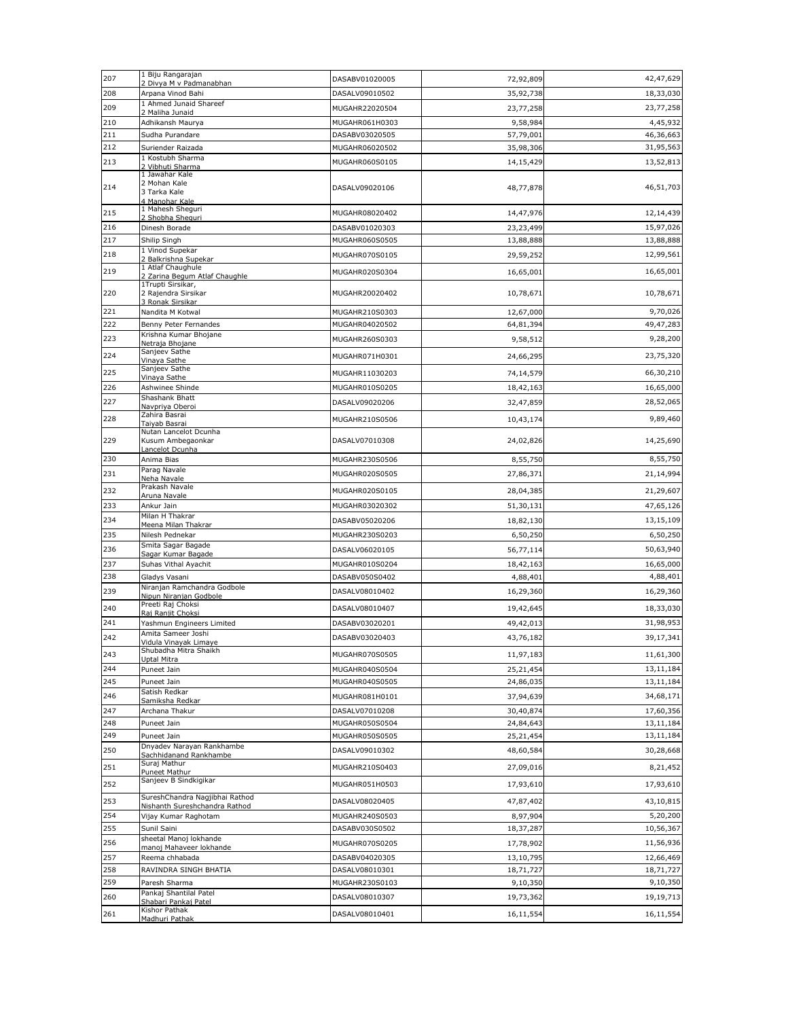| 207        | 1 Biju Rangarajan                                             | DASABV01020005                   | 72,92,809             | 42,47,629             |
|------------|---------------------------------------------------------------|----------------------------------|-----------------------|-----------------------|
| 208        | 2 Divya M v Padmanabhan<br>Arpana Vinod Bahi                  | DASALV09010502                   | 35,92,738             | 18,33,030             |
| 209        | 1 Ahmed Junaid Shareef                                        | MUGAHR22020504                   | 23,77,258             | 23,77,258             |
| 210        | 2 Maliha Junaid<br>Adhikansh Maurya                           | MUGAHR061H0303                   | 9,58,984              | 4,45,932              |
| 211        | Sudha Purandare                                               | DASABV03020505                   | 57,79,001             | 46,36,663             |
| 212        | Suriender Raizada                                             | MUGAHR06020502                   | 35,98,306             | 31,95,563             |
| 213        | 1 Kostubh Sharma                                              | MUGAHR060S0105                   | 14,15,429             | 13,52,813             |
|            | 2 Vibhuti Sharma<br>1 Jawahar Kale                            |                                  |                       |                       |
| 214        | 2 Mohan Kale<br>3 Tarka Kale<br>4 Manohar Kale                | DASALV09020106                   | 48,77,878             | 46,51,703             |
| 215        | 1 Mahesh Sheguri                                              | MUGAHR08020402                   | 14,47,976             | 12,14,439             |
| 216        | 2 Shobha Sheguri<br>Dinesh Borade                             | DASABV01020303                   | 23,23,499             | 15,97,026             |
| 217        | Shilip Singh                                                  | MUGAHR060S0505                   | 13,88,888             | 13,88,888             |
| 218        | 1 Vinod Supekar                                               | MUGAHR070S0105                   | 29,59,252             | 12,99,561             |
|            | 2 Balkrishna Supekar<br>1 Atlaf Chaughule                     |                                  |                       |                       |
| 219        | 2 Zarina Begum Atlaf Chaughle                                 | MUGAHR020S0304                   | 16,65,001             | 16,65,001             |
| 220        | 1Trupti Sirsikar,<br>2 Rajendra Sirsikar<br>3 Ronak Sirsikar  | MUGAHR20020402                   | 10,78,671             | 10,78,671             |
| 221        | Nandita M Kotwal                                              | MUGAHR210S0303                   | 12,67,000             | 9,70,026              |
| 222        | Benny Peter Fernandes                                         | MUGAHR04020502                   | 64,81,394             | 49,47,283             |
| 223        | Krishna Kumar Bhojane<br>Netraja Bhojane                      | MUGAHR260S0303                   | 9,58,512              | 9,28,200              |
| 224        | Sanjeev Sathe                                                 | MUGAHR071H0301                   | 24,66,295             | 23,75,320             |
| 225        | Vinaya Sathe<br>Sanjeev Sathe                                 | MUGAHR11030203                   | 74,14,579             | 66,30,210             |
|            | Vinaya Sathe                                                  |                                  |                       |                       |
| 226        | Ashwinee Shinde<br>Shashank Bhatt                             | MUGAHR010S0205                   | 18,42,163             | 16,65,000             |
| 227        | Navpriya Oberoi                                               | DASALV09020206                   | 32,47,859             | 28,52,065             |
| 228        | Zahira Basrai<br>Taiyab Basrai                                | MUGAHR210S0506                   | 10,43,174             | 9,89,460              |
| 229        | Nutan Lancelot Dcunha<br>Kusum Ambegaonkar<br>Lancelot Dcunha | DASALV07010308                   | 24,02,826             | 14,25,690             |
| 230        | Anima Bias                                                    | MUGAHR230S0506                   | 8,55,750              | 8,55,750              |
| 231        | Parag Navale                                                  | MUGAHR020S0505                   | 27,86,371             | 21,14,994             |
|            | Neha Navale<br>Prakash Navale                                 | MUGAHR020S0105                   |                       |                       |
| 232        | Aruna Navale                                                  |                                  | 28,04,385             | 21,29,607             |
| 233        | Ankur Jain<br>Milan H Thakrar                                 | MUGAHR03020302                   | 51,30,131             | 47,65,126             |
| 234        | Meena Milan Thakrar                                           | DASABV05020206                   | 18,82,130             | 13,15,109             |
| 235        | Nilesh Pednekar<br>Smita Sagar Bagade                         | MUGAHR230S0203                   | 6,50,250              | 6,50,250              |
| 236        | Sagar Kumar Bagade                                            | DASALV06020105                   | 56,77,114             | 50,63,940             |
| 237        | Suhas Vithal Ayachit                                          | MUGAHR010S0204                   | 18,42,163             | 16,65,000             |
| 238        | Gladys Vasani                                                 | DASABV050S0402                   | 4,88,401              | 4,88,401              |
| 239        | Niranjan Ramchandra Godbole<br>Nipun Niranjan Godbole         | DASALV08010402                   | 16,29,360             | 16,29,360             |
| 240        | Preeti Raj Choksi                                             | DASALV08010407                   | 19,42,645             | 18,33,030             |
| 241        | Raj Ranjit Choksi<br>Yashmun Engineers Limited                | DASABV03020201                   | 49,42,013             | 31,98,953             |
| 242        | Amita Sameer Joshi                                            | DASABV03020403                   | 43,76,182             | 39,17,341             |
|            | Vidula Vinayak Limaye<br>Shubadha Mitra Shaikh                |                                  |                       |                       |
| 243        | Uptal Mitra                                                   | MUGAHR070S0505                   | 11,97,183             | 11,61,300             |
| 244        | Puneet Jain                                                   | MUGAHR040S0504                   | 25,21,454             | 13,11,184             |
| 245        | Puneet Jain<br>Satish Redkar                                  | MUGAHR040S0505                   | 24,86,035             | 13,11,184             |
| 246        | Samiksha Redkar                                               | MUGAHR081H0101                   | 37,94,639             | 34,68,171             |
| 247        | Archana Thakur                                                | DASALV07010208                   | 30,40,874             | 17,60,356             |
| 248        | Puneet Jain                                                   | MUGAHR050S0504                   | 24,84,643             | 13,11,184             |
| 249        | Puneet Jain<br>Dnyadev Narayan Rankhambe                      | MUGAHR050S0505                   | 25,21,454             | 13,11,184             |
| 250        | Sachhidanand Rankhambe<br>Suraj Mathur                        | DASALV09010302                   | 48,60,584             | 30,28,668             |
| 251        | Puneet Mathur                                                 | MUGAHR210S0403                   | 27,09,016             | 8,21,452              |
| 252        | Sanjeev B Sindkigikar                                         | MUGAHR051H0503                   | 17,93,610             | 17,93,610             |
| 253        | SureshChandra Nagjibhai Rathod                                | DASALV08020405                   | 47,87,402             | 43,10,815             |
| 254        | Nishanth Sureshchandra Rathod<br>Vijay Kumar Raghotam         | MUGAHR240S0503                   | 8,97,904              | 5,20,200              |
| 255        | Sunil Saini                                                   | DASABV030S0502                   | 18,37,287             | 10,56,367             |
| 256        | sheetal Manoj lokhande                                        | MUGAHR070S0205                   | 17,78,902             |                       |
|            | manoj Mahaveer lokhande                                       |                                  |                       | 11,56,936             |
| 257<br>258 | Reema chhabada<br>RAVINDRA SINGH BHATIA                       | DASABV04020305                   | 13,10,795             | 12,66,469             |
| 259        | Paresh Sharma                                                 | DASALV08010301<br>MUGAHR230S0103 | 18,71,727<br>9,10,350 | 18,71,727<br>9,10,350 |
|            | Pankaj Shantilal Patel                                        |                                  |                       |                       |
| 260        | Shabari Pankaj Patel<br>Kishor Pathak                         | DASALV08010307                   | 19,73,362             | 19,19,713             |
| 261        | Madhuri Pathak                                                | DASALV08010401                   | 16,11,554             | 16,11,554             |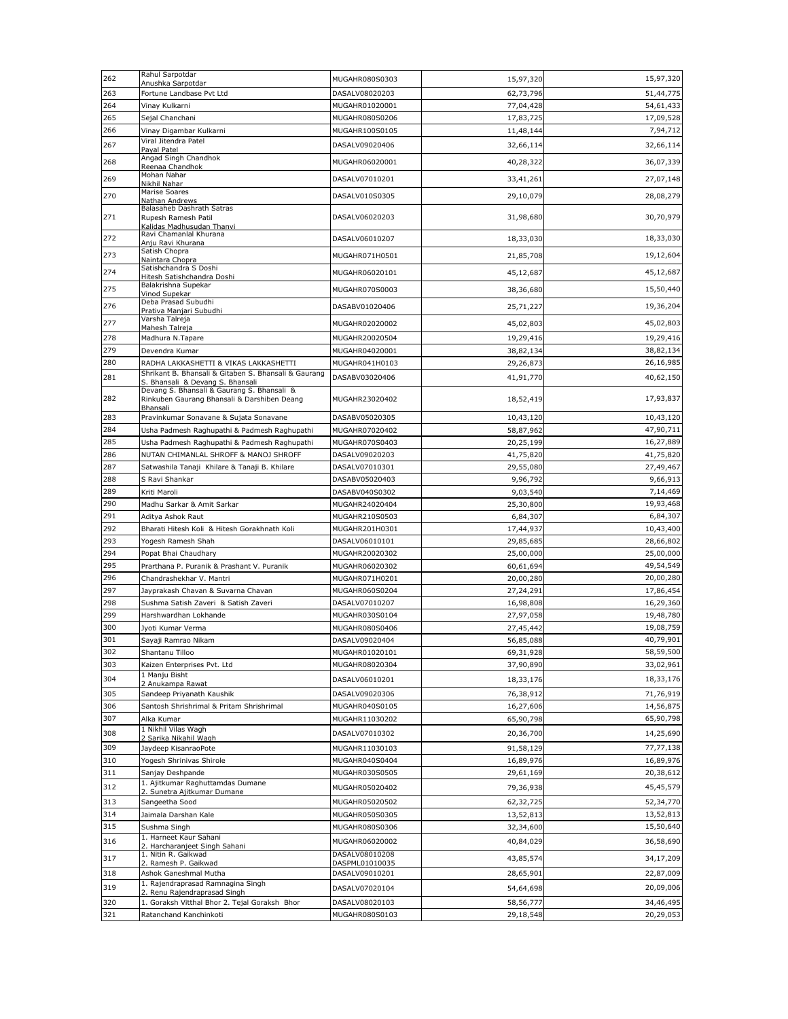| 262        | Rahul Sarpotdar                                                                | MUGAHR080S0303                   | 15,97,320              | 15,97,320              |
|------------|--------------------------------------------------------------------------------|----------------------------------|------------------------|------------------------|
| 263        | Anushka Sarpotdar<br>Fortune Landbase Pvt Ltd                                  | DASALV08020203                   | 62,73,796              | 51,44,775              |
| 264        | Vinay Kulkarni                                                                 | MUGAHR01020001                   | 77,04,428              | 54,61,433              |
| 265        | Sejal Chanchani                                                                | MUGAHR080S0206                   | 17,83,725              | 17,09,528              |
| 266        | Vinay Digambar Kulkarni                                                        | MUGAHR100S0105                   | 11,48,144              | 7,94,712               |
| 267        | Viral Jitendra Patel<br>Payal Patel                                            | DASALV09020406                   | 32,66,114              | 32,66,114              |
| 268        | Angad Singh Chandhok                                                           | MUGAHR06020001                   | 40,28,322              | 36,07,339              |
|            | Reenaa Chandhok<br>Mohan Nahar                                                 |                                  |                        |                        |
| 269        | Nikhil Nahar                                                                   | DASALV07010201                   | 33,41,261              | 27,07,148              |
| 270        | Marise Soares<br>Nathan Andrews                                                | DASALV010S0305                   | 29,10,079              | 28,08,279              |
| 271        | Balasaheb Dashrath Satras<br>Rupesh Ramesh Patil<br>Kalidas Madhusudan Thanvi  | DASALV06020203                   | 31,98,680              | 30,70,979              |
| 272        | Ravi Chamanlal Khurana<br>Anju Ravi Khurana                                    | DASALV06010207                   | 18,33,030              | 18,33,030              |
| 273        | Satish Chopra                                                                  | MUGAHR071H0501                   | 21,85,708              | 19,12,604              |
|            | Naintara Chopra<br>Satishchandra S Doshi                                       |                                  |                        |                        |
| 274        | Hitesh Satishchandra Doshi                                                     | MUGAHR06020101                   | 45,12,687              | 45,12,687              |
| 275        | Balakrishna Supekar<br>Vinod Supekar                                           | MUGAHR070S0003                   | 38,36,680              | 15,50,440              |
| 276        | Deba Prasad Subudhi<br>Prativa Manjari Subudhi                                 | DASABV01020406                   | 25,71,227              | 19,36,204              |
| 277        | Varsha Talreja                                                                 | MUGAHR02020002                   | 45,02,803              | 45,02,803              |
| 278        | Mahesh Talreja<br>Madhura N.Tapare                                             | MUGAHR20020504                   | 19,29,416              | 19,29,416              |
| 279        | Devendra Kumar                                                                 | MUGAHR04020001                   | 38,82,134              | 38,82,134              |
| 280        | RADHA LAKKASHETTI & VIKAS LAKKASHETTI                                          | MUGAHR041H0103                   | 29,26,873              | 26,16,985              |
| 281        | Shrikant B. Bhansali & Gitaben S. Bhansali & Gaurang                           | DASABV03020406                   | 41,91,770              | 40,62,150              |
|            | S. Bhansali & Devang S. Bhansali<br>Devang S. Bhansali & Gaurang S. Bhansali & |                                  |                        |                        |
| 282        | Rinkuben Gaurang Bhansali & Darshiben Deang<br>Bhansali                        | MUGAHR23020402                   | 18,52,419              | 17,93,837              |
| 283        | Pravinkumar Sonavane & Sujata Sonavane                                         | DASABV05020305                   | 10,43,120              | 10,43,120              |
| 284        | Usha Padmesh Raghupathi & Padmesh Raghupathi                                   | MUGAHR07020402                   | 58,87,962              | 47,90,711              |
| 285        | Usha Padmesh Raghupathi & Padmesh Raghupathi                                   | MUGAHR070S0403                   | 20,25,199              | 16,27,889              |
| 286        | NUTAN CHIMANLAL SHROFF & MANOJ SHROFF                                          | DASALV09020203                   | 41,75,820              | 41,75,820              |
| 287        | Satwashila Tanaji Khilare & Tanaji B. Khilare                                  | DASALV07010301                   | 29,55,080              | 27,49,467              |
| 288<br>289 | S Ravi Shankar<br>Kriti Maroli                                                 | DASABV05020403                   | 9,96,792               | 9,66,913<br>7,14,469   |
| 290        | Madhu Sarkar & Amit Sarkar                                                     | DASABV040S0302<br>MUGAHR24020404 | 9,03,540<br>25,30,800  | 19,93,468              |
| 291        | Aditya Ashok Raut                                                              | MUGAHR210S0503                   | 6,84,307               | 6,84,307               |
| 292        | Bharati Hitesh Koli & Hitesh Gorakhnath Koli                                   | MUGAHR201H0301                   | 17,44,937              | 10,43,400              |
| 293        | Yogesh Ramesh Shah                                                             | DASALV06010101                   | 29,85,685              | 28,66,802              |
| 294        | Popat Bhai Chaudhary                                                           | MUGAHR20020302                   | 25,00,000              | 25,00,000              |
| 295        | Prarthana P. Puranik & Prashant V. Puranik                                     | MUGAHR06020302                   | 60,61,694              | 49,54,549              |
| 296        | Chandrashekhar V. Mantri                                                       | MUGAHR071H0201                   | 20,00,280              | 20,00,280              |
| 297        | Jayprakash Chavan & Suvarna Chavan                                             | MUGAHR060S0204                   | 27,24,291              | 17,86,454              |
| 298        | Sushma Satish Zaveri & Satish Zaveri                                           | DASALV07010207                   | 16,98,808              | 16,29,360              |
| 299        | Harshwardhan Lokhande                                                          | MUGAHR030S0104                   | 27,97,058              | 19,48,780              |
| 300        | Jyoti Kumar Verma                                                              | MUGAHR080S0406                   | 27,45,442              | 19,08,759              |
| 301<br>302 | Sayaji Ramrao Nikam<br>Shantanu Tilloo                                         | DASALV09020404<br>MUGAHR01020101 | 56,85,088<br>69,31,928 | 40,79,901<br>58,59,500 |
| 303        | Kaizen Enterprises Pvt. Ltd                                                    | MUGAHR08020304                   | 37,90,890              | 33,02,961              |
| 304        | 1 Manju Bisht                                                                  |                                  |                        | 18,33,176              |
|            | 2 Anukampa Rawat<br>Sandeep Priyanath Kaushik                                  | DASALV06010201                   | 18,33,176              |                        |
| 305<br>306 | Santosh Shrishrimal & Pritam Shrishrimal                                       | DASALV09020306<br>MUGAHR040S0105 | 76,38,912              | 71,76,919<br>14,56,875 |
| 307        | Alka Kumar                                                                     | MUGAHR11030202                   | 16,27,606<br>65,90,798 | 65,90,798              |
| 308        | 1 Nikhil Vilas Wagh                                                            |                                  |                        | 14,25,690              |
|            | 2 Sarika Nikahil Wagh                                                          | DASALV07010302                   | 20,36,700              |                        |
| 309<br>310 | Jaydeep KisanraoPote<br>Yogesh Shrinivas Shirole                               | MUGAHR11030103<br>MUGAHR040S0404 | 91,58,129<br>16,89,976 | 77,77,138<br>16,89,976 |
| 311        | Sanjay Deshpande                                                               | MUGAHR030S0505                   | 29,61,169              | 20,38,612              |
| 312        | 1. Ajitkumar Raghuttamdas Dumane                                               |                                  |                        | 45,45,579              |
|            | 2. Sunetra Ajitkumar Dumane                                                    | MUGAHR05020402                   | 79,36,938              |                        |
| 313<br>314 | Sangeetha Sood<br>Jaimala Darshan Kale                                         | MUGAHR05020502<br>MUGAHR050S0305 | 62,32,725<br>13,52,813 | 52,34,770<br>13,52,813 |
| 315        | Sushma Singh                                                                   | MUGAHR080S0306                   | 32,34,600              | 15,50,640              |
| 316        | 1. Harneet Kaur Sahani                                                         | MUGAHR06020002                   |                        | 36,58,690              |
|            | 2. Harcharanjeet Singh Sahani<br>1. Nitin R. Gaikwad                           | DASALV08010208                   | 40,84,029              |                        |
| 317        | 2. Ramesh P. Gaikwad                                                           | DASPML01010035                   | 43,85,574              | 34,17,209              |
| 318        | Ashok Ganeshmal Mutha                                                          | DASALV09010201                   | 28,65,901              | 22,87,009              |
| 319        | 1. Rajendraprasad Ramnagina Singh<br>2. Renu Rajendraprasad Singh              | DASALV07020104                   | 54,64,698              | 20,09,006              |
| 320        | 1. Goraksh Vitthal Bhor 2. Tejal Goraksh Bhor                                  | DASALV08020103                   | 58,56,777              | 34,46,495              |
| 321        | Ratanchand Kanchinkoti                                                         | MUGAHR080S0103                   | 29,18,548              | 20,29,053              |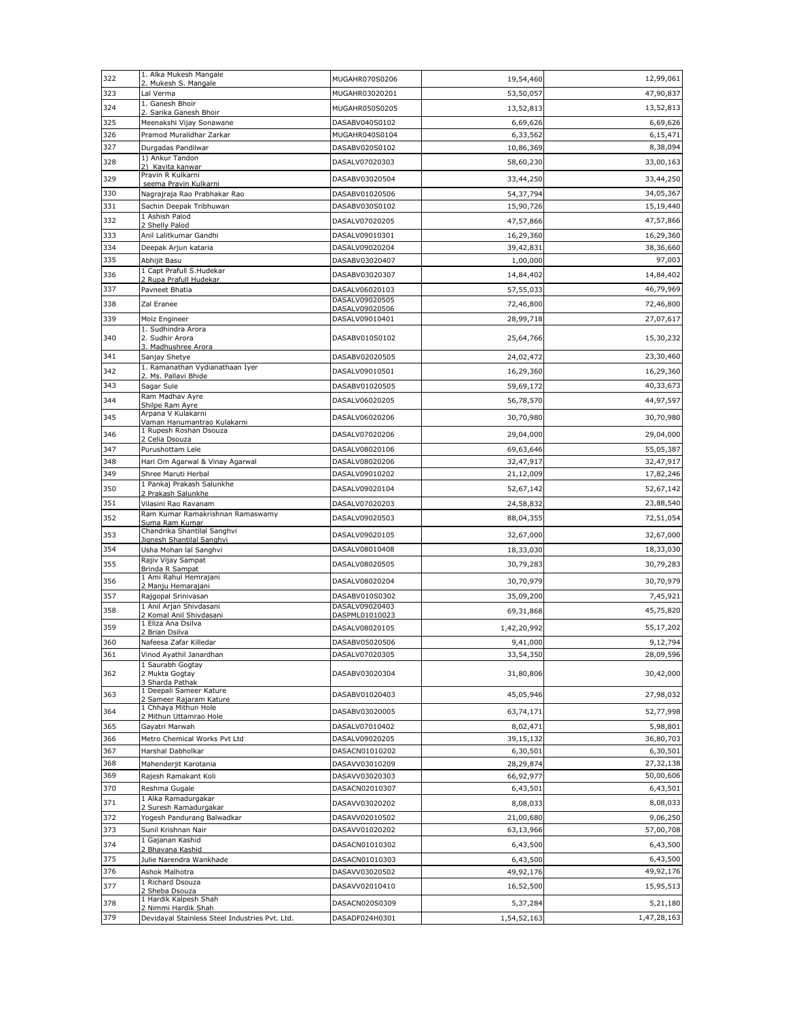| 322        | 1. Alka Mukesh Mangale<br>2. Mukesh S. Mangale           | MUGAHR070S0206                   | 19,54,460              | 12,99,061              |
|------------|----------------------------------------------------------|----------------------------------|------------------------|------------------------|
| 323        | Lal Verma                                                | MUGAHR03020201                   | 53,50,057              | 47,90,837              |
| 324        | 1. Ganesh Bhoir                                          | MUGAHR050S0205                   | 13,52,813              | 13,52,813              |
| 325        | 2. Sarika Ganesh Bhoir<br>Meenakshi Vijay Sonawane       | DASABV040S0102                   | 6,69,626               | 6,69,626               |
| 326        | Pramod Muralidhar Zarkar                                 | MUGAHR040S0104                   | 6,33,562               | 6,15,471               |
| 327        | Durgadas Pandilwar                                       | DASABV020S0102                   | 10,86,369              | 8,38,094               |
| 328        | 1) Ankur Tandon                                          | DASALV07020303                   | 58,60,230              | 33,00,163              |
| 329        | 2) Kavita kanwar<br>Pravin R Kulkarni                    |                                  |                        |                        |
|            | seema Pravin Kulkarni                                    | DASABV03020504                   | 33,44,250              | 33,44,250              |
| 330<br>331 | Nagrajraja Rao Prabhakar Rao                             | DASABV01020506                   | 54,37,794<br>15,90,726 | 34,05,367<br>15,19,440 |
|            | Sachin Deepak Tribhuwan<br>1 Ashish Palod                | DASABV030S0102                   |                        |                        |
| 332        | 2 Shelly Palod                                           | DASALV07020205                   | 47,57,866              | 47,57,866              |
| 333        | Anil Lalitkumar Gandhi                                   | DASALV09010301                   | 16,29,360              | 16,29,360              |
| 334<br>335 | Deepak Arjun kataria<br>Abhijit Basu                     | DASALV09020204<br>DASABV03020407 | 39,42,831<br>1,00,000  | 38,36,660<br>97,003    |
| 336        | 1 Capt Prafull S.Hudekar                                 | DASABV03020307                   | 14,84,402              | 14,84,402              |
|            | 2 Rupa Prafull Hudekar                                   |                                  |                        |                        |
| 337        | Pavneet Bhatia                                           | DASALV06020103<br>DASALV09020505 | 57,55,033              | 46,79,969              |
| 338        | Zal Eranee                                               | DASALV09020506                   | 72,46,800              | 72,46,800              |
| 339        | Moiz Engineer<br>1. Sudhindra Arora                      | DASALV09010401                   | 28,99,718              | 27,07,617              |
| 340        | 2. Sudhir Arora<br>3. Madhushree Arora                   | DASABV010S0102                   | 25,64,766              | 15,30,232              |
| 341        | Sanjay Shetye                                            | DASABV02020505                   | 24,02,472              | 23,30,460              |
| 342        | 1. Ramanathan Vydianathaan Iyer<br>2. Ms. Pallavi Bhide  | DASALV09010501                   | 16,29,360              | 16,29,360              |
| 343        | Sagar Sule                                               | DASABV01020505                   | 59,69,172              | 40,33,673              |
| 344        | Ram Madhav Ayre<br>Shilpe Ram Ayre                       | DASALV06020205                   | 56,78,570              | 44,97,597              |
| 345        | Arpana V Kulakarni<br>Vaman Hanumantrao Kulakarni        | DASALV06020206                   | 30,70,980              | 30,70,980              |
| 346        | 1 Rupesh Roshan Dsouza                                   | DASALV07020206                   | 29,04,000              | 29,04,000              |
| 347        | 2 Celia Dsouza<br>Purushottam Lele                       | DASALV08020106                   | 69,63,646              | 55,05,387              |
| 348        | Hari Om Agarwal & Vinay Agarwal                          | DASALV08020206                   | 32,47,917              | 32,47,917              |
| 349        | Shree Maruti Herbal                                      | DASALV09010202                   | 21,12,009              | 17,82,246              |
| 350        | 1 Pankaj Prakash Salunkhe<br>2 Prakash Salunkhe          | DASALV09020104                   | 52,67,142              | 52,67,142              |
|            |                                                          |                                  |                        |                        |
| 351        |                                                          |                                  |                        |                        |
| 352        | Vilasini Rao Ravanam<br>Ram Kumar Ramakrishnan Ramaswamy | DASALV07020203                   | 24,58,832              | 23,88,540              |
|            | Suma Ram Kumar<br>Chandrika Shantilal Sanghvi            | DASALV09020503                   | 88,04,355              | 72,51,054              |
| 353        | Jignesh Shantilal Sanghvi                                | DASALV09020105                   | 32,67,000              | 32,67,000              |
| 354        | Usha Mohan lal Sanghvi                                   | DASALV08010408                   | 18,33,030              | 18,33,030              |
| 355        | Rajiv Vijay Sampat<br>Brinda R Sampat                    | DASALV08020505                   | 30,79,283              | 30,79,283              |
| 356        | 1 Ami Rahul Hemrajani<br>2 Manju Hemarajani              | DASALV08020204                   | 30,70,979              | 30,70,979              |
| 357        | Rajgopal Srinivasan                                      | DASABV010S0302                   | 35,09,200              | 7,45,921               |
| 358        | 1 Anil Arjan Shivdasani                                  | DASALV09020403                   | 69,31,868              | 45,75,820              |
| 359        | 2 Komal Anil Shivdasani<br>1 Eliza Ana Dsilva            | DASPML01010023<br>DASALV08020105 | 1,42,20,992            | 55,17,202              |
|            | 2 Brian Dsilva                                           |                                  |                        |                        |
| 360<br>361 | Nafeesa Zafar Killedar<br>Vinod Ayathil Janardhan        | DASABV05020506<br>DASALV07020305 | 9,41,000<br>33,54,350  | 9,12,794<br>28,09,596  |
| 362        | 1 Saurabh Gogtay<br>2 Mukta Gogtay                       | DASABV03020304                   | 31,80,806              |                        |
| 363        | 3 Sharda Pathak<br>1 Deepali Sameer Kature               | DASABV01020403                   | 45,05,946              | 30,42,000<br>27,98,032 |
|            | 2 Sameer Rajaram Kature<br>1 Chhaya Mithun Hole          |                                  |                        |                        |
| 364        | 2 Mithun Uttamrao Hole                                   | DASABV03020005                   | 63,74,171              | 52,77,998              |
| 365        | Gayatri Marwah                                           | DASALV07010402                   | 8,02,471               | 5,98,801               |
| 366<br>367 | Metro Chemical Works Pvt Ltd<br>Harshal Dabholkar        | DASALV09020205<br>DASACN01010202 | 39,15,132<br>6,30,501  | 36,80,703<br>6,30,501  |
| 368        | Mahenderjit Karotania                                    | DASAVV03010209                   | 28,29,874              | 27,32,138              |
| 369        | Rajesh Ramakant Koli                                     | DASAVV03020303                   | 66,92,977              | 50,00,606              |
| 370        | Reshma Gugale                                            | DASACN02010307                   | 6,43,501               | 6,43,501               |
| 371        | 1 Alka Ramadurgakar                                      | DASAVV03020202                   | 8,08,033               | 8,08,033               |
| 372        | 2 Suresh Ramadurgakar<br>Yogesh Pandurang Balwadkar      | DASAVV02010502                   | 21,00,680              | 9,06,250               |
| 373        | Sunil Krishnan Nair                                      | DASAVV01020202                   | 63,13,966              | 57,00,708              |
| 374        | 1 Gajanan Kashid                                         | DASACN01010302                   | 6,43,500               | 6,43,500               |
| 375        | 2 Bhavana Kashid<br>Julie Narendra Wankhade              | DASACN01010303                   | 6,43,500               | 6,43,500               |
| 376        | Ashok Malhotra                                           | DASAVV03020502                   | 49,92,176              | 49,92,176              |
| 377        | 1 Richard Dsouza<br>2 Sheba Dsouza                       | DASAVV02010410                   | 16,52,500              | 15,95,513              |
| 378        | 1 Hardik Kalpesh Shah<br>2 Nimmi Hardik Shah             | DASACN020S0309                   | 5,37,284               | 5,21,180               |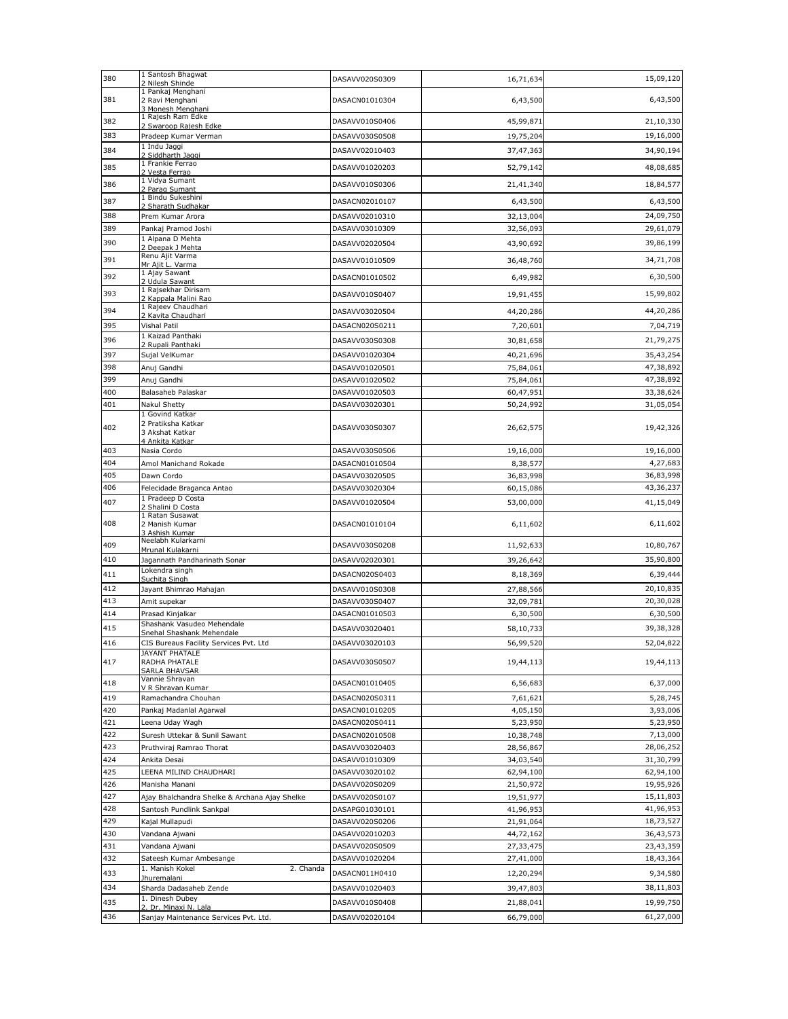| 380        | 1 Santosh Bhagwat<br>2 Nilesh Shinde                                        | DASAVV020S0309                   | 16,71,634              | 15,09,120              |
|------------|-----------------------------------------------------------------------------|----------------------------------|------------------------|------------------------|
| 381        | 1 Pankaj Menghani<br>2 Ravi Menghani                                        | DASACN01010304                   | 6,43,500               | 6,43,500               |
| 382        | 3 Monesh Menghani<br>1 Rajesh Ram Edke                                      | DASAVV010S0406                   | 45,99,871              | 21,10,330              |
| 383        | 2 Swaroop Rajesh Edke<br>Pradeep Kumar Verman                               | DASAVV030S0508                   | 19,75,204              | 19,16,000              |
| 384        | 1 Indu Jaggi                                                                | DASAVV02010403                   | 37,47,363              | 34,90,194              |
|            | 2 Siddharth Jaggi<br>1 Frankie Ferrao                                       |                                  |                        |                        |
| 385        | 2 Vesta Ferrao<br>1 Vidya Sumant                                            | DASAVV01020203                   | 52,79,142              | 48,08,685              |
| 386        | 2 Parag Sumant                                                              | DASAVV010S0306                   | 21,41,340              | 18,84,577              |
| 387        | 1 Bindu Sukeshini<br>2 Sharath Sudhakar                                     | DASACN02010107                   | 6,43,500               | 6,43,500               |
| 388        | Prem Kumar Arora                                                            | DASAVV02010310                   | 32,13,004              | 24,09,750              |
| 389        | Pankaj Pramod Joshi                                                         | DASAVV03010309                   | 32,56,093              | 29,61,079              |
| 390        | 1 Alpana D Mehta<br>2 Deepak J Mehta                                        | DASAVV02020504                   | 43,90,692              | 39,86,199              |
| 391        | Renu Ajit Varma                                                             | DASAVV01010509                   | 36,48,760              | 34,71,708              |
| 392        | Mr Ajit L. Varma<br>1 Ajay Sawant                                           | DASACN01010502                   | 6,49,982               | 6,30,500               |
|            | 2 Udula Sawant<br>1 Rajsekhar Dirisam                                       |                                  |                        |                        |
| 393        | 2 Kappala Malini Rao<br>1 Rajeev Chaudhari                                  | DASAVV010S0407                   | 19,91,455              | 15,99,802              |
| 394        | 2 Kavita Chaudhari                                                          | DASAVV03020504                   | 44,20,286              | 44,20,286              |
| 395        | Vishal Patil                                                                | DASACN020S0211                   | 7,20,601               | 7,04,719               |
| 396        | 1 Kaizad Panthaki<br>2 Rupali Panthaki                                      | DASAVV030S0308                   | 30,81,658              | 21,79,275              |
| 397        | Sujal VelKumar                                                              | DASAVV01020304                   | 40,21,696              | 35,43,254              |
| 398        | Anuj Gandhi                                                                 | DASAVV01020501                   | 75,84,061              | 47,38,892              |
| 399        | Anuj Gandhi                                                                 | DASAVV01020502                   | 75,84,061              | 47,38,892              |
| 400        | Balasaheb Palaskar                                                          | DASAVV01020503                   | 60,47,951              | 33,38,624              |
| 401        | <b>Nakul Shetty</b>                                                         | DASAVV03020301                   | 50,24,992              | 31,05,054              |
| 402        | 1 Govind Katkar<br>2 Pratiksha Katkar<br>3 Akshat Katkar<br>4 Ankita Katkar | DASAVV030S0307                   | 26,62,575              | 19,42,326              |
| 403        | Nasia Cordo                                                                 | DASAVV030S0506                   | 19,16,000              | 19,16,000              |
| 404        | Amol Manichand Rokade                                                       | DASACN01010504                   | 8,38,577               | 4,27,683               |
| 405        | Dawn Cordo                                                                  | DASAVV03020505                   | 36,83,998              | 36,83,998              |
| 406        | Felecidade Braganca Antao                                                   | DASAVV03020304                   | 60,15,086              | 43,36,237              |
| 407        | 1 Pradeep D Costa<br>2 Shalini D Costa                                      | DASAVV01020504                   | 53,00,000              | 41,15,049              |
| 408        | 1 Ratan Susawat<br>2 Manish Kumar<br>3 Ashish Kumar                         | DASACN01010104                   | 6,11,602               | 6,11,602               |
| 409        | Neelabh Kularkarni                                                          | DASAVV030S0208                   | 11,92,633              | 10,80,767              |
| 410        | Mrunal Kulakarni<br>Jagannath Pandharinath Sonar                            | DASAVV02020301                   | 39,26,642              | 35,90,800              |
| 411        | Lokendra singh                                                              | DASACN020S0403                   | 8,18,369               | 6,39,444               |
| 412        | Suchita Singh<br>Jayant Bhimrao Mahajan                                     | DASAVV010S0308                   | 27,88,566              | 20,10,835              |
| 413        | Amit supekar                                                                | DASAVV030S0407                   | 32,09,781              | 20,30,028              |
| 414        | Prasad Kinjalkar                                                            | DASACN01010503                   | 6,30,500               | 6,30,500               |
| 415        | Shashank Vasudeo Mehendale                                                  | DASAVV03020401                   | 58,10,733              | 39,38,328              |
| 416        | Snehal Shashank Mehendale<br>CIS Bureaus Facility Services Pvt. Ltd         | DASAVV03020103                   | 56,99,520              | 52,04,822              |
|            | JAYANT PHATALE                                                              |                                  |                        |                        |
| 417        | RADHA PHATALE<br>SARLA BHAVSAR                                              | DASAVV030S0507                   | 19,44,113              | 19,44,113              |
| 418        | Vannie Shravan<br>V R Shravan Kumar                                         | DASACN01010405                   | 6,56,683               | 6,37,000               |
| 419        | Ramachandra Chouhan                                                         | DASACN020S0311                   | 7,61,621               | 5,28,745               |
| 420        | Pankaj Madanlal Agarwal                                                     | DASACN01010205                   | 4,05,150               | 3,93,006               |
| 421        | Leena Uday Wagh                                                             | DASACN020S0411                   | 5,23,950               | 5,23,950               |
| 422        | Suresh Uttekar & Sunil Sawant                                               | DASACN02010508                   | 10,38,748              | 7,13,000               |
| 423        | Pruthviraj Ramrao Thorat                                                    | DASAVV03020403                   | 28,56,867              | 28,06,252              |
| 424        | Ankita Desai                                                                | DASAVV01010309                   | 34,03,540              | 31,30,799              |
| 425        | LEENA MILIND CHAUDHARI                                                      | DASAVV03020102                   | 62,94,100              | 62,94,100              |
| 426        | Manisha Manani                                                              | DASAVV020S0209                   | 21,50,972              | 19,95,926              |
| 427<br>428 | Ajay Bhalchandra Shelke & Archana Ajay Shelke<br>Santosh Pundlink Sankpal   | DASAVV020S0107<br>DASAPG01030101 | 19,51,977<br>41,96,953 | 15,11,803<br>41,96,953 |
| 429        | Kajal Mullapudi                                                             | DASAVV020S0206                   | 21,91,064              | 18,73,527              |
| 430        | Vandana Ajwani                                                              | DASAVV02010203                   | 44,72,162              | 36,43,573              |
| 431        | Vandana Ajwani                                                              | DASAVV020S0509                   | 27,33,475              | 23,43,359              |
| 432        | Sateesh Kumar Ambesange                                                     | DASAVV01020204                   | 27,41,000              | 18,43,364              |
| 433        | 1. Manish Kokel<br>2. Chanda                                                | DASACN011H0410                   | 12,20,294              | 9,34,580               |
| 434        | Jhuremalani<br>Sharda Dadasaheb Zende                                       | DASAVV01020403                   | 39,47,803              | 38,11,803              |
| 435        | 1. Dinesh Dubey                                                             | DASAVV010S0408                   | 21,88,041              | 19,99,750              |
|            | 2. Dr. Minaxi N. Lala                                                       |                                  |                        |                        |
| 436        | Sanjay Maintenance Services Pvt. Ltd.                                       | DASAVV02020104                   | 66,79,000              | 61,27,000              |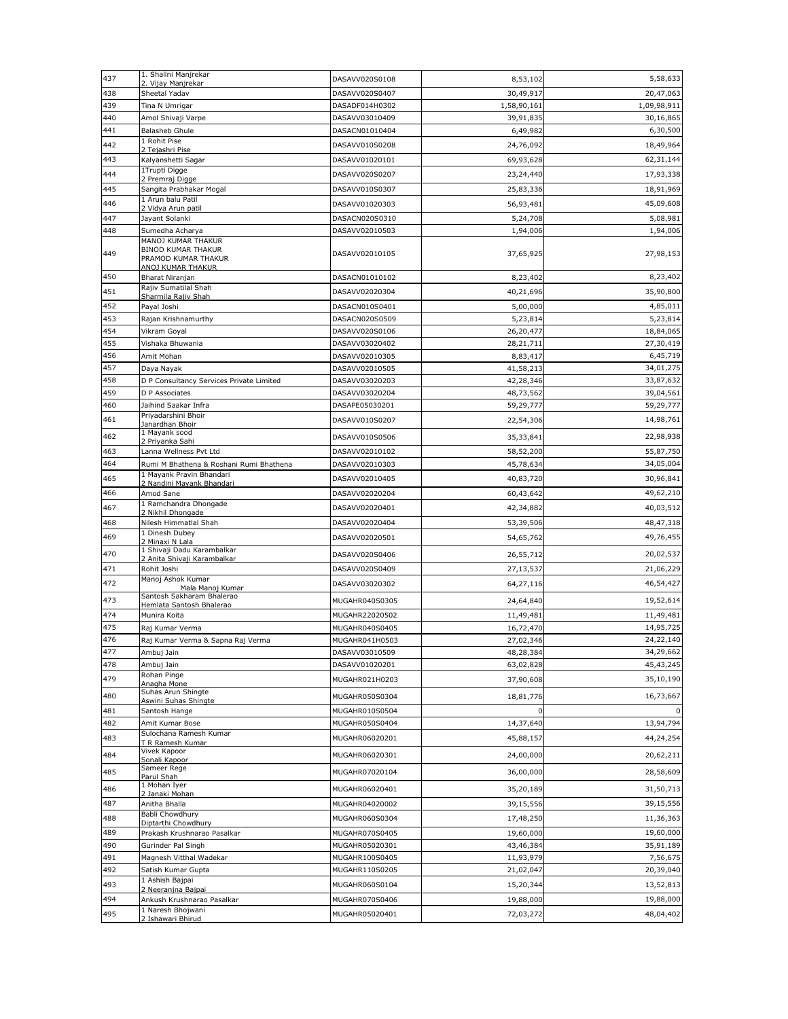| 437        | 1. Shalini Manjrekar<br>2. Vijay Manjrekar                            | DASAVV020S0108                   | 8,53,102    | 5,58,633               |
|------------|-----------------------------------------------------------------------|----------------------------------|-------------|------------------------|
| 438        | Sheetal Yadav                                                         | DASAVV020S0407                   | 30,49,917   | 20,47,063              |
| 439        | Tina N Umrigar                                                        | DASADF014H0302                   | 1,58,90,161 | 1,09,98,911            |
| 440        | Amol Shivaji Varpe                                                    | DASAVV03010409                   | 39,91,835   | 30,16,865              |
| 441        | <b>Balasheb Ghule</b>                                                 | DASACN01010404                   | 6,49,982    | 6,30,500               |
| 442        | 1 Rohit Pise<br>2 Tejashri Pise                                       | DASAVV010S0208                   | 24,76,092   | 18,49,964              |
| 443        | Kalyanshetti Sagar                                                    | DASAVV01020101                   | 69,93,628   | 62,31,144              |
| 444        | 1Trupti Digge                                                         | DASAVV020S0207                   | 23,24,440   | 17,93,338              |
| 445        | 2 Premraj Digge<br>Sangita Prabhakar Mogal                            | DASAVV010S0307                   | 25,83,336   | 18,91,969              |
| 446        | 1 Arun balu Patil                                                     | DASAVV01020303                   | 56,93,481   | 45,09,608              |
|            | 2 Vidya Arun patil                                                    |                                  |             |                        |
| 447<br>448 | Jayant Solanki<br>Sumedha Acharya                                     | DASACN020S0310<br>DASAVV02010503 | 5,24,708    | 5,08,981<br>1,94,006   |
|            | MANOJ KUMAR THAKUR                                                    |                                  | 1,94,006    |                        |
| 449        | <b>BINOD KUMAR THAKUR</b><br>PRAMOD KUMAR THAKUR<br>ANOJ KUMAR THAKUR | DASAVV02010105                   | 37,65,925   | 27,98,153              |
| 450        | Bharat Niranjan                                                       | DASACN01010102                   | 8,23,402    | 8,23,402               |
| 451        | Rajiv Sumatilal Shah                                                  | DASAVV02020304                   | 40,21,696   | 35,90,800              |
| 452        | Sharmila Rajiv Shah<br>Payal Joshi                                    | DASACN010S0401                   | 5,00,000    | 4,85,011               |
| 453        | Rajan Krishnamurthy                                                   | DASACN020S0509                   | 5,23,814    | 5,23,814               |
| 454        | Vikram Goyal                                                          | DASAVV020S0106                   | 26,20,477   | 18,84,065              |
| 455        | Vishaka Bhuwania                                                      | DASAVV03020402                   | 28, 21, 711 | 27,30,419              |
| 456        | Amit Mohan                                                            | DASAVV02010305                   | 8,83,417    | 6,45,719               |
| 457        | Daya Nayak                                                            | DASAVV02010505                   | 41,58,213   | 34,01,275              |
| 458        | D P Consultancy Services Private Limited                              | DASAVV03020203                   | 42,28,346   | 33,87,632              |
| 459        | D P Associates                                                        | DASAVV03020204                   | 48,73,562   | 39,04,561              |
| 460        | Jaihind Saakar Infra                                                  | DASAPE05030201                   | 59,29,777   | 59,29,777              |
| 461        | Priyadarshini Bhoir<br>Janardhan Bhoir                                | DASAVV010S0207                   | 22,54,306   | 14,98,761              |
| 462        | 1 Mayank sood<br>2 Priyanka Sahi                                      | DASAVV010S0506                   | 35,33,841   | 22,98,938              |
| 463        | Lanna Wellness Pvt Ltd                                                | DASAVV02010102                   | 58,52,200   | 55,87,750              |
| 464        | Rumi M Bhathena & Roshani Rumi Bhathena                               | DASAVV02010303                   | 45,78,634   | 34,05,004              |
| 465        | 1 Mayank Pravin Bhandari                                              | DASAVV02010405                   | 40,83,720   | 30,96,841              |
| 466        | 2 Nandini Mayank Bhandari<br>Amod Sane                                | DASAVV02020204                   | 60,43,642   | 49,62,210              |
| 467        | 1 Ramchandra Dhongade                                                 | DASAVV02020401                   | 42,34,882   | 40,03,512              |
| 468        | 2 Nikhil Dhongade                                                     |                                  |             | 48,47,318              |
|            | Nilesh Himmatlal Shah<br>1 Dinesh Dubey                               | DASAVV02020404                   | 53,39,506   |                        |
| 469        | 2 Minaxi N Lala<br>1 Shivaji Dadu Karambalkar                         | DASAVV02020501                   | 54,65,762   | 49,76,455              |
| 470        | 2 Anita Shivaji Karambalkar                                           | DASAVV020S0406                   | 26,55,712   | 20,02,537              |
| 471        | Rohit Joshi                                                           | DASAVV020S0409                   | 27,13,537   | 21,06,229              |
| 472        | Manoj Ashok Kumar<br>Mala Manoj Kumar                                 | DASAVV03020302                   | 64,27,116   | 46,54,427              |
| 473        | Santosh Sakharam Bhalerao<br>Hemlata Santosh Bhalerao                 | MUGAHR040S0305                   | 24,64,840   | 19,52,614              |
| 474        | Munira Koita                                                          | MUGAHR22020502                   | 11,49,481   | 11,49,481              |
| 475        | Raj Kumar Verma                                                       | MUGAHR040S0405                   | 16,72,470   | 14,95,725              |
| 476        | Raj Kumar Verma & Sapna Raj Verma                                     | MUGAHR041H0503                   | 27,02,346   | 24,22,140              |
| 477<br>478 | Ambuj Jain                                                            | DASAVV03010509                   | 48,28,384   | 34,29,662<br>45,43,245 |
|            | Ambuj Jain<br>Rohan Pinge                                             | DASAVV01020201                   | 63,02,828   |                        |
| 479        | Anagha Mone                                                           | MUGAHR021H0203                   | 37,90,608   | 35,10,190              |
| 480        | Suhas Arun Shingte<br>Aswini Suhas Shingte                            | MUGAHR050S0304                   | 18,81,776   | 16,73,667              |
| 481        | Santosh Hange                                                         | MUGAHR010S0504                   | $\mathbf 0$ | $\mathbf 0$            |
| 482        | Amit Kumar Bose                                                       | MUGAHR050S0404                   | 14,37,640   | 13,94,794              |
| 483        | Sulochana Ramesh Kumar<br>T R Ramesh Kumar                            | MUGAHR06020201                   | 45,88,157   | 44,24,254              |
| 484        | Vivek Kapoor<br>Sonali Kapoor                                         | MUGAHR06020301                   | 24,00,000   | 20,62,211              |
| 485        | Sameer Rege<br>Parul Shah                                             | MUGAHR07020104                   | 36,00,000   | 28,58,609              |
| 486        | 1 Mohan Iyer                                                          | MUGAHR06020401                   | 35,20,189   | 31,50,713              |
| 487        | 2 Janaki Mohan<br>Anitha Bhalla                                       | MUGAHR04020002                   | 39,15,556   | 39,15,556              |
| 488        | <b>Babli Chowdhury</b>                                                | MUGAHR060S0304                   | 17,48,250   | 11,36,363              |
| 489        | Diptarthi Chowdhury<br>Prakash Krushnarao Pasalkar                    | MUGAHR070S0405                   | 19,60,000   | 19,60,000              |
| 490        | Gurinder Pal Singh                                                    | MUGAHR05020301                   | 43,46,384   | 35,91,189              |
| 491        | Magnesh Vitthal Wadekar                                               | MUGAHR100S0405                   | 11,93,979   | 7,56,675               |
| 492        | Satish Kumar Gupta                                                    | MUGAHR110S0205                   | 21,02,047   | 20,39,040              |
| 493        | 1 Ashish Bajpai                                                       | MUGAHR060S0104                   | 15,20,344   | 13,52,813              |
| 494        | 2 Neeranjna Bajpai<br>Ankush Krushnarao Pasalkar                      | MUGAHR070S0406                   | 19,88,000   | 19,88,000              |
|            | 1 Naresh Bhojwani                                                     |                                  |             |                        |
| 495        | 2 Ishawari Bhirud                                                     | MUGAHR05020401                   | 72,03,272   | 48,04,402              |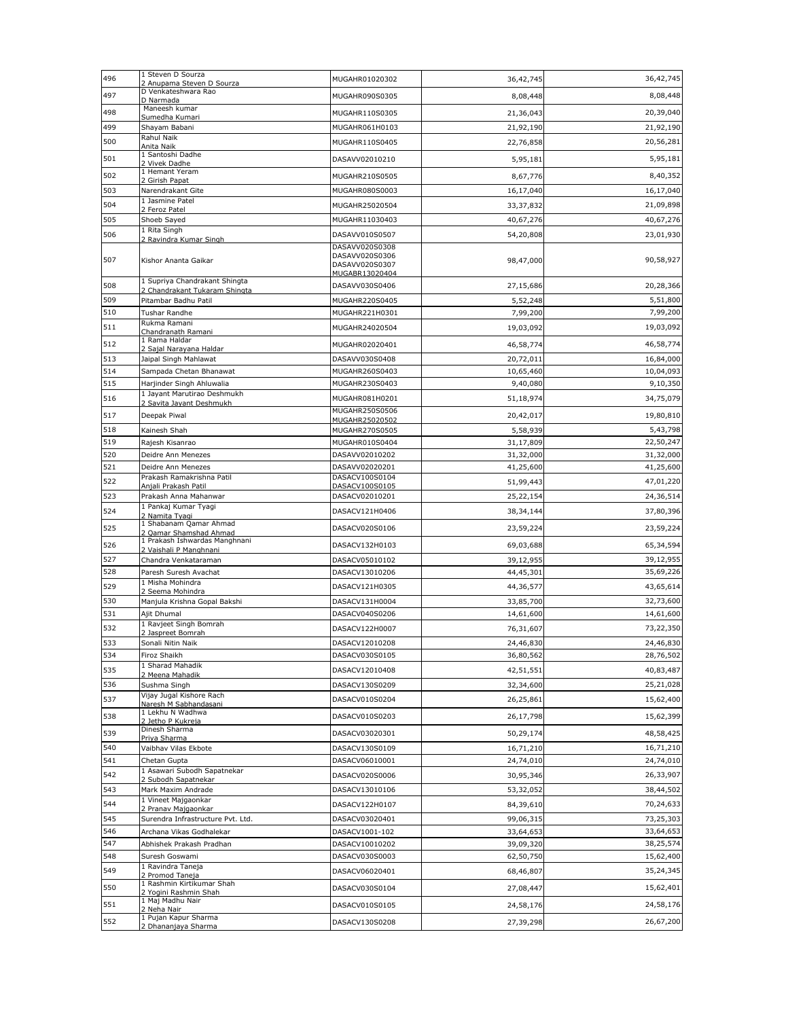| 496        | 1 Steven D Sourza                                              | MUGAHR01020302                                     | 36,42,745   | 36,42,745              |
|------------|----------------------------------------------------------------|----------------------------------------------------|-------------|------------------------|
|            | 2 Anupama Steven D Sourza<br>D Venkateshwara Rao               |                                                    |             |                        |
| 497        | D Narmada                                                      | MUGAHR090S0305                                     | 8,08,448    | 8,08,448               |
| 498        | Maneesh kumar<br>Sumedha Kumari                                | MUGAHR110S0305                                     | 21,36,043   | 20,39,040              |
| 499        | Shayam Babani                                                  | MUGAHR061H0103                                     | 21,92,190   | 21,92,190              |
| 500        | Rahul Naik                                                     | MUGAHR110S0405                                     | 22,76,858   | 20,56,281              |
|            | Anita Naik<br>1 Santoshi Dadhe                                 |                                                    |             |                        |
| 501        | 2 Vivek Dadhe                                                  | DASAVV02010210                                     | 5,95,181    | 5,95,181               |
| 502        | 1 Hemant Yeram<br>2 Girish Papat                               | MUGAHR210S0505                                     | 8,67,776    | 8,40,352               |
| 503        | Narendrakant Gite                                              | MUGAHR080S0003                                     | 16,17,040   | 16,17,040              |
| 504        | 1 Jasmine Patel                                                | MUGAHR25020504                                     | 33, 37, 832 | 21,09,898              |
| 505        | 2 Feroz Patel<br>Shoeb Sayed                                   | MUGAHR11030403                                     | 40,67,276   | 40,67,276              |
| 506        | 1 Rita Singh                                                   | DASAVV010S0507                                     | 54,20,808   | 23,01,930              |
|            | 2 Ravindra Kumar Singh                                         | DASAVV020S0308                                     |             |                        |
| 507        | Kishor Ananta Gaikar                                           | DASAVV020S0306<br>DASAVV020S0307<br>MUGABR13020404 | 98,47,000   | 90,58,927              |
| 508        | 1 Supriya Chandrakant Shingta<br>2 Chandrakant Tukaram Shingta | DASAVV030S0406                                     | 27,15,686   | 20,28,366              |
| 509        | Pitambar Badhu Patil                                           | MUGAHR220S0405                                     | 5,52,248    | 5,51,800               |
| 510        | <b>Tushar Randhe</b>                                           | MUGAHR221H0301                                     | 7,99,200    | 7,99,200               |
| 511        | Rukma Ramani                                                   | MUGAHR24020504                                     | 19,03,092   | 19,03,092              |
|            | Chandranath Ramani<br>1 Rama Haldar                            |                                                    |             |                        |
| 512        | 2 Sajal Narayana Haldar                                        | MUGAHR02020401                                     | 46,58,774   | 46,58,774              |
| 513        | Jaipal Singh Mahlawat                                          | DASAVV030S0408                                     | 20,72,011   | 16,84,000              |
| 514        | Sampada Chetan Bhanawat                                        | MUGAHR260S0403                                     | 10,65,460   | 10,04,093              |
| 515        | Harjinder Singh Ahluwalia<br>1 Javant Marutirao Deshmukh       | MUGAHR230S0403                                     | 9,40,080    | 9,10,350               |
| 516        | 2 Savita Jayant Deshmukh                                       | MUGAHR081H0201                                     | 51,18,974   | 34,75,079              |
| 517        | Deepak Piwal                                                   | MUGAHR250S0506                                     | 20,42,017   | 19,80,810              |
| 518        | Kainesh Shah                                                   | MUGAHR25020502<br>MUGAHR270S0505                   | 5,58,939    | 5,43,798               |
| 519        | Rajesh Kisanrao                                                | MUGAHR010S0404                                     | 31,17,809   | 22,50,247              |
| 520        | Deidre Ann Menezes                                             | DASAVV02010202                                     | 31,32,000   | 31,32,000              |
| 521        | Deidre Ann Menezes                                             | DASAVV02020201                                     | 41,25,600   | 41,25,600              |
| 522        | Prakash Ramakrishna Patil                                      | DASACV100S0104                                     | 51,99,443   | 47,01,220              |
| 523        | Anjali Prakash Patil<br>Prakash Anna Mahanwar                  | DASACV100S0105<br>DASACV02010201                   | 25,22,154   | 24,36,514              |
| 524        | 1 Pankaj Kumar Tyagi                                           |                                                    |             | 37,80,396              |
|            | 2 Namita Tyagi<br>1 Shabanam Qamar Ahmad                       | DASACV121H0406                                     | 38,34,144   |                        |
| 525        | 2 Qamar Shamshad Ahmad                                         | DASACV020S0106                                     | 23,59,224   | 23,59,224              |
| 526        | 1 Prakash Ishwardas Manghnani<br>2 Vaishali P Manghnani        | DASACV132H0103                                     | 69,03,688   | 65,34,594              |
| 527        | Chandra Venkataraman                                           | DASACV05010102                                     | 39,12,955   | 39,12,955              |
| 528        | Paresh Suresh Avachat                                          | DASACV13010206                                     | 44,45,301   | 35,69,226              |
| 529        | 1 Misha Mohindra                                               | DASACV121H0305                                     | 44,36,577   | 43,65,614              |
| 530        | 2 Seema Mohindra<br>Manjula Krishna Gopal Bakshi               | DASACV131H0004                                     | 33,85,700   | 32,73,600              |
| 531        | Ajit Dhumal                                                    | DASACV040S0206                                     | 14,61,600   | 14,61,600              |
| 532        | 1 Ravjeet Singh Bomrah                                         | DASACV122H0007                                     | 76,31,607   | 73,22,350              |
| 533        | 2 Jaspreet Bomrah                                              |                                                    |             |                        |
| 534        | Sonali Nitin Naik                                              | DASACV12010208                                     | 24,46,830   | 24,46,830              |
|            | Firoz Shaikh<br>1 Sharad Mahadik                               | DASACV030S0105                                     | 36,80,562   | 28,76,502              |
| 535        | 2 Meena Mahadik                                                | DASACV12010408                                     | 42,51,551   | 40,83,487              |
| 536        | Sushma Singh                                                   | DASACV130S0209                                     | 32,34,600   | 25,21,028              |
| 537        | Vijay Jugal Kishore Rach<br>Naresh M Sabhandasani              | DASACV010S0204                                     | 26,25,861   | 15,62,400              |
| 538        | 1 Lekhu N Wadhwa                                               | DASACV010S0203                                     | 26,17,798   | 15,62,399              |
| 539        | 2 Jetho P Kukreja<br>Dinesh Sharma                             |                                                    |             | 48,58,425              |
|            | Priya Sharma                                                   | DASACV03020301                                     | 50,29,174   |                        |
| 540<br>541 | Vaibhav Vilas Ekbote                                           | DASACV130S0109                                     | 16,71,210   | 16,71,210<br>24,74,010 |
|            | Chetan Gupta<br>1 Asawari Subodh Sapatnekar                    | DASACV06010001                                     | 24,74,010   |                        |
| 542        | 2 Subodh Sapatnekar                                            | DASACV020S0006                                     | 30,95,346   | 26,33,907              |
| 543        | Mark Maxim Andrade                                             | DASACV13010106                                     | 53,32,052   | 38,44,502              |
| 544        | 1 Vineet Majgaonkar<br>2 Pranav Majgaonkar                     | DASACV122H0107                                     | 84,39,610   | 70,24,633              |
| 545        | Surendra Infrastructure Pvt. Ltd.                              | DASACV03020401                                     | 99,06,315   | 73,25,303              |
| 546        | Archana Vikas Godhalekar                                       | DASACV1001-102                                     | 33,64,653   | 33,64,653              |
| 547        | Abhishek Prakash Pradhan                                       | DASACV10010202                                     | 39,09,320   | 38,25,574              |
| 548        | Suresh Goswami                                                 | DASACV030S0003                                     | 62,50,750   | 15,62,400              |
| 549        | 1 Ravindra Taneja<br>2 Promod Taneja                           | DASACV06020401                                     | 68,46,807   | 35,24,345              |
| 550        | 1 Rashmin Kirtikumar Shah                                      | DASACV030S0104                                     | 27,08,447   | 15,62,401              |
|            | 2 Yogini Rashmin Shah<br>1 Maj Madhu Nair                      |                                                    |             |                        |
| 551        | 2 Neha Nair                                                    | DASACV010S0105                                     | 24,58,176   | 24,58,176              |
| 552        | 1 Pujan Kapur Sharma<br>2 Dhananjaya Sharma                    | DASACV130S0208                                     | 27,39,298   | 26,67,200              |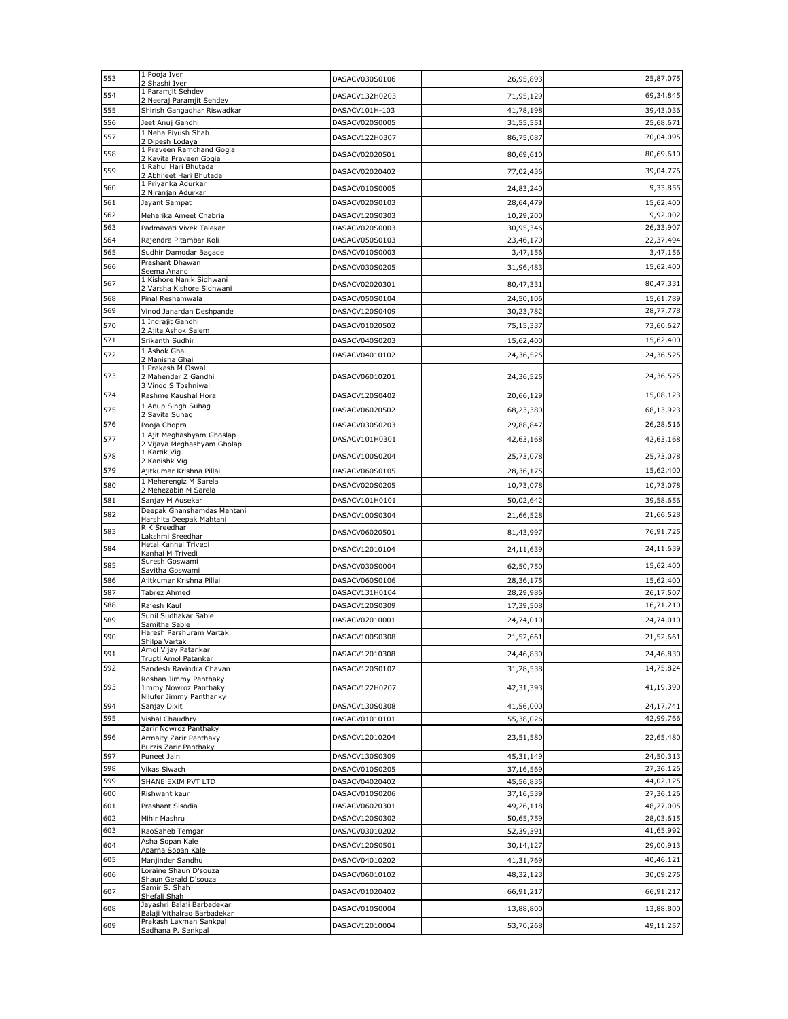| 553        | 1 Pooja Iyer<br>2 Shashi Iyer                           | DASACV030S0106                   | 26,95,893              | 25,87,075              |
|------------|---------------------------------------------------------|----------------------------------|------------------------|------------------------|
| 554        | 1 Paramjit Sehdev                                       | DASACV132H0203                   | 71,95,129              | 69,34,845              |
| 555        | 2 Neeraj Paramjit Sehdev<br>Shirish Gangadhar Riswadkar | DASACV101H-103                   | 41,78,198              | 39,43,036              |
| 556        | Jeet Anuj Gandhi                                        | DASACV020S0005                   | 31,55,551              | 25,68,671              |
| 557        | 1 Neha Piyush Shah<br>2 Dipesh Lodaya                   | DASACV122H0307                   | 86,75,087              | 70,04,095              |
| 558        | 1 Praveen Ramchand Gogia<br>2 Kavita Praveen Gogia      | DASACV02020501                   | 80,69,610              | 80,69,610              |
| 559        | 1 Rahul Hari Bhutada                                    | DASACV02020402                   | 77,02,436              | 39,04,776              |
| 560        | 2 Abhijeet Hari Bhutada<br>1 Priyanka Adurkar           | DASACV010S0005                   | 24,83,240              | 9,33,855               |
| 561        | 2 Niranjan Adurkar<br>Jayant Sampat                     | DASACV020S0103                   | 28,64,479              | 15,62,400              |
| 562        | Meharika Ameet Chabria                                  | DASACV120S0303                   | 10,29,200              | 9,92,002               |
| 563        | Padmavati Vivek Talekar                                 | DASACV020S0003                   | 30,95,346              | 26,33,907              |
| 564        | Rajendra Pitambar Koli                                  | DASACV050S0103                   | 23,46,170              | 22,37,494              |
| 565        | Sudhir Damodar Bagade                                   | DASACV010S0003                   | 3,47,156               | 3,47,156               |
| 566        | Prashant Dhawan<br>Seema Anand                          | DASACV030S0205                   | 31,96,483              | 15,62,400              |
| 567        | 1 Kishore Nanik Sidhwani<br>2 Varsha Kishore Sidhwani   | DASACV02020301                   | 80,47,331              | 80,47,331              |
| 568        | Pinal Reshamwala                                        | DASACV050S0104                   | 24,50,106              | 15,61,789              |
| 569        | Vinod Janardan Deshpande                                | DASACV120S0409                   | 30,23,782              | 28,77,778              |
| 570        | 1 Indrajit Gandhi<br>2 Ajita Ashok Salem                | DASACV01020502                   | 75,15,337              | 73,60,627              |
| 571        | Srikanth Sudhir                                         | DASACV040S0203                   | 15,62,400              | 15,62,400              |
| 572        | 1 Ashok Ghai<br>2 Manisha Ghai                          | DASACV04010102                   | 24,36,525              | 24,36,525              |
| 573        | 1 Prakash M Oswal                                       |                                  |                        |                        |
|            | 2 Mahender Z Gandhi<br>3 Vinod S Toshniwal              | DASACV06010201                   | 24,36,525              | 24,36,525              |
| 574        | Rashme Kaushal Hora<br>1 Anup Singh Suhag               | DASACV120S0402                   | 20,66,129              | 15,08,123              |
| 575        | 2 Savita Suhag                                          | DASACV06020502                   | 68,23,380              | 68,13,923              |
| 576        | Pooja Chopra<br>1 Ajit Meghashyam Ghoslap               | DASACV030S0203                   | 29,88,847              | 26,28,516              |
| 577        | 2 Vijaya Meghashyam Gholap                              | DASACV101H0301                   | 42,63,168              | 42,63,168              |
| 578        | 1 Kartik Vig<br>2 Kanishk Vig                           | DASACV100S0204                   | 25,73,078              | 25,73,078              |
| 579        | Ajitkumar Krishna Pillai                                | DASACV060S0105                   | 28,36,175              | 15,62,400              |
| 580        | 1 Meherengiz M Sarela<br>2 Mehezabin M Sarela           | DASACV020S0205                   | 10,73,078              | 10,73,078              |
| 581        | Sanjay M Ausekar                                        | DASACV101H0101                   | 50,02,642              | 39,58,656              |
| 582        | Deepak Ghanshamdas Mahtani<br>Harshita Deepak Mahtani   | DASACV100S0304                   | 21,66,528              | 21,66,528              |
| 583        | R K Sreedhar<br>Lakshmi Sreedhar                        | DASACV06020501                   | 81,43,997              | 76,91,725              |
| 584        | Hetal Kanhai Trivedi<br>Kanhai M Trivedi                | DASACV12010104                   | 24,11,639              | 24,11,639              |
| 585        | Suresh Goswami<br>Savitha Goswami                       | DASACV030S0004                   | 62,50,750              | 15,62,400              |
| 586        | Ajitkumar Krishna Pillai                                | DASACV060S0106                   | 28,36,175              | 15,62,400              |
| 587        | Tabrez Ahmed                                            | DASACV131H0104                   | 28,29,986              | 26,17,507              |
| 588        | Rajesh Kaul                                             | DASACV120S0309                   | 17,39,508              | 16,71,210              |
| 589        | Sunil Sudhakar Sable<br>Samitha Sable                   | DASACV02010001                   | 24,74,010              | 24,74,010              |
| 590        | Haresh Parshuram Vartak<br>Shilpa Vartak                | DASACV100S0308                   | 21,52,661              | 21,52,661              |
| 591        | Amol Vijay Patankar<br>Trupti Amol Patankar             | DASACV12010308                   | 24,46,830              | 24,46,830              |
| 592        | Sandesh Ravindra Chavan                                 | DASACV120S0102                   | 31,28,538              | 14,75,824              |
| 593        | Roshan Jimmy Panthaky<br>Jimmy Nowroz Panthaky          | DASACV122H0207                   | 42,31,393              | 41,19,390              |
|            | Nilufer Jimmy Panthanky                                 |                                  |                        |                        |
| 594<br>595 | Sanjay Dixit                                            | DASACV130S0308                   | 41,56,000              | 24,17,741              |
|            | Vishal Chaudhry<br>Zarir Nowroz Panthaky                | DASACV01010101                   | 55,38,026              | 42,99,766              |
| 596        | Armaity Zarir Panthaky<br><b>Burzis Zarir Panthaky</b>  | DASACV12010204                   | 23,51,580              | 22,65,480              |
| 597        | Puneet Jain                                             | DASACV130S0309                   | 45,31,149              | 24,50,313              |
| 598        | Vikas Siwach                                            | DASACV010S0205                   | 37,16,569              | 27,36,126              |
| 599        | SHANE EXIM PVT LTD                                      | DASACV04020402                   | 45,56,835              | 44,02,125              |
| 600        | Rishwant kaur                                           | DASACV010S0206                   | 37,16,539              | 27,36,126              |
| 601<br>602 | Prashant Sisodia<br>Mihir Mashru                        | DASACV06020301<br>DASACV120S0302 | 49,26,118<br>50,65,759 | 48,27,005<br>28,03,615 |
| 603        | RaoSaheb Temgar                                         | DASACV03010202                   | 52,39,391              | 41,65,992              |
| 604        | Asha Sopan Kale                                         | DASACV120S0501                   | 30,14,127              | 29,00,913              |
| 605        | Aparna Sopan Kale<br>Manjinder Sandhu                   | DASACV04010202                   | 41,31,769              | 40,46,121              |
| 606        | Loraine Shaun D'souza                                   | DASACV06010102                   | 48,32,123              | 30,09,275              |
| 607        | Shaun Gerald D'souza<br>Samir S. Shah                   | DASACV01020402                   | 66,91,217              | 66,91,217              |
|            | Shefali Shah<br>Jayashri Balaji Barbadekar              |                                  |                        |                        |
| 608        | Balaji Vithalrao Barbadekar<br>Prakash Laxman Sankpal   | DASACV010S0004                   | 13,88,800              | 13,88,800              |
| 609        | Sadhana P. Sankpal                                      | DASACV12010004                   | 53,70,268              | 49,11,257              |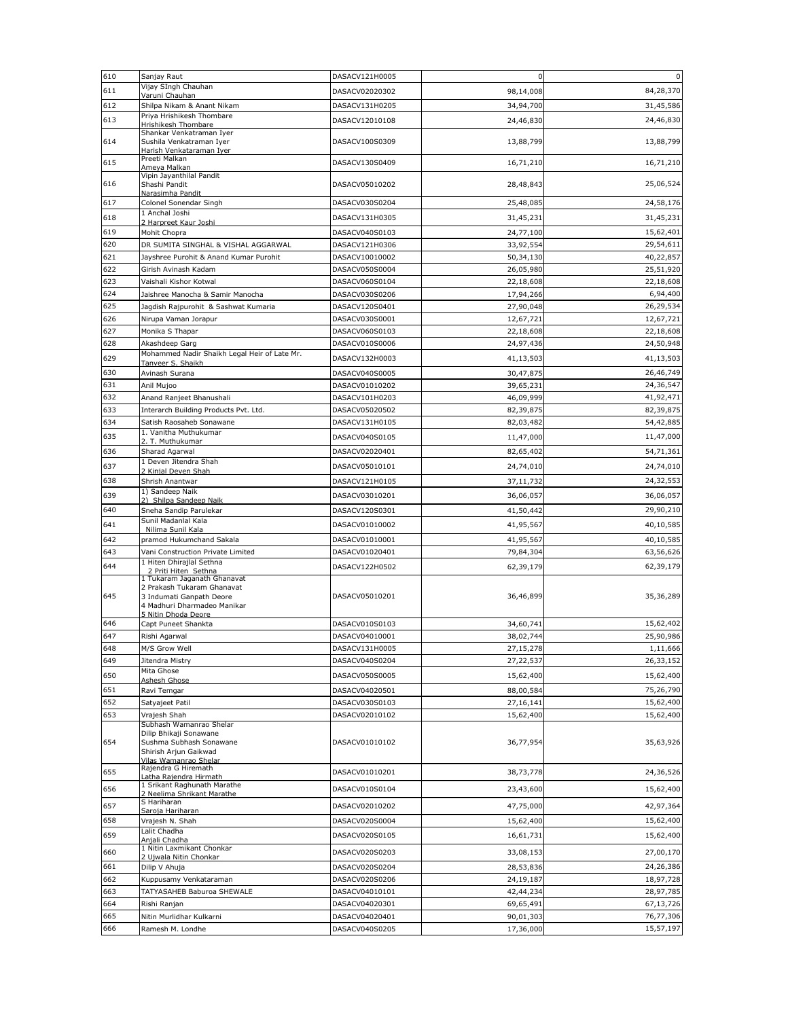| 610        | Sanjay Raut                                                                                                  | DASACV121H0005 | $\mathbf 0$ | $\mathbf 0$            |
|------------|--------------------------------------------------------------------------------------------------------------|----------------|-------------|------------------------|
| 611        | Vijay SIngh Chauhan<br>Varuni Chauhan                                                                        | DASACV02020302 | 98,14,008   | 84,28,370              |
| 612        | Shilpa Nikam & Anant Nikam                                                                                   | DASACV131H0205 | 34,94,700   | 31,45,586              |
| 613        | Priya Hrishikesh Thombare                                                                                    | DASACV12010108 | 24,46,830   | 24,46,830              |
|            | <b>Hrishikesh Thombare</b><br>Shankar Venkatraman Iyer                                                       |                |             |                        |
| 614        | Sushila Venkatraman Iyer<br>Harish Venkataraman Iyer                                                         | DASACV100S0309 | 13,88,799   | 13,88,799              |
| 615        | Preeti Malkan                                                                                                | DASACV130S0409 | 16,71,210   | 16,71,210              |
|            | Ameya Malkan<br>Vipin Jayanthilal Pandit                                                                     |                |             |                        |
| 616        | Shashi Pandit                                                                                                | DASACV05010202 | 28,48,843   | 25,06,524              |
| 617        | Narasimha Pandit<br>Colonel Sonendar Singh                                                                   | DASACV030S0204 | 25,48,085   | 24,58,176              |
| 618        | 1 Anchal Joshi                                                                                               | DASACV131H0305 | 31,45,231   | 31,45,231              |
| 619        | 2 Harpreet Kaur Joshi<br>Mohit Chopra                                                                        | DASACV040S0103 | 24,77,100   | 15,62,401              |
| 620        | DR SUMITA SINGHAL & VISHAL AGGARWAL                                                                          | DASACV121H0306 | 33,92,554   | 29,54,611              |
| 621        | Jayshree Purohit & Anand Kumar Purohit                                                                       | DASACV10010002 | 50,34,130   | 40,22,857              |
| 622        | Girish Avinash Kadam                                                                                         | DASACV050S0004 | 26,05,980   | 25,51,920              |
| 623        | Vaishali Kishor Kotwal                                                                                       | DASACV060S0104 | 22,18,608   | 22,18,608              |
| 624        | Jaishree Manocha & Samir Manocha                                                                             | DASACV030S0206 | 17,94,266   | 6,94,400               |
| 625        | Jagdish Rajpurohit & Sashwat Kumaria                                                                         | DASACV120S0401 | 27,90,048   | 26,29,534              |
| 626        | Nirupa Vaman Jorapur                                                                                         | DASACV030S0001 | 12,67,721   | 12,67,721              |
| 627        | Monika S Thapar                                                                                              | DASACV060S0103 | 22,18,608   | 22,18,608              |
| 628        | Akashdeep Garg                                                                                               | DASACV010S0006 | 24,97,436   | 24,50,948              |
| 629        | Mohammed Nadir Shaikh Legal Heir of Late Mr.<br>Tanveer S. Shaikh                                            | DASACV132H0003 | 41,13,503   | 41,13,503              |
| 630        | Avinash Surana                                                                                               | DASACV040S0005 | 30,47,875   | 26,46,749              |
| 631        | Anil Mujoo                                                                                                   | DASACV01010202 | 39,65,231   | 24,36,547              |
| 632        | Anand Ranjeet Bhanushali                                                                                     | DASACV101H0203 | 46,09,999   | 41,92,471              |
| 633        | Interarch Building Products Pvt. Ltd.                                                                        | DASACV05020502 | 82,39,875   | 82,39,875              |
| 634        | Satish Raosaheb Sonawane                                                                                     | DASACV131H0105 | 82,03,482   | 54,42,885              |
| 635        | 1. Vanitha Muthukumar<br>2. T. Muthukumar                                                                    | DASACV040S0105 | 11,47,000   | 11,47,000              |
| 636        | Sharad Agarwal                                                                                               | DASACV02020401 | 82,65,402   | 54,71,361              |
| 637        | 1 Deven Jitendra Shah<br>2 Kinjal Deven Shah                                                                 | DASACV05010101 | 24,74,010   | 24,74,010              |
| 638        | Shrish Anantwar                                                                                              | DASACV121H0105 | 37,11,732   | 24,32,553              |
| 639        | 1) Sandeep Naik                                                                                              | DASACV03010201 | 36,06,057   | 36,06,057              |
| 640        | 2) Shilpa Sandeep Naik<br>Sneha Sandip Parulekar                                                             | DASACV120S0301 | 41,50,442   | 29,90,210              |
| 641        | Sunil Madanlal Kala                                                                                          |                |             | 40,10,585              |
|            | Nilima Sunil Kala                                                                                            | DASACV01010002 | 41,95,567   |                        |
| 642<br>643 | pramod Hukumchand Sakala                                                                                     | DASACV01010001 | 41,95,567   | 40,10,585<br>63,56,626 |
|            | Vani Construction Private Limited<br>1 Hiten Dhirajlal Sethna                                                | DASACV01020401 | 79,84,304   |                        |
| 644        | 2 Priti Hiten Sethna<br>1 Tukaram Jaganath Ghanavat                                                          | DASACV122H0502 | 62,39,179   | 62,39,179              |
| 645        | 2 Prakash Tukaram Ghanavat<br>3 Indumati Ganpath Deore<br>4 Madhuri Dharmadeo Manikar<br>5 Nitin Dhoda Deore | DASACV05010201 | 36,46,899   | 35,36,289              |
| 646        | Capt Puneet Shankta                                                                                          | DASACV010S0103 | 34,60,741   | 15,62,402              |
| 647        | Rishi Agarwal                                                                                                | DASACV04010001 | 38,02,744   | 25,90,986              |
| 648        | M/S Grow Well                                                                                                | DASACV131H0005 | 27,15,278   | 1,11,666               |
| 649        | Jitendra Mistry<br>Mita Ghose                                                                                | DASACV040S0204 | 27,22,537   | 26,33,152              |
| 650        | Ashesh Ghose                                                                                                 | DASACV050S0005 | 15,62,400   | 15,62,400              |
| 651        | Ravi Temgar                                                                                                  | DASACV04020501 | 88,00,584   | 75,26,790              |
| 652        | Satyajeet Patil                                                                                              | DASACV030S0103 | 27, 16, 141 | 15,62,400              |
| 653        | Vrajesh Shah<br>Subhash Wamanrao Shelar                                                                      | DASACV02010102 | 15,62,400   | 15,62,400              |
| 654        | Dilip Bhikaji Sonawane<br>Sushma Subhash Sonawane<br>Shirish Arjun Gaikwad<br>Vilas Wamanrao Shelar          | DASACV01010102 | 36,77,954   | 35,63,926              |
| 655        | Rajendra G Hiremath<br>Latha Rajendra Hirmath                                                                | DASACV01010201 | 38,73,778   | 24,36,526              |
| 656        | 1 Srikant Raghunath Marathe                                                                                  | DASACV010S0104 | 23,43,600   | 15,62,400              |
|            | 2 Neelima Shrikant Marathe<br>S Hariharan                                                                    |                |             |                        |
| 657        | Saroja Hariharan                                                                                             | DASACV02010202 | 47,75,000   | 42,97,364              |
| 658        | Vrajesh N. Shah<br>Lalit Chadha                                                                              | DASACV020S0004 | 15,62,400   | 15,62,400              |
| 659        | Anjali Chadha                                                                                                | DASACV020S0105 | 16,61,731   | 15,62,400              |
| 660        | 1 Nitin Laxmikant Chonkar<br>2 Ujwala Nitin Chonkar                                                          | DASACV020S0203 | 33,08,153   | 27,00,170              |
| 661        | Dilip V Ahuja                                                                                                | DASACV020S0204 | 28,53,836   | 24,26,386              |
| 662        | Kuppusamy Venkataraman                                                                                       | DASACV020S0206 | 24,19,187   | 18,97,728              |
| 663        | TATYASAHEB Baburoa SHEWALE                                                                                   | DASACV04010101 | 42,44,234   | 28,97,785              |
| 664        | Rishi Ranjan                                                                                                 | DASACV04020301 | 69,65,491   | 67,13,726              |
| 665        | Nitin Murlidhar Kulkarni                                                                                     | DASACV04020401 | 90,01,303   | 76,77,306              |
| 666        | Ramesh M. Londhe                                                                                             | DASACV040S0205 | 17,36,000   | 15,57,197              |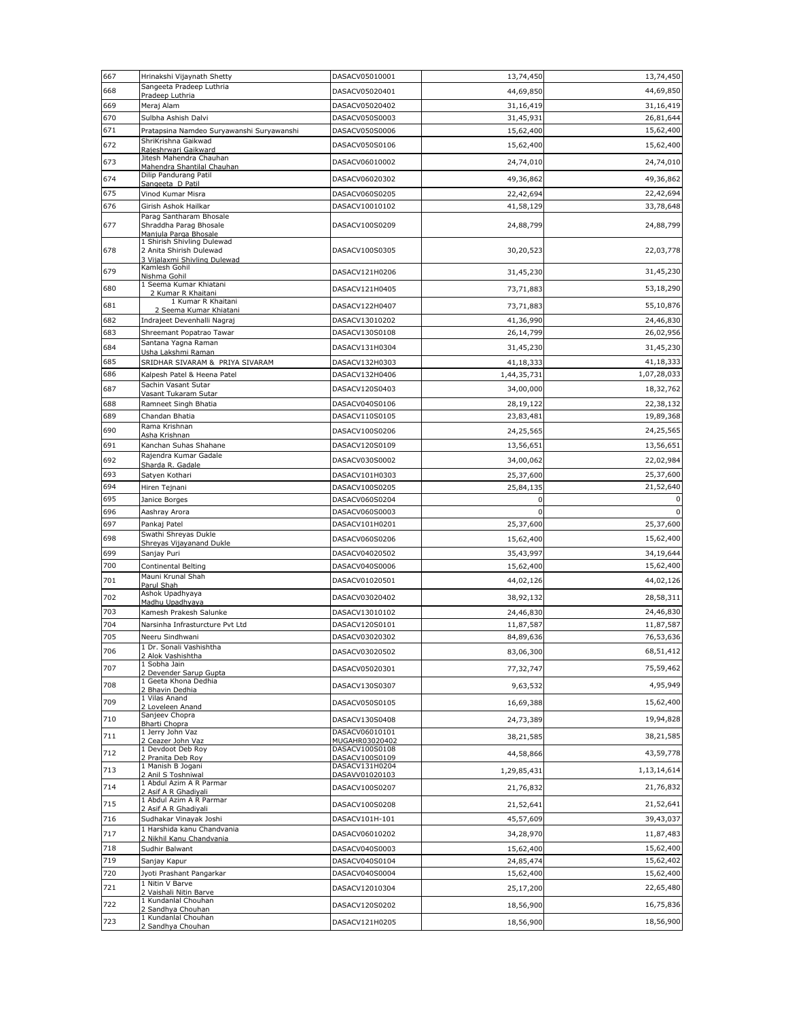| 667        | Hrinakshi Vijaynath Shetty                                                            | DASACV05010001                   | 13,74,450              | 13,74,450              |
|------------|---------------------------------------------------------------------------------------|----------------------------------|------------------------|------------------------|
| 668        | Sangeeta Pradeep Luthria<br>Pradeep Luthria                                           | DASACV05020401                   | 44,69,850              | 44,69,850              |
| 669        | Meraj Alam                                                                            | DASACV05020402                   | 31,16,419              | 31,16,419              |
| 670        | Sulbha Ashish Dalvi                                                                   | DASACV050S0003                   | 31,45,931              | 26,81,644              |
| 671        | Pratapsina Namdeo Suryawanshi Suryawanshi                                             | DASACV050S0006                   | 15,62,400              | 15,62,400              |
| 672        | ShriKrishna Gaikwad<br>Rajeshrwari Gaikward                                           | DASACV050S0106                   | 15,62,400              | 15,62,400              |
| 673        | Jitesh Mahendra Chauhan<br>Mahendra Shantilal Chauhan                                 | DASACV06010002                   | 24,74,010              | 24,74,010              |
| 674        | Dilip Pandurang Patil<br>Sangeeta D Patil                                             | DASACV06020302                   | 49,36,862              | 49,36,862              |
| 675        | Vinod Kumar Misra                                                                     | DASACV060S0205                   | 22,42,694              | 22,42,694              |
| 676        | Girish Ashok Hailkar                                                                  | DASACV10010102                   | 41,58,129              | 33,78,648              |
| 677        | Parag Santharam Bhosale<br>Shraddha Parag Bhosale<br>Manjula Parga Bhosale            | DASACV100S0209                   | 24,88,799              | 24,88,799              |
| 678        | 1 Shirish Shivling Dulewad<br>2 Anita Shirish Dulewad<br>3 Vijalaxmi Shivling Dulewad | DASACV100S0305                   | 30,20,523              | 22,03,778              |
| 679        | Kamlesh Gohil<br>Nishma Gohil                                                         | DASACV121H0206                   | 31,45,230              | 31,45,230              |
| 680        | 1 Seema Kumar Khiatani                                                                | DASACV121H0405                   | 73,71,883              | 53,18,290              |
| 681        | 2 Kumar R Khaitani<br>1 Kumar R Khaitani                                              | DASACV122H0407                   | 73,71,883              | 55,10,876              |
|            | 2 Seema Kumar Khiatani                                                                |                                  |                        |                        |
| 682<br>683 | Indrajeet Devenhalli Nagraj<br>Shreemant Popatrao Tawar                               | DASACV13010202<br>DASACV130S0108 | 41,36,990<br>26,14,799 | 24,46,830<br>26,02,956 |
| 684        | Santana Yagna Raman                                                                   |                                  |                        |                        |
|            | Usha Lakshmi Raman                                                                    | DASACV131H0304                   | 31,45,230              | 31,45,230              |
| 685<br>686 | SRIDHAR SIVARAM & PRIYA SIVARAM                                                       | DASACV132H0303                   | 41,18,333              | 41,18,333              |
|            | Kalpesh Patel & Heena Patel<br>Sachin Vasant Sutar                                    | DASACV132H0406                   | 1,44,35,731            | 1,07,28,033            |
| 687        | Vasant Tukaram Sutar                                                                  | DASACV120S0403                   | 34,00,000              | 18,32,762              |
| 688        | Ramneet Singh Bhatia                                                                  | DASACV040S0106                   | 28,19,122              | 22,38,132              |
| 689        | Chandan Bhatia<br>Rama Krishnan                                                       | DASACV110S0105                   | 23,83,481              | 19,89,368              |
| 690        | Asha Krishnan                                                                         | DASACV100S0206                   | 24,25,565              | 24,25,565              |
| 691        | Kanchan Suhas Shahane                                                                 | DASACV120S0109                   | 13,56,651              | 13,56,651              |
| 692        | Rajendra Kumar Gadale<br>Sharda R. Gadale                                             | DASACV030S0002                   | 34,00,062              | 22,02,984              |
| 693        | Satyen Kothari                                                                        | DASACV101H0303                   | 25,37,600              | 25,37,600              |
| 694        | Hiren Tejnani                                                                         | DASACV100S0205                   | 25,84,135              | 21,52,640              |
| 695        | Janice Borges                                                                         | DASACV060S0204                   | $\mathbf 0$            | 0                      |
| 696        | Aashray Arora                                                                         | DASACV060S0003                   | $\pmb{0}$              | $\pmb{0}$              |
| 697        | Pankaj Patel<br>Swathi Shreyas Dukle                                                  | DASACV101H0201                   | 25,37,600              | 25,37,600              |
| 698        | Shreyas Vijayanand Dukle                                                              | DASACV060S0206                   | 15,62,400              | 15,62,400              |
| 699        | Sanjay Puri                                                                           | DASACV04020502                   | 35,43,997              | 34,19,644              |
| 700        | Continental Belting<br>Mauni Krunal Shah                                              | DASACV040S0006                   | 15,62,400              | 15,62,400              |
| 701        | Parul Shah                                                                            | DASACV01020501                   | 44,02,126              | 44,02,126              |
| 702        | Ashok Upadhyaya<br>Madhu Upadhyaya                                                    | DASACV03020402                   | 38,92,132              | 28,58,311              |
| 703        | Kamesh Prakesh Salunke                                                                | DASACV13010102                   | 24,46,830              | 24,46,830              |
| 704        | Narsinha Infrasturcture Pvt Ltd                                                       | DASACV120S0101                   | 11,87,587              | 11,87,587              |
| 705        | Neeru Sindhwani<br>1 Dr. Sonali Vashishtha                                            | DASACV03020302                   | 84,89,636              | 76,53,636              |
| 706        | 2 Alok Vashishtha<br>1 Sobha Jain                                                     | DASACV03020502                   | 83,06,300              | 68,51,412              |
| 707        | 2 Devender Sarup Gupta<br>1 Geeta Khona Dedhia                                        | DASACV05020301                   | 77,32,747              | 75,59,462              |
| 708        | 2 Bhavin Dedhia<br>1 Vilas Anand                                                      | DASACV130S0307                   | 9,63,532               | 4,95,949               |
| 709        | 2 Loveleen Anand                                                                      | DASACV050S0105                   | 16,69,388              | 15,62,400              |
| 710        | Sanjeev Chopra<br>Bharti Chopra                                                       | DASACV130S0408                   | 24,73,389              | 19,94,828              |
| 711        | 1 Jerry John Vaz<br>2 Ceazer John Vaz                                                 | DASACV06010101<br>MUGAHR03020402 | 38,21,585              | 38,21,585              |
| 712        | 1 Devdoot Deb Roy                                                                     | DASACV100S0108                   | 44,58,866              | 43,59,778              |
| 713        | 2 Pranita Deb Rov<br>1 Manish B Jogani                                                | DASACV100S0109<br>DASACV131H0204 |                        |                        |
|            | 2 Anil S Toshniwal                                                                    | DASAVV01020103                   | 1,29,85,431            | 1,13,14,614            |
| 714        | 1 Abdul Azim A R Parmar<br>2 Asif A R Ghadiyali                                       | DASACV100S0207                   | 21,76,832              | 21,76,832              |
| 715        | 1 Abdul Azim A R Parmar<br>2 Asif A R Ghadivali                                       | DASACV100S0208                   | 21,52,641              | 21,52,641              |
| 716        | Sudhakar Vinayak Joshi                                                                | DASACV101H-101                   | 45,57,609              | 39,43,037              |
| 717        | 1 Harshida kanu Chandvania                                                            | DASACV06010202                   | 34,28,970              | 11,87,483              |
| 718        | 2 Nikhil Kanu Chandvania<br>Sudhir Balwant                                            | DASACV040S0003                   | 15,62,400              | 15,62,400              |
| 719        | Sanjay Kapur                                                                          | DASACV040S0104                   | 24,85,474              | 15,62,402              |
| 720        | Jyoti Prashant Pangarkar                                                              | DASACV040S0004                   | 15,62,400              | 15,62,400              |
| 721        | 1 Nitin V Barve<br>2 Vaishali Nitin Barve                                             | DASACV12010304                   | 25,17,200              | 22,65,480              |
| 722        | 1 Kundanlal Chouhan                                                                   | DASACV120S0202                   | 18,56,900              | 16,75,836              |
|            |                                                                                       |                                  |                        |                        |
| 723        | 2 Sandhya Chouhan<br>1 Kundanlal Chouhan<br>2 Sandhya Chouhan                         | DASACV121H0205                   | 18,56,900              | 18,56,900              |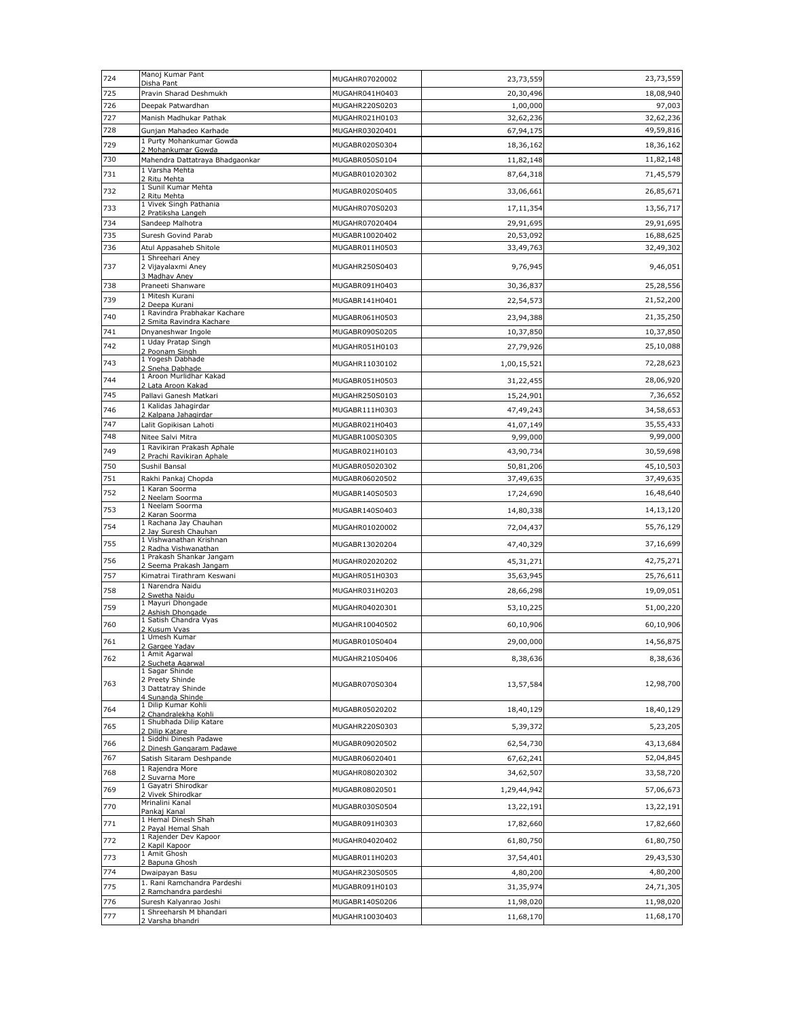| 724        | Manoj Kumar Pant<br>Disha Pant                                  | MUGAHR07020002                   | 23,73,559                | 23,73,559              |
|------------|-----------------------------------------------------------------|----------------------------------|--------------------------|------------------------|
| 725        | Pravin Sharad Deshmukh                                          | MUGAHR041H0403                   | 20,30,496                | 18,08,940              |
| 726        | Deepak Patwardhan                                               | MUGAHR220S0203                   | 1,00,000                 | 97,003                 |
| 727        | Manish Madhukar Pathak                                          | MUGAHR021H0103                   | 32,62,236                | 32,62,236              |
| 728        | Gunjan Mahadeo Karhade                                          | MUGAHR03020401                   | 67,94,175                | 49,59,816              |
| 729        | 1 Purty Mohankumar Gowda<br>2 Mohankumar Gowda                  | MUGABR020S0304                   | 18,36,162                | 18,36,162              |
| 730        | Mahendra Dattatraya Bhadgaonkar                                 | MUGABR050S0104                   | 11,82,148                | 11,82,148              |
| 731        | 1 Varsha Mehta<br>2 Ritu Mehta                                  | MUGABR01020302                   | 87,64,318                | 71,45,579              |
| 732        | 1 Sunil Kumar Mehta                                             | MUGABR020S0405                   | 33,06,661                | 26,85,671              |
|            | 2 Ritu Mehta<br>1 Vivek Singh Pathania                          |                                  |                          |                        |
| 733        | 2 Pratiksha Langeh                                              | MUGAHR070S0203                   | 17, 11, 354              | 13,56,717              |
| 734        | Sandeep Malhotra                                                | MUGAHR07020404                   | 29,91,695                | 29,91,695              |
| 735<br>736 | Suresh Govind Parab<br>Atul Appasaheb Shitole                   | MUGABR10020402<br>MUGABR011H0503 | 20,53,092<br>33,49,763   | 16,88,625<br>32,49,302 |
|            | 1 Shreehari Aney                                                |                                  |                          |                        |
| 737        | 2 Vijayalaxmi Aney<br>3 Madhav Aney                             | MUGAHR250S0403                   | 9,76,945                 | 9,46,051               |
| 738        | Praneeti Shanware                                               | MUGABR091H0403                   | 30,36,837                | 25,28,556              |
| 739        | 1 Mitesh Kurani<br>2 Deepa Kurani                               | MUGABR141H0401                   | 22,54,573                | 21,52,200              |
| 740        | 1 Ravindra Prabhakar Kachare                                    | MUGABR061H0503                   | 23,94,388                | 21,35,250              |
| 741        | 2 Smita Ravindra Kachare<br>Dnyaneshwar Ingole                  | MUGABR090S0205                   | 10,37,850                | 10,37,850              |
| 742        | 1 Uday Pratap Singh                                             | MUGAHR051H0103                   | 27,79,926                | 25,10,088              |
|            | 2 Poonam Singh<br>1 Yogesh Dabhade                              |                                  |                          |                        |
| 743        | 2 Sneha Dabhade                                                 | MUGAHR11030102                   | 1,00,15,521              | 72,28,623              |
| 744        | 1 Aroon Murlidhar Kakad<br>2 Lata Aroon Kakad                   | MUGABR051H0503                   | 31,22,455                | 28,06,920              |
| 745        | Pallavi Ganesh Matkari                                          | MUGAHR250S0103                   | 15,24,901                | 7,36,652               |
| 746        | 1 Kalidas Jahagirdar<br>2 Kalpana Jahagirdar                    | MUGABR111H0303                   | 47,49,243                | 34,58,653              |
| 747        | Lalit Gopikisan Lahoti                                          | MUGABR021H0403                   | 41,07,149                | 35,55,433              |
| 748        | Nitee Salvi Mitra                                               | MUGABR100S0305                   | 9,99,000                 | 9,99,000               |
| 749        | 1 Ravikiran Prakash Aphale<br>2 Prachi Ravikiran Aphale         | MUGABR021H0103                   | 43,90,734                | 30,59,698              |
| 750        | Sushil Bansal                                                   | MUGABR05020302                   | 50,81,206                | 45,10,503              |
| 751        | Rakhi Pankaj Chopda                                             | MUGABR06020502                   | 37,49,635                | 37,49,635              |
| 752        | 1 Karan Soorma<br>2 Neelam Soorma                               | MUGABR140S0503                   | 17,24,690                | 16,48,640              |
| 753        | 1 Neelam Soorma                                                 | MUGABR140S0403                   | 14,80,338                | 14,13,120              |
| 754        | 2 Karan Soorma<br>1 Rachana Jay Chauhan<br>2 Jay Suresh Chauhan | MUGAHR01020002                   | 72,04,437                | 55,76,129              |
| 755        | 1 Vishwanathan Krishnan<br>2 Radha Vishwanathan                 | MUGABR13020204                   | 47,40,329                | 37,16,699              |
| 756        | 1 Prakash Shankar Jangam<br>2 Seema Prakash Jangam              | MUGAHR02020202                   | 45, 31, 271              | 42,75,271              |
| 757        | Kimatrai Tirathram Keswani                                      | MUGAHR051H0303                   | 35,63,945                | 25,76,611              |
| 758        | 1 Narendra Naidu<br>2 Swetha Naidu                              | MUGAHR031H0203                   | 28,66,298                | 19,09,051              |
| 759        | 1 Mayuri Dhongade                                               | MUGAHR04020301                   | 53,10,225                | 51,00,220              |
| 760        | 2 Ashish Dhongade<br>1 Satish Chandra Vyas                      | MUGAHR10040502                   | 60,10,906                | 60,10,906              |
|            | 2 Kusum Vyas<br>1 Umesh Kumar                                   |                                  |                          |                        |
| 761        | 2 Gargee Vaday<br>1 Amit Agarwal                                | MUGABR010S0404                   | 29,00,000                | 14,56,875              |
| 762        | 2 Sucheta Agarwal<br>1 Sagar Shinde                             | MUGAHR210S0406                   | 8,38,636                 | 8,38,636               |
| 763        | 2 Preety Shinde<br>3 Dattatray Shinde                           | MUGABR070S0304                   | 13,57,584                | 12,98,700              |
|            | 4 Sunanda Shinde                                                |                                  |                          |                        |
| 764        | 1 Dilip Kumar Kohli<br>2 Chandralekha Kohli                     | MUGABR05020202                   | 18,40,129                | 18,40,129              |
| 765        | 1 Shubhada Dilip Katare<br>2 Dilip Katare                       | MUGAHR220S0303                   | 5,39,372                 | 5,23,205               |
| 766        | 1 Siddhi Dinesh Padawe<br>2 Dinesh Gangaram Padawe              | MUGABR09020502                   | 62,54,730                | 43,13,684              |
| 767        | Satish Sitaram Deshpande                                        | MUGABR06020401                   | 67,62,241                | 52,04,845              |
| 768        | 1 Raiendra More                                                 | MUGAHR08020302                   | 34,62,507                | 33,58,720              |
| 769        | 2 Suvarna More<br>1 Gayatri Shirodkar                           |                                  |                          |                        |
| 770        | 2 Vivek Shirodkar<br>Mrinalini Kanal                            | MUGABR08020501<br>MUGABR030S0504 | 1,29,44,942<br>13,22,191 | 57,06,673<br>13,22,191 |
|            | Pankaj Kanal<br>1 Hemal Dinesh Shah                             |                                  |                          |                        |
| 771        | 2 Payal Hemal Shah<br>1 Rajender Dev Kapoor                     | MUGABR091H0303                   | 17,82,660                | 17,82,660              |
| 772        | 2 Kapil Kapoor                                                  | MUGAHR04020402                   | 61,80,750                | 61,80,750              |
| 773        | 1 Amit Ghosh<br>2 Bapuna Ghosh                                  | MUGABR011H0203                   | 37,54,401                | 29,43,530              |
| 774        | Dwaipayan Basu                                                  | MUGAHR230S0505                   | 4,80,200                 | 4,80,200               |
| 775        | 1. Rani Ramchandra Pardeshi<br>2 Ramchandra pardeshi            | MUGABR091H0103                   | 31,35,974                | 24,71,305              |
| 776        | Suresh Kalyanrao Joshi                                          | MUGABR140S0206                   | 11,98,020                | 11,98,020              |
| 777        | 1 Shreeharsh M bhandari<br>2 Varsha bhandri                     | MUGAHR10030403                   | 11,68,170                | 11,68,170              |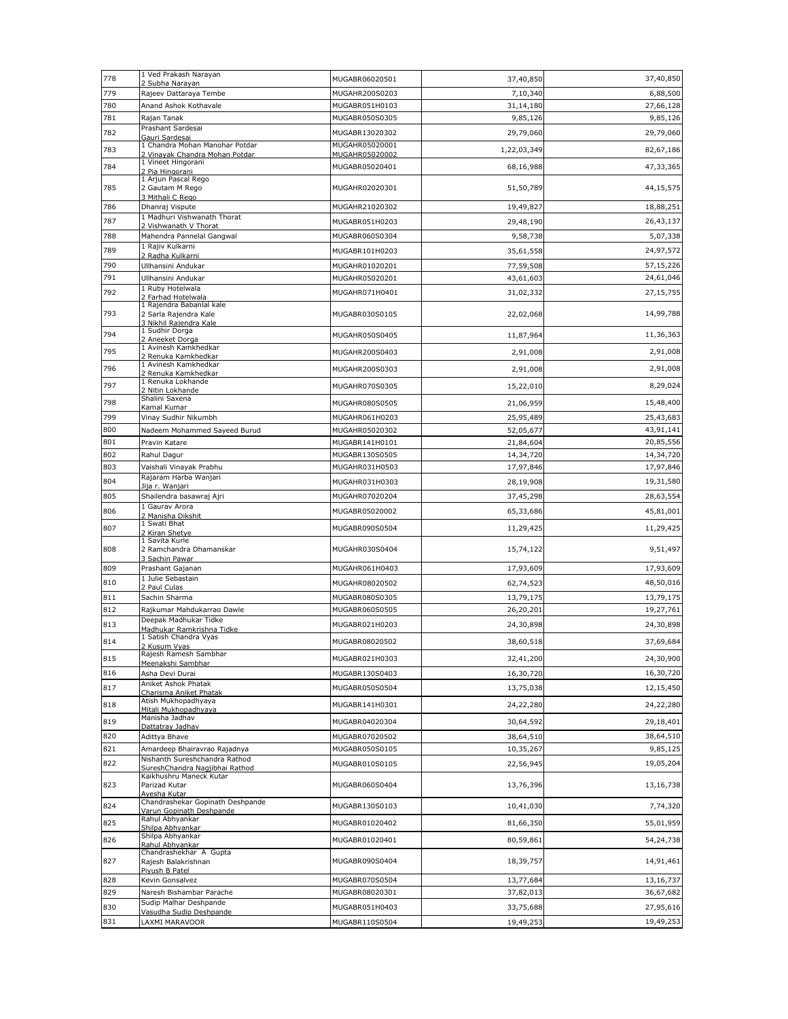| 778 | 1 Ved Prakash Narayan                                                                      | MUGABR06020501 | 37,40,850   | 37,40,850 |
|-----|--------------------------------------------------------------------------------------------|----------------|-------------|-----------|
| 779 | 2 Subha Narayan<br>Rajeev Dattaraya Tembe                                                  | MUGAHR200S0203 | 7,10,340    | 6,88,500  |
| 780 | Anand Ashok Kothavale                                                                      | MUGABR051H0103 | 31,14,180   | 27,66,128 |
| 781 | Rajan Tanak                                                                                | MUGABR050S0305 | 9,85,126    | 9,85,126  |
| 782 | Prashant Sardesai                                                                          | MUGABR13020302 | 29,79,060   | 29,79,060 |
| 783 | Gauri Sardesai<br>1 Chandra Mohan Manohar Potdar                                           | MUGAHR05020001 | 1,22,03,349 | 82,67,186 |
|     | 2 Vinayak Chandra Mohan Potdar<br>1 Vineet Hingorani                                       | MUGAHR05020002 |             |           |
| 784 | 2 Pia Hingorani                                                                            | MUGABR05020401 | 68,16,988   | 47,33,365 |
| 785 | 1 Arjun Pascal Rego<br>2 Gautam M Rego<br>3 Mithali C Rego                                 | MUGAHR02020301 | 51,50,789   | 44,15,575 |
| 786 | Dhanraj Vispute                                                                            | MUGAHR21020302 | 19,49,827   | 18,88,251 |
| 787 | 1 Madhuri Vishwanath Thorat<br>2 Vishwanath V Thorat                                       | MUGABR051H0203 | 29,48,190   | 26,43,137 |
| 788 | Mahendra Pannelal Gangwal                                                                  | MUGABR060S0304 | 9,58,738    | 5,07,338  |
| 789 | 1 Rajiv Kulkarni                                                                           | MUGABR101H0203 | 35,61,558   | 24,97,572 |
| 790 | 2 Radha Kulkarni<br>Ullhansini Andukar                                                     | MUGAHR01020201 | 77,59,508   | 57,15,226 |
| 791 | Ullhansini Andukar                                                                         | MUGAHR05020201 | 43,61,603   | 24,61,046 |
| 792 | 1 Ruby Hotelwala                                                                           | MUGAHR071H0401 | 31,02,332   | 27,15,755 |
|     | 2 Farhad Hotelwala<br>1 Rajendra Babanlal kale                                             |                |             |           |
| 793 | 2 Sarla Rajendra Kale<br>3 Nikhil Rajendra Kale                                            | MUGABR030S0105 | 22,02,068   | 14,99,788 |
| 794 | 1 Sudhir Dorga<br>2 Aneeket Dorga                                                          | MUGAHR050S0405 | 11,87,964   | 11,36,363 |
| 795 | 1 Avinesh Kamkhedkar                                                                       | MUGAHR200S0403 | 2,91,008    | 2,91,008  |
| 796 | 2 Renuka Kamkhedkar<br>1 Avinesh Kamkhedkar                                                | MUGAHR200S0303 | 2,91,008    | 2,91,008  |
|     | 2 Renuka Kamkhedkar<br>1 Renuka Lokhande                                                   |                |             |           |
| 797 | 2 Nitin Lokhande                                                                           | MUGAHR070S0305 | 15,22,010   | 8,29,024  |
| 798 | Shalini Saxena<br>Kamal Kumar                                                              | MUGAHR080S0505 | 21,06,959   | 15,48,400 |
| 799 | Vinay Sudhir Nikumbh                                                                       | MUGAHR061H0203 | 25,95,489   | 25,43,683 |
| 800 | Nadeem Mohammed Sayeed Burud                                                               | MUGAHR05020302 | 52,05,677   | 43,91,141 |
| 801 | Pravin Katare                                                                              | MUGABR141H0101 | 21,84,604   | 20,85,556 |
| 802 | Rahul Dagur                                                                                | MUGABR130S0505 | 14,34,720   | 14,34,720 |
| 803 | Vaishali Vinayak Prabhu<br>Rajaram Harba Wanjari                                           | MUGAHR031H0503 | 17,97,846   | 17,97,846 |
| 804 | Jija r. Wanjari                                                                            | MUGAHR031H0303 | 28,19,908   | 19,31,580 |
| 805 | Shailendra basawraj Ajri<br>1 Gaurav Arora                                                 | MUGAHR07020204 | 37,45,298   | 28,63,554 |
| 806 | 2 Manisha Dikshit                                                                          | MUGABR05020002 | 65,33,686   | 45,81,001 |
| 807 | 1 Swati Bhat<br>2 Kiran Shetye<br>1 Savita Kurle                                           | MUGABR090S0504 | 11,29,425   | 11,29,425 |
| 808 | 2 Ramchandra Dhamanskar<br>3 Sachin Pawar                                                  | MUGAHR030S0404 | 15,74,122   | 9,51,497  |
| 809 | Prashant Gajanan                                                                           | MUGAHR061H0403 | 17,93,609   | 17,93,609 |
| 810 | 1 Julie Sebastain<br>2 Paul Culas                                                          | MUGAHR08020502 | 62,74,523   | 48,50,016 |
| 811 | Sachin Sharma                                                                              | MUGABR080S0305 | 13,79,175   | 13,79,175 |
| 812 | Rajkumar Mahdukarrao Dawle                                                                 | MUGABR060S0505 | 26,20,201   | 19,27,761 |
| 813 | Deepak Madhukar Tidke<br>Madhukar Ramkrishna Tidke                                         | MUGABR021H0203 | 24,30,898   | 24,30,898 |
| 814 | 1 Satish Chandra Vyas<br>2 Kusum Was                                                       | MUGABR08020502 | 38,60,518   | 37,69,684 |
| 815 | Rajesh Ramesh Sambhar                                                                      | MUGABR021H0303 | 32,41,200   | 24,30,900 |
| 816 | Meenakshi Sambhar<br>Asha Devi Durai                                                       | MUGABR130S0403 | 16,30,720   | 16,30,720 |
| 817 | Aniket Ashok Phatak                                                                        |                |             |           |
|     | Charisma Aniket Phatak<br>Atish Mukhopadhyaya                                              | MUGABR050S0504 | 13,75,038   | 12,15,450 |
| 818 | Mitali Mukhopadhyaya                                                                       | MUGABR141H0301 | 24,22,280   | 24,22,280 |
| 819 | Manisha Jadhav<br>Dattatray Jadhav                                                         | MUGABR04020304 | 30,64,592   | 29,18,401 |
| 820 | Adittya Bhave                                                                              | MUGABR07020502 | 38,64,510   | 38,64,510 |
| 821 | Amardeep Bhairavrao Rajadnya                                                               | MUGABR050S0105 | 10,35,267   | 9,85,125  |
| 822 | Nishanth Sureshchandra Rathod<br>SureshChandra Nagjibhai Rathod<br>Kaikhushru Maneck Kutar | MUGABR010S0105 | 22,56,945   | 19,05,204 |
| 823 | Parizad Kutar<br>Ayesha Kutar                                                              | MUGABR060S0404 | 13,76,396   | 13,16,738 |
| 824 | Chandrashekar Gopinath Deshpande<br>Varun Gopinath Deshpande<br>Rahul Abhyankar            | MUGABR130S0103 | 10,41,030   | 7,74,320  |
| 825 | Shilpa Abhyankar                                                                           | MUGABR01020402 | 81,66,350   | 55,01,959 |
| 826 | Shilpa Abhyankar<br>Rahul Abhyankar                                                        | MUGABR01020401 | 80,59,861   | 54,24,738 |
| 827 | Chandrashekhar A Gupta<br>Rajesh Balakrishnan<br>Pivush B Patel                            | MUGABR090S0404 | 18,39,757   | 14,91,461 |
| 828 | Kevin Gonsalvez                                                                            | MUGABR070S0504 | 13,77,684   | 13,16,737 |
| 829 | Naresh Bishambar Parache                                                                   | MUGABR08020301 | 37,82,013   | 36,67,682 |
| 830 | Sudip Malhar Deshpande<br>Vasudha Sudip Deshpande                                          | MUGABR051H0403 | 33,75,688   | 27,95,616 |
| 831 | LAXMI MARAVOOR                                                                             | MUGABR110S0504 | 19,49,253   | 19,49,253 |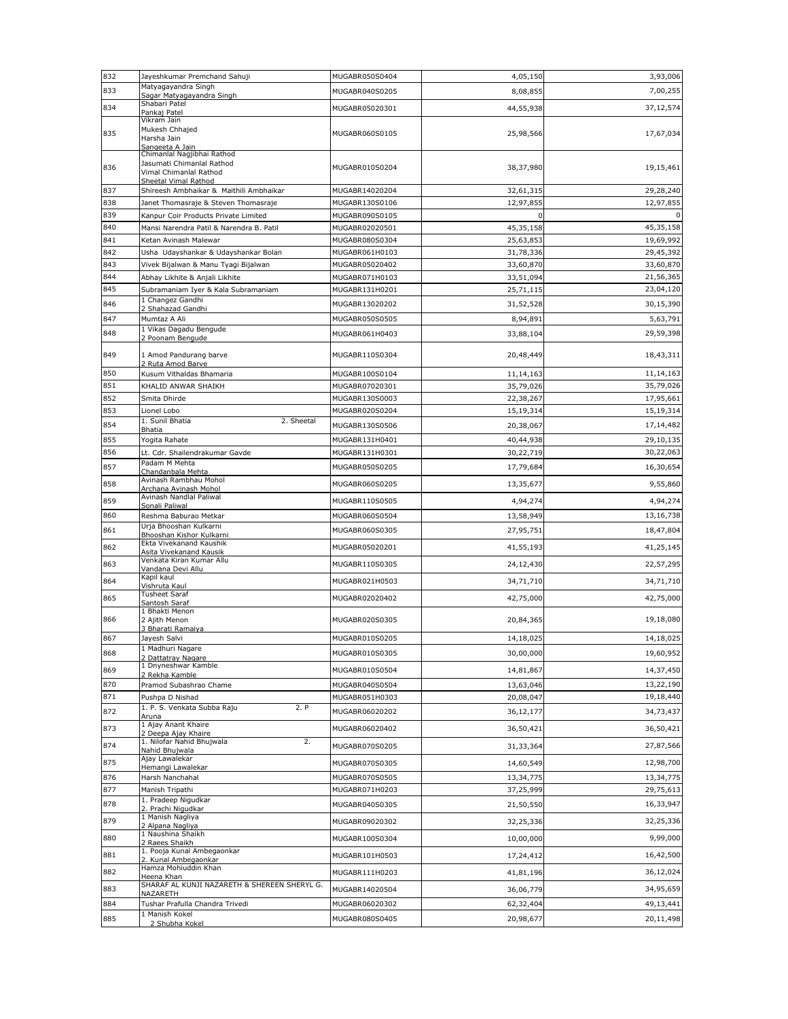| 832        | Jayeshkumar Premchand Sahuji                               | MUGABR050S0404 | 4,05,150    | 3,93,006  |
|------------|------------------------------------------------------------|----------------|-------------|-----------|
| 833        | Matyagayandra Singh<br>Sagar Matyagayandra Singh           | MUGABR040S0205 | 8,08,855    | 7,00,255  |
| 834        | Shabari Patel                                              | MUGABR05020301 | 44,55,938   | 37,12,574 |
|            | Pankaj Patel<br>Vikram Jain                                |                |             |           |
| 835        | Mukesh Chhajed                                             | MUGABR060S0105 | 25,98,566   | 17,67,034 |
|            | Harsha Jain<br>Sangeeta A Jain                             |                |             |           |
|            | Chimanlal Nagjibhai Rathod                                 |                |             |           |
| 836        | Jasumati Chimanlal Rathod<br>Vimal Chimanlal Rathod        | MUGABR010S0204 | 38,37,980   | 19,15,461 |
|            | Sheetal Vimal Rathod                                       |                |             |           |
| 837        | Shireesh Ambhaikar & Maithili Ambhaikar                    | MUGABR14020204 | 32,61,315   | 29,28,240 |
| 838        | Janet Thomasraje & Steven Thomasraje                       | MUGABR130S0106 | 12,97,855   | 12,97,855 |
| 839        | Kanpur Coir Products Private Limited                       | MUGABR090S0105 | $\Omega$    |           |
| 840        | Mansi Narendra Patil & Narendra B. Patil                   | MUGABR02020501 | 45,35,158   | 45,35,158 |
| 841        | Ketan Avinash Malewar                                      | MUGABR080S0304 | 25,63,853   | 19,69,992 |
| 842        | Usha Udayshankar & Udayshankar Bolan                       | MUGABR061H0103 | 31,78,336   | 29,45,392 |
| 843        | Vivek Bijalwan & Manu Tyagi Bijalwan                       | MUGABR05020402 | 33,60,870   | 33,60,870 |
| 844<br>845 | Abhay Likhite & Anjali Likhite                             | MUGABR071H0103 | 33,51,094   | 21,56,365 |
|            | Subramaniam Iyer & Kala Subramaniam<br>1 Changez Gandhi    | MUGABR131H0201 | 25,71,115   | 23,04,120 |
| 846        | 2 Shahazad Gandhi                                          | MUGABR13020202 | 31,52,528   | 30,15,390 |
| 847        | Mumtaz A Ali                                               | MUGABR050S0505 | 8,94,891    | 5,63,791  |
| 848        | 1 Vikas Dagadu Bengude<br>2 Poonam Bengude                 | MUGABR061H0403 | 33,88,104   | 29,59,398 |
|            |                                                            |                |             |           |
| 849        | 1 Amod Pandurang barve<br>2 Ruta Amod Barve                | MUGABR110S0304 | 20,48,449   | 18,43,311 |
| 850        | Kusum Vithaldas Bhamaria                                   | MUGABR100S0104 | 11, 14, 163 | 11,14,163 |
| 851        | KHALID ANWAR SHAIKH                                        | MUGABR07020301 | 35,79,026   | 35,79,026 |
| 852        | Smita Dhirde                                               | MUGABR130S0003 | 22,38,267   | 17,95,661 |
| 853        | Lionel Lobo                                                | MUGABR020S0204 | 15,19,314   | 15,19,314 |
| 854        | 1. Sunil Bhatia<br>2. Sheetal<br><b>Bhatia</b>             | MUGABR130S0506 | 20,38,067   | 17,14,482 |
| 855        | Yogita Rahate                                              | MUGABR131H0401 | 40,44,938   | 29,10,135 |
| 856        | Lt. Cdr. Shailendrakumar Gavde                             | MUGABR131H0301 | 30,22,719   | 30,22,063 |
| 857        | Padam M Mehta                                              | MUGABR050S0205 | 17,79,684   | 16,30,654 |
|            | Chandanbala Mehta<br>Avinash Rambhau Mohol                 |                |             |           |
| 858        | Archana Avinash Mohol                                      | MUGABR060S0205 | 13,35,677   | 9,55,860  |
| 859        | Avinash Nandlal Paliwal<br>Sonali Paliwal                  | MUGABR110S0505 | 4,94,274    | 4,94,274  |
| 860        | Reshma Baburao Metkar                                      | MUGABR060S0504 | 13,58,949   | 13,16,738 |
| 861        | Urja Bhooshan Kulkarni<br>Bhooshan Kishor Kulkarni         | MUGABR060S0305 | 27,95,751   | 18,47,804 |
| 862        | Ekta Vivekanand Kaushik                                    | MUGABR05020201 | 41,55,193   | 41,25,145 |
|            | Asita Vivekanand Kausik<br>Venkata Kiran Kumar Allu        |                |             |           |
| 863        | Vandana Devi Allu                                          | MUGABR110S0305 | 24,12,430   | 22,57,295 |
| 864        | Kapil kaul<br>Vishruta Kaul                                | MUGABR021H0503 | 34,71,710   | 34,71,710 |
| 865        | <b>Tusheet Saraf</b>                                       | MUGABR02020402 | 42,75,000   | 42,75,000 |
|            | Santosh Saraf<br>1 Bhakti Menon                            |                |             |           |
| 866        | 2 Ajith Menon                                              | MUGABR020S0305 | 20,84,365   | 19,18,080 |
| 867        | 3 Bharati Ramaiva<br>Jayesh Salvi                          | MUGABR010S0205 | 14,18,025   | 14,18,025 |
|            | 1 Madhuri Nagare                                           |                |             |           |
| 868        | 2 Dattatray Nagare                                         | MUGABR010S0305 | 30,00,000   | 19,60,952 |
| 869        | 1 Dnyneshwar Kamble<br>2 Rekha Kamble                      | MUGABR010S0504 | 14,81,867   | 14,37,450 |
| 870        | Pramod Subashrao Chame                                     | MUGABR040S0504 | 13,63,046   | 13,22,190 |
| 871        | Pushpa D Nishad                                            | MUGABR051H0303 | 20,08,047   | 19,18,440 |
| 872        | 1. P. S. Venkata Subba Raju<br>2. P<br>Aruna               | MUGABR06020202 | 36,12,177   | 34,73,437 |
| 873        | 1 Ajay Anant Khaire                                        | MUGABR06020402 | 36,50,421   | 36,50,421 |
|            | 2 Deepa Ajay Khaire<br>1. Nilofar Nahid Bhujwala<br>2.     |                |             |           |
| 874        | Nahid Bhuiwala                                             | MUGABR070S0205 | 31,33,364   | 27,87,566 |
| 875        | Ajay Lawalekar<br>Hemangi Lawalekar                        | MUGABR070S0305 | 14,60,549   | 12,98,700 |
| 876        | Harsh Nanchahal                                            | MUGABR070S0505 | 13,34,775   | 13,34,775 |
| 877        | Manish Tripathi                                            | MUGABR071H0203 | 37,25,999   | 29,75,613 |
| 878        | 1. Pradeep Nigudkar                                        | MUGABR040S0305 | 21,50,550   | 16,33,947 |
|            | 2. Prachi Nigudkar<br>1 Manish Nagliya                     |                |             |           |
| 879        | 2 Alpana Nagliya<br>1 Naushina Shaikh                      | MUGABR09020302 | 32,25,336   | 32,25,336 |
| 880        | 2 Raees Shaikh                                             | MUGABR100S0304 | 10,00,000   | 9,99,000  |
| 881        | 1. Pooja Kunal Ambegaonkar<br>2. Kunal Ambegaonkar         | MUGABR101H0503 | 17,24,412   | 16,42,500 |
| 882        | Hamza Mohiuddin Khan                                       | MUGABR111H0203 | 41,81,196   | 36,12,024 |
|            | Heena Khan<br>SHARAF AL KUNJI NAZARETH & SHEREEN SHERYL G. |                |             |           |
| 883        | NAZARETH                                                   | MUGABR14020504 | 36,06,779   | 34,95,659 |
| 884        | Tushar Prafulla Chandra Trivedi                            | MUGABR06020302 | 62,32,404   | 49,13,441 |
| 885        | 1 Manish Kokel<br>2 Shubha Kokel                           | MUGABR080S0405 | 20,98,677   | 20,11,498 |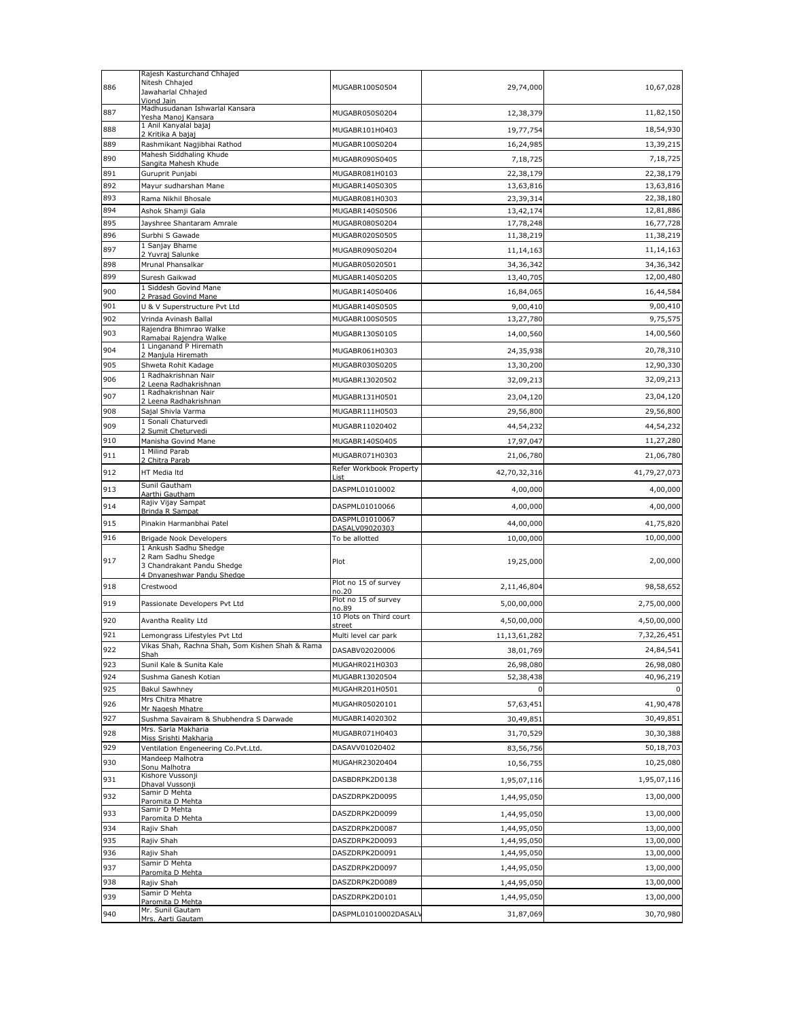|     | Rajesh Kasturchand Chhajed                                    |                               |              |              |
|-----|---------------------------------------------------------------|-------------------------------|--------------|--------------|
| 886 | Nitesh Chhajed                                                | MUGABR100S0504                | 29,74,000    | 10,67,028    |
|     | Jawaharlal Chhajed<br>Viond Jain                              |                               |              |              |
| 887 | Madhusudanan Ishwarlal Kansara                                | MUGABR050S0204                | 12,38,379    | 11,82,150    |
|     | Yesha Manoj Kansara<br>1 Anil Kanyalal bajaj                  |                               |              |              |
| 888 | 2 Kritika A bajaj                                             | MUGABR101H0403                | 19,77,754    | 18,54,930    |
| 889 | Rashmikant Nagjibhai Rathod                                   | MUGABR100S0204                | 16,24,985    | 13,39,215    |
| 890 | Mahesh Siddhaling Khude                                       | MUGABR090S0405                | 7,18,725     | 7,18,725     |
| 891 | Sangita Mahesh Khude<br>Guruprit Punjabi                      | MUGABR081H0103                | 22,38,179    | 22,38,179    |
| 892 | Mayur sudharshan Mane                                         | MUGABR140S0305                | 13,63,816    | 13,63,816    |
| 893 | Rama Nikhil Bhosale                                           | MUGABR081H0303                | 23,39,314    | 22,38,180    |
| 894 | Ashok Shamji Gala                                             | MUGABR140S0506                | 13,42,174    | 12,81,886    |
|     |                                                               | MUGABR080S0204                |              |              |
| 895 | Jayshree Shantaram Amrale                                     |                               | 17,78,248    | 16,77,728    |
| 896 | Surbhi S Gawade<br>1 Sanjay Bhame                             | MUGABR020S0505                | 11,38,219    | 11,38,219    |
| 897 | 2 Yuvraj Salunke                                              | MUGABR090S0204                | 11, 14, 163  | 11,14,163    |
| 898 | Mrunal Phansalkar                                             | MUGABR05020501                | 34, 36, 342  | 34,36,342    |
| 899 | Suresh Gaikwad                                                | MUGABR140S0205                | 13,40,705    | 12,00,480    |
| 900 | 1 Siddesh Govind Mane                                         | MUGABR140S0406                | 16,84,065    | 16,44,584    |
| 901 | 2 Prasad Govind Mane<br>U & V Superstructure Pvt Ltd          | MUGABR140S0505                | 9,00,410     | 9,00,410     |
| 902 | Vrinda Avinash Ballal                                         |                               |              | 9,75,575     |
|     | Rajendra Bhimrao Walke                                        | MUGABR100S0505                | 13,27,780    |              |
| 903 | Ramabai Rajendra Walke                                        | MUGABR130S0105                | 14,00,560    | 14,00,560    |
| 904 | 1 Linganand P Hiremath<br>2 Manjula Hiremath                  | MUGABR061H0303                | 24,35,938    | 20,78,310    |
| 905 | Shweta Rohit Kadage                                           | MUGABR030S0205                | 13,30,200    | 12,90,330    |
|     | 1 Radhakrishnan Nair                                          |                               |              | 32,09,213    |
| 906 | 2 Leena Radhakrishnan                                         | MUGABR13020502                | 32,09,213    |              |
| 907 | 1 Radhakrishnan Nair<br>2 Leena Radhakrishnan                 | MUGABR131H0501                | 23,04,120    | 23,04,120    |
| 908 | Sajal Shivla Varma                                            | MUGABR111H0503                | 29,56,800    | 29,56,800    |
| 909 | 1 Sonali Chaturvedi                                           | MUGABR11020402                | 44,54,232    | 44,54,232    |
|     | 2 Sumit Cheturvedi                                            |                               |              |              |
| 910 | Manisha Govind Mane<br>1 Milind Parab                         | MUGABR140S0405                | 17,97,047    | 11,27,280    |
| 911 | 2 Chitra Parab                                                | MUGABR071H0303                | 21,06,780    | 21,06,780    |
| 912 | HT Media Itd                                                  | Refer Workbook Property       | 42,70,32,316 | 41,79,27,073 |
|     | Sunil Gautham                                                 | List                          |              |              |
| 913 | Aarthi Gautham                                                | DASPML01010002                | 4,00,000     | 4,00,000     |
| 914 | Rajiv Vijay Sampat<br><b>Brinda R Sampat</b>                  | DASPML01010066                | 4,00,000     | 4,00,000     |
| 915 | Pinakin Harmanbhai Patel                                      | DASPML01010067                | 44,00,000    | 41,75,820    |
|     |                                                               | DASALV09020303                |              |              |
| 916 | Brigade Nook Developers<br>1 Ankush Sadhu Shedge              | To be allotted                | 10,00,000    | 10,00,000    |
|     | 2 Ram Sadhu Shedge                                            |                               |              |              |
| 917 | 3 Chandrakant Pandu Shedge                                    | Plot                          | 19,25,000    | 2,00,000     |
|     | 4 Dnyaneshwar Pandu Shedge                                    | Plot no 15 of survey          |              |              |
| 918 | Crestwood                                                     | no.20                         | 2,11,46,804  | 98,58,652    |
| 919 | Passionate Developers Pvt Ltd                                 | Plot no 15 of survey<br>no.89 | 5,00,00,000  | 2,75,00,000  |
| 920 |                                                               | 10 Plots on Third court       |              | 4,50,00,000  |
|     | Avantha Reality Ltd                                           | street                        | 4,50,00,000  |              |
| 921 | Lemongrass Lifestyles Pvt Ltd                                 | Multi level car park          | 11,13,61,282 | 7,32,26,451  |
| 922 | Vikas Shah, Rachna Shah, Som Kishen Shah & Rama<br>Shah       | DASABV02020006                | 38,01,769    | 24,84,541    |
| 923 | Sunil Kale & Sunita Kale                                      | MUGAHR021H0303                | 26,98,080    | 26,98,080    |
| 924 | Sushma Ganesh Kotian                                          | MUGABR13020504                | 52,38,438    | 40,96,219    |
| 925 | <b>Bakul Sawhney</b>                                          | MUGAHR201H0501                | $\mathbf 0$  | 0            |
| 926 | Mrs Chitra Mhatre                                             | MUGAHR05020101                | 57,63,451    | 41,90,478    |
|     | Mr Nagesh Mhatre                                              |                               |              |              |
| 927 | Sushma Savairam & Shubhendra S Darwade<br>Mrs. Sarla Makharia | MUGABR14020302                | 30,49,851    | 30,49,851    |
| 928 | Miss Srishti Makharia                                         | MUGABR071H0403                | 31,70,529    | 30,30,388    |
| 929 | Ventilation Engeneering Co.Pvt.Ltd.                           | DASAVV01020402                | 83,56,756    | 50,18,703    |
| 930 | Mandeep Malhotra                                              | MUGAHR23020404                | 10,56,755    | 10,25,080    |
|     | Sonu Malhotra<br>Kishore Vussonji                             |                               |              |              |
| 931 | Dhaval Vussonji                                               | DASBDRPK2D0138                | 1,95,07,116  | 1,95,07,116  |
| 932 | Samir D Mehta                                                 | DASZDRPK2D0095                | 1,44,95,050  | 13,00,000    |
| 933 | Paromita D Mehta<br>Samir D Mehta                             | DASZDRPK2D0099                |              | 13,00,000    |
|     | Paromita D Mehta                                              |                               | 1,44,95,050  |              |
| 934 | Rajiv Shah                                                    | DASZDRPK2D0087                | 1,44,95,050  | 13,00,000    |
| 935 | Rajiv Shah                                                    | DASZDRPK2D0093                | 1,44,95,050  | 13,00,000    |
| 936 | Rajiv Shah                                                    | DASZDRPK2D0091                | 1,44,95,050  | 13,00,000    |
| 937 | Samir D Mehta<br>Paromita D Mehta                             | DASZDRPK2D0097                | 1,44,95,050  | 13,00,000    |
| 938 | Rajiv Shah                                                    | DASZDRPK2D0089                | 1,44,95,050  | 13,00,000    |
| 939 | Samir D Mehta                                                 | DASZDRPK2D0101                | 1,44,95,050  | 13,00,000    |
|     | Paromita D Mehta<br>Mr. Sunil Gautam                          |                               |              |              |
| 940 |                                                               | DASPML01010002DASAL'          | 31,87,069    | 30,70,980    |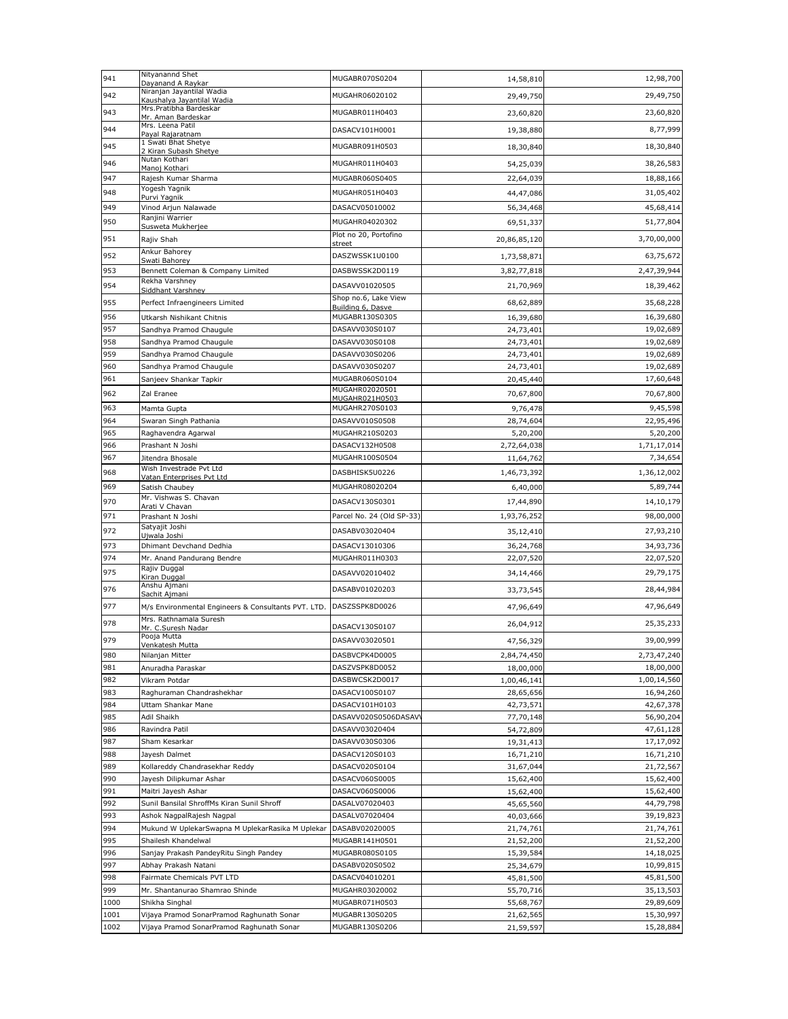| 941         | Nityanannd Shet<br>Dayanand A Raykar                                    | MUGABR070S0204                        | 14,58,810              | 12,98,700              |
|-------------|-------------------------------------------------------------------------|---------------------------------------|------------------------|------------------------|
| 942         | Niranjan Jayantilal Wadia<br>Kaushalya Jayantilal Wadia                 | MUGAHR06020102                        | 29,49,750              | 29,49,750              |
| 943         | Mrs.Pratibha Bardeskar                                                  | MUGABR011H0403                        | 23,60,820              | 23,60,820              |
| 944         | Mr. Aman Bardeskar<br>Mrs. Leena Patil                                  | DASACV101H0001                        | 19,38,880              | 8,77,999               |
|             | Payal Rajaratnam<br>1 Swati Bhat Shetye                                 |                                       |                        |                        |
| 945         | 2 Kiran Subash Shetye<br>Nutan Kothari                                  | MUGABR091H0503                        | 18,30,840              | 18,30,840              |
| 946         | Manoj Kothari                                                           | MUGAHR011H0403                        | 54,25,039              | 38,26,583              |
| 947         | Rajesh Kumar Sharma<br>Yogesh Yagnik                                    | MUGABR060S0405                        | 22,64,039              | 18,88,166              |
| 948         | Purvi Yagnik                                                            | MUGAHR051H0403                        | 44,47,086              | 31,05,402              |
| 949         | Vinod Arjun Nalawade<br>Ranjini Warrier                                 | DASACV05010002                        | 56,34,468              | 45,68,414              |
| 950         | Susweta Mukherjee                                                       | MUGAHR04020302                        | 69,51,337              | 51,77,804              |
| 951         | Rajiv Shah                                                              | Plot no 20, Portofino<br>street       | 20,86,85,120           | 3,70,00,000            |
| 952         | Ankur Bahorey<br>Swati Bahorey                                          | DASZWSSK1U0100                        | 1,73,58,871            | 63,75,672              |
| 953         | Bennett Coleman & Company Limited                                       | DASBWSSK2D0119                        | 3,82,77,818            | 2,47,39,944            |
| 954         | Rekha Varshney<br>Siddhant Varshney                                     | DASAVV01020505                        | 21,70,969              | 18,39,462              |
| 955         | Perfect Infraengineers Limited                                          | Shop no.6, Lake View                  | 68,62,889              | 35,68,228              |
| 956         | Utkarsh Nishikant Chitnis                                               | Building 6, Dasve<br>MUGABR130S0305   | 16,39,680              | 16,39,680              |
| 957         | Sandhya Pramod Chaugule                                                 | DASAVV030S0107                        | 24,73,401              | 19,02,689              |
| 958         | Sandhya Pramod Chaugule                                                 | DASAVV030S0108                        | 24,73,401              | 19,02,689              |
| 959         | Sandhya Pramod Chaugule                                                 | DASAVV030S0206                        | 24,73,401              | 19,02,689              |
| 960<br>961  | Sandhya Pramod Chaugule<br>Sanjeev Shankar Tapkir                       | DASAVV030S0207<br>MUGABR060S0104      | 24,73,401<br>20,45,440 | 19,02,689<br>17,60,648 |
| 962         | Zal Eranee                                                              | MUGAHR02020501                        | 70,67,800              | 70,67,800              |
| 963         | Mamta Gupta                                                             | MUGAHR021H0503<br>MUGAHR270S0103      | 9,76,478               | 9,45,598               |
| 964         | Swaran Singh Pathania                                                   | DASAVV010S0508                        | 28,74,604              | 22,95,496              |
| 965         | Raghavendra Agarwal                                                     | MUGAHR210S0203                        | 5,20,200               | 5,20,200               |
| 966         | Prashant N Joshi                                                        | DASACV132H0508                        | 2,72,64,038            | 1,71,17,014            |
| 967         | Jitendra Bhosale                                                        | MUGAHR100S0504                        | 11,64,762              | 7,34,654               |
| 968         | Wish Investrade Pvt Ltd<br>Vatan Enterprises Pvt Ltd                    | DASBHISK5U0226                        | 1,46,73,392            | 1,36,12,002            |
| 969         | Satish Chaubey                                                          | MUGAHR08020204                        | 6,40,000               | 5,89,744               |
| 970         | Mr. Vishwas S. Chavan<br>Arati V Chavan                                 | DASACV130S0301                        | 17,44,890              | 14,10,179              |
| 971         | Prashant N Joshi                                                        | Parcel No. 24 (Old SP-33)             | 1,93,76,252            | 98,00,000              |
| 972         | Satyajit Joshi<br>Ujwala Joshi                                          | DASABV03020404                        | 35,12,410              | 27,93,210              |
| 973         | Dhimant Devchand Dedhia                                                 | DASACV13010306                        | 36,24,768              | 34,93,736              |
| 974         | Mr. Anand Pandurang Bendre<br>Rajiv Duggal                              | MUGAHR011H0303                        | 22,07,520              | 22,07,520              |
| 975         | Kiran Duggal                                                            | DASAVV02010402                        | 34,14,466              | 29,79,175              |
| 976         | Anshu Ajmani<br><u>Sachit Ajmani</u>                                    | DASABV01020203                        | 33,73,545              | 28,44,984              |
| 977         | M/s Environmental Engineers & Consultants PVT. LTD.                     | DASZSSPK8D0026                        | 47,96,649              | 47,96,649              |
| 978         | Mrs. Rathnamala Suresh<br>Mr. C.Suresh Nadar                            | DASACV130S0107                        | 26,04,912              | 25,35,233              |
| 979         | Pooja Mutta                                                             | DASAVV03020501                        | 47,56,329              | 39,00,999              |
| 980         | Venkatesh Mutta<br>Nilanjan Mitter                                      | DASBVCPK4D0005                        | 2,84,74,450            | 2,73,47,240            |
| 981         | Anuradha Paraskar                                                       | DASZVSPK8D0052                        | 18,00,000              | 18,00,000              |
| 982         | Vikram Potdar                                                           | DASBWCSK2D0017                        | 1,00,46,141            | 1,00,14,560            |
| 983         | Raghuraman Chandrashekhar                                               | DASACV100S0107                        | 28,65,656              | 16,94,260              |
| 984         | Uttam Shankar Mane                                                      | DASACV101H0103                        | 42,73,571              | 42,67,378              |
| 985<br>986  | Adil Shaikh<br>Ravindra Patil                                           | DASAVV020S0506DASAV<br>DASAVV03020404 | 77,70,148<br>54,72,809 | 56,90,204<br>47,61,128 |
| 987         | Sham Kesarkar                                                           | DASAVV030S0306                        | 19,31,413              | 17,17,092              |
| 988         | Jayesh Dalmet                                                           | DASACV120S0103                        | 16,71,210              | 16,71,210              |
| 989         | Kollareddy Chandrasekhar Reddy                                          | DASACV020S0104                        | 31,67,044              | 21,72,567              |
| 990         | Jayesh Dilipkumar Ashar                                                 | DASACV060S0005                        | 15,62,400              | 15,62,400              |
| 991         | Maitri Jayesh Ashar                                                     | DASACV060S0006                        | 15,62,400              | 15,62,400              |
| 992<br>993  | Sunil Bansilal ShroffMs Kiran Sunil Shroff<br>Ashok NagpalRajesh Nagpal | DASALV07020403<br>DASALV07020404      | 45,65,560<br>40,03,666 | 44,79,798<br>39,19,823 |
| 994         | Mukund W UplekarSwapna M UplekarRasika M Uplekar                        | DASABV02020005                        | 21,74,761              | 21,74,761              |
| 995         | Shailesh Khandelwal                                                     | MUGABR141H0501                        | 21,52,200              | 21,52,200              |
| 996         | Sanjay Prakash PandeyRitu Singh Pandey                                  | MUGABR080S0105                        | 15,39,584              | 14,18,025              |
| 997         | Abhay Prakash Natani                                                    | DASABV020S0502                        | 25,34,679              | 10,99,815              |
| 998         | Fairmate Chemicals PVT LTD                                              | DASACV04010201                        | 45,81,500              | 45,81,500              |
| 999<br>1000 | Mr. Shantanurao Shamrao Shinde<br>Shikha Singhal                        | MUGAHR03020002<br>MUGABR071H0503      | 55,70,716<br>55,68,767 | 35,13,503<br>29,89,609 |
| 1001        | Vijaya Pramod SonarPramod Raghunath Sonar                               | MUGABR130S0205                        | 21,62,565              | 15,30,997              |
| 1002        | Vijaya Pramod SonarPramod Raghunath Sonar                               | MUGABR130S0206                        | 21,59,597              | 15,28,884              |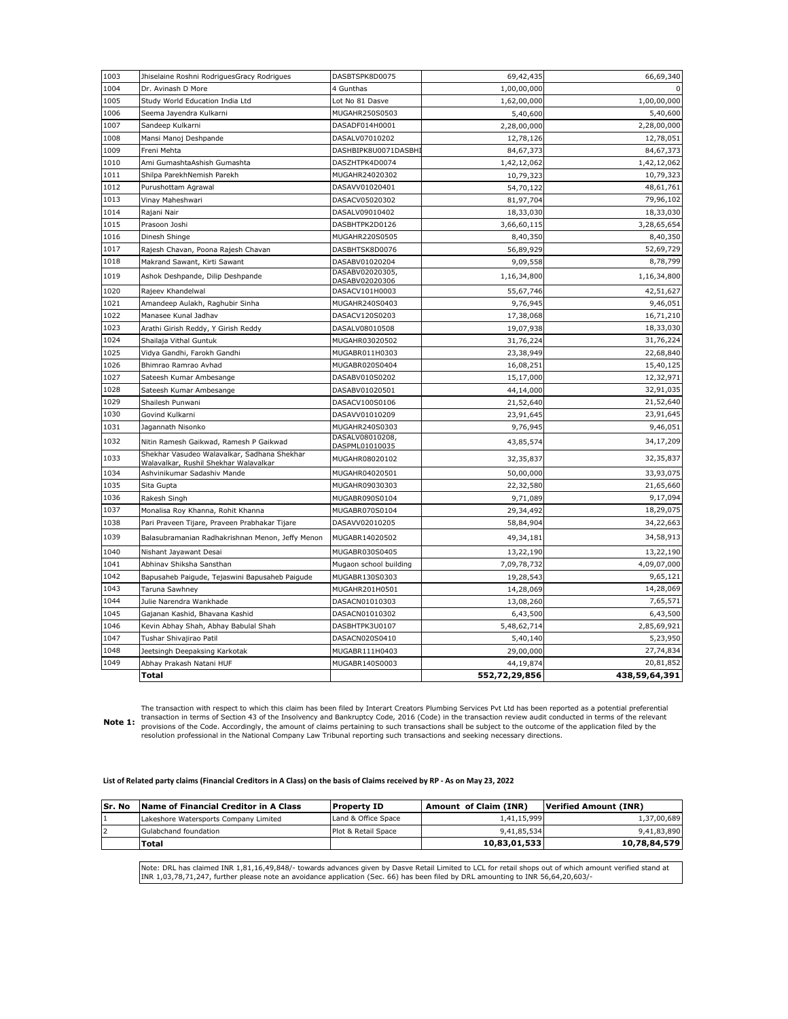| 1003 | Jhiselaine Roshni RodriguesGracy Rodrigues                                           | DASBTSPK8D0075                    | 69,42,435     | 66,69,340     |
|------|--------------------------------------------------------------------------------------|-----------------------------------|---------------|---------------|
| 1004 | Dr. Avinash D More                                                                   | 4 Gunthas                         | 1,00,00,000   |               |
| 1005 | Study World Education India Ltd                                                      | Lot No 81 Dasve                   | 1,62,00,000   | 1,00,00,000   |
| 1006 | Seema Jayendra Kulkarni                                                              | MUGAHR250S0503                    | 5,40,600      | 5,40,600      |
| 1007 | Sandeep Kulkarni                                                                     | DASADF014H0001                    | 2,28,00,000   | 2,28,00,000   |
| 1008 | Mansi Manoj Deshpande                                                                | DASALV07010202                    | 12,78,126     | 12,78,051     |
| 1009 | Freni Mehta                                                                          | DASHBIPK8U0071DASBH               | 84,67,373     | 84,67,373     |
| 1010 | Ami GumashtaAshish Gumashta                                                          | DASZHTPK4D0074                    | 1,42,12,062   | 1,42,12,062   |
| 1011 | Shilpa ParekhNemish Parekh                                                           | MUGAHR24020302                    | 10,79,323     | 10,79,323     |
| 1012 | Purushottam Agrawal                                                                  | DASAVV01020401                    | 54,70,122     | 48,61,761     |
| 1013 | Vinay Maheshwari                                                                     | DASACV05020302                    | 81,97,704     | 79,96,102     |
| 1014 | Rajani Nair                                                                          | DASALV09010402                    | 18,33,030     | 18,33,030     |
| 1015 | Prasoon Joshi                                                                        | DASBHTPK2D0126                    | 3,66,60,115   | 3,28,65,654   |
| 1016 | Dinesh Shinge                                                                        | MUGAHR220S0505                    | 8,40,350      | 8,40,350      |
| 1017 | Rajesh Chavan, Poona Rajesh Chavan                                                   | DASBHTSK8D0076                    | 56,89,929     | 52,69,729     |
| 1018 | Makrand Sawant, Kirti Sawant                                                         | DASABV01020204                    | 9,09,558      | 8,78,799      |
| 1019 | Ashok Deshpande, Dilip Deshpande                                                     | DASABV02020305.                   | 1,16,34,800   | 1,16,34,800   |
| 1020 | Rajeev Khandelwal                                                                    | DASABV02020306<br>DASACV101H0003  | 55,67,746     | 42,51,627     |
| 1021 | Amandeep Aulakh, Raghubir Sinha                                                      | MUGAHR240S0403                    | 9,76,945      | 9,46,051      |
| 1022 | Manasee Kunal Jadhav                                                                 | DASACV120S0203                    | 17,38,068     | 16,71,210     |
| 1023 | Arathi Girish Reddy, Y Girish Reddy                                                  | DASALV08010508                    | 19,07,938     | 18,33,030     |
| 1024 | Shailaja Vithal Guntuk                                                               | MUGAHR03020502                    | 31,76,224     | 31,76,224     |
| 1025 | Vidya Gandhi, Farokh Gandhi                                                          | MUGABR011H0303                    | 23,38,949     | 22,68,840     |
| 1026 | Bhimrao Ramrao Avhad                                                                 | MUGABR020S0404                    | 16,08,251     | 15,40,125     |
| 1027 | Sateesh Kumar Ambesange                                                              | DASABV010S0202                    | 15,17,000     | 12,32,971     |
| 1028 | Sateesh Kumar Ambesange                                                              | DASABV01020501                    | 44,14,000     | 32,91,035     |
| 1029 | Shailesh Punwani                                                                     | DASACV100S0106                    | 21,52,640     | 21,52,640     |
| 1030 | Govind Kulkarni                                                                      | DASAVV01010209                    | 23,91,645     | 23,91,645     |
| 1031 | Jagannath Nisonko                                                                    | MUGAHR240S0303                    | 9,76,945      | 9,46,051      |
| 1032 | Nitin Ramesh Gaikwad, Ramesh P Gaikwad                                               | DASALV08010208,<br>DASPML01010035 | 43,85,574     | 34,17,209     |
| 1033 | Shekhar Vasudeo Walavalkar, Sadhana Shekhar<br>Walavalkar, Rushil Shekhar Walavalkar | MUGAHR08020102                    | 32,35,837     | 32,35,837     |
| 1034 | Ashvinikumar Sadashiv Mande                                                          | MUGAHR04020501                    | 50,00,000     | 33,93,075     |
| 1035 | Sita Gupta                                                                           | MUGAHR09030303                    | 22,32,580     | 21,65,660     |
| 1036 | Rakesh Singh                                                                         | MUGABR090S0104                    | 9,71,089      | 9,17,094      |
| 1037 | Monalisa Roy Khanna, Rohit Khanna                                                    | MUGABR070S0104                    | 29,34,492     | 18,29,075     |
| 1038 | Pari Praveen Tijare, Praveen Prabhakar Tijare                                        | DASAVV02010205                    | 58,84,904     | 34,22,663     |
| 1039 | Balasubramanian Radhakrishnan Menon, Jeffy Menon                                     | MUGABR14020502                    | 49,34,181     | 34,58,913     |
| 1040 | Nishant Jayawant Desai                                                               | MUGABR030S0405                    | 13,22,190     | 13,22,190     |
| 1041 | Abhinav Shiksha Sansthan                                                             | Mugaon school building            | 7,09,78,732   | 4,09,07,000   |
| 1042 | Bapusaheb Paigude, Tejaswini Bapusaheb Paigude                                       | MUGABR130S0303                    | 19,28,543     | 9,65,121      |
| 1043 | Taruna Sawhney                                                                       | MUGAHR201H0501                    | 14,28,069     | 14,28,069     |
| 1044 | Julie Narendra Wankhade                                                              | DASACN01010303                    | 13,08,260     | 7,65,571      |
| 1045 | Gajanan Kashid, Bhavana Kashid                                                       | DASACN01010302                    | 6,43,500      | 6,43,500      |
| 1046 | Kevin Abhay Shah, Abhay Babulal Shah                                                 | DASBHTPK3U0107                    | 5,48,62,714   | 2,85,69,921   |
| 1047 | Tushar Shivajirao Patil                                                              | DASACN020S0410                    | 5,40,140      | 5,23,950      |
| 1048 | Jeetsingh Deepaksing Karkotak                                                        | MUGABR111H0403                    | 29,00,000     | 27,74,834     |
| 1049 | Abhay Prakash Natani HUF                                                             | MUGABR140S0003                    | 44,19,874     | 20,81,852     |
|      | Total                                                                                |                                   | 552,72,29,856 | 438,59,64,391 |

**Note 1:** The transaction with respect to which this claim has been filed by Interart Creators Plumbing Services Pvt Ltd has been reported as a potential preferential<br>transaction in terms of Section 43 of the Insolvency and Bankrupt resolution professional in the National Company Law Tribunal reporting such transactions and seeking necessary directions.

### **List of Related party claims (Financial Creditors in A Class) on the basis of Claims received by RP - As on May 23, 2022**

| lSr. No | Name of Financial Creditor in A Class | <b>Property ID</b>  | Amount of Claim (INR) | <b>Verified Amount (INR)</b> |
|---------|---------------------------------------|---------------------|-----------------------|------------------------------|
|         | Lakeshore Watersports Company Limited | Land & Office Space | 1,41,15,999           | 1.37.00.689                  |
|         | Gulabchand foundation                 | Plot & Retail Space | 9,41,85,534           | 9,41,83,890                  |
|         | Total                                 |                     | 10,83,01,533          | 10,78,84,579                 |

Note: DRL has claimed INR 1,81,16,49,848/- towards advances given by Dasve Retail Limited to LCL for retail shops out of which amount verified stand at<br>INR 1,03,78,71,247, further please note an avoidance application (Sec.